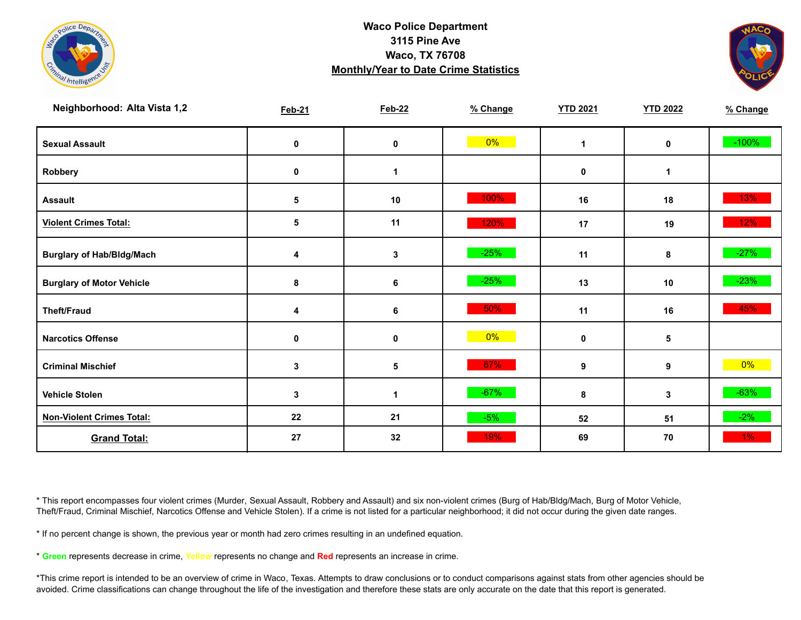



| Neighborhood: Alta Vista 1,2     | <b>Feb-21</b> | <b>Feb-22</b> | % Change | <b>YTD 2021</b> | <b>YTD 2022</b> | % Change |
|----------------------------------|---------------|---------------|----------|-----------------|-----------------|----------|
| <b>Sexual Assault</b>            | $\mathbf 0$   | $\pmb{0}$     | $0\%$    | 1               | 0               | $-100%$  |
| Robbery                          | $\mathbf 0$   | 1             |          | 0               | 1               |          |
| <b>Assault</b>                   | 5             | $10$          | 100%     | 16              | 18              | 13%      |
| <b>Violent Crimes Total:</b>     | 5             | 11            | 120%     | 17              | 19              | 12%      |
| <b>Burglary of Hab/Bldg/Mach</b> | 4             | $\mathbf 3$   | $-25%$   | 11              | 8               | $-27%$   |
| <b>Burglary of Motor Vehicle</b> | 8             | 6             | $-25%$   | 13              | 10              | $-23%$   |
| <b>Theft/Fraud</b>               | 4             | 6             | 50%      | 11              | 16              | 45%      |
| <b>Narcotics Offense</b>         | 0             | $\pmb{0}$     | $0\%$    | 0               | 5               |          |
| <b>Criminal Mischief</b>         | 3             | 5             | 67%      | 9               | 9               | $0\%$    |
| <b>Vehicle Stolen</b>            | 3             | 1             | $-67%$   | 8               | 3               | $-63%$   |
| <b>Non-Violent Crimes Total:</b> | 22            | 21            | $-5%$    | 52              | 51              | $-2\%$   |
| <b>Grand Total:</b>              | 27            | 32            | 19%      | 69              | 70              | 1%       |

\* This report encompasses four violent crimes (Murder, Sexual Assault, Robbery and Assault) and six non-violent crimes (Burg of Hab/Bldg/Mach, Burg of Motor Vehicle, Theft/Fraud, Criminal Mischief, Narcotics Offense and Vehicle Stolen). If a crime is not listed for a particular neighborhood; it did not occur during the given date ranges.

\* If no percent change is shown, the previous year or month had zero crimes resulting in an undefined equation.

\* **Green** represents decrease in crime, **Yellow** represents no change and **Red** represents an increase in crime.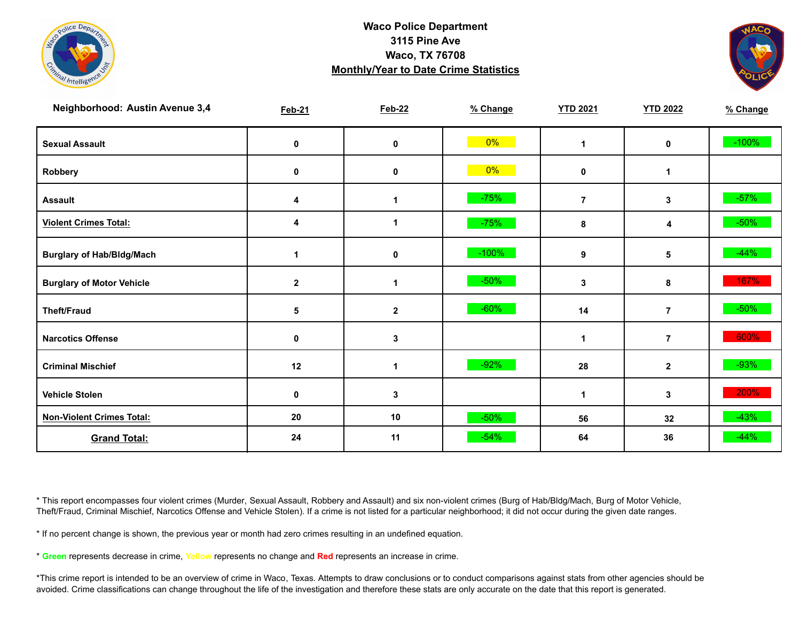



| <b>Neighborhood: Austin Avenue 3,4</b> | <b>Feb-21</b> | <b>Feb-22</b> | % Change | <b>YTD 2021</b> | <b>YTD 2022</b> | % Change |
|----------------------------------------|---------------|---------------|----------|-----------------|-----------------|----------|
| <b>Sexual Assault</b>                  | 0             | $\pmb{0}$     | $0\%$    | 1               | 0               | $-100%$  |
| Robbery                                | 0             | 0             | $0\%$    | 0               | 1               |          |
| <b>Assault</b>                         | 4             | 1             | $-75%$   | $\overline{7}$  | 3               | $-57\%$  |
| <b>Violent Crimes Total:</b>           | 4             | 1             | $-75%$   | 8               | 4               | $-50%$   |
| <b>Burglary of Hab/Bldg/Mach</b>       | 1             | $\pmb{0}$     | $-100%$  | 9               | 5               | $-44%$   |
| <b>Burglary of Motor Vehicle</b>       | $\mathbf{2}$  | 1             | $-50%$   | 3               | 8               | 167%     |
| <b>Theft/Fraud</b>                     | 5             | $\mathbf{2}$  | $-60%$   | 14              | $\overline{7}$  | $-50%$   |
| <b>Narcotics Offense</b>               | $\mathbf 0$   | 3             |          | $\mathbf{1}$    | $\overline{7}$  | 600%     |
| <b>Criminal Mischief</b>               | 12            | 1             | $-92%$   | 28              | $\mathbf{2}$    | $-93%$   |
| <b>Vehicle Stolen</b>                  | $\pmb{0}$     | 3             |          | 1               | 3               | 200%     |
| <b>Non-Violent Crimes Total:</b>       | 20            | 10            | $-50%$   | 56              | 32              | $-43%$   |
| <b>Grand Total:</b>                    | 24            | 11            | $-54%$   | 64              | 36              | $-44%$   |

\* This report encompasses four violent crimes (Murder, Sexual Assault, Robbery and Assault) and six non-violent crimes (Burg of Hab/Bldg/Mach, Burg of Motor Vehicle, Theft/Fraud, Criminal Mischief, Narcotics Offense and Vehicle Stolen). If a crime is not listed for a particular neighborhood; it did not occur during the given date ranges.

\* If no percent change is shown, the previous year or month had zero crimes resulting in an undefined equation.

\* **Green** represents decrease in crime, **Yellow** represents no change and **Red** represents an increase in crime.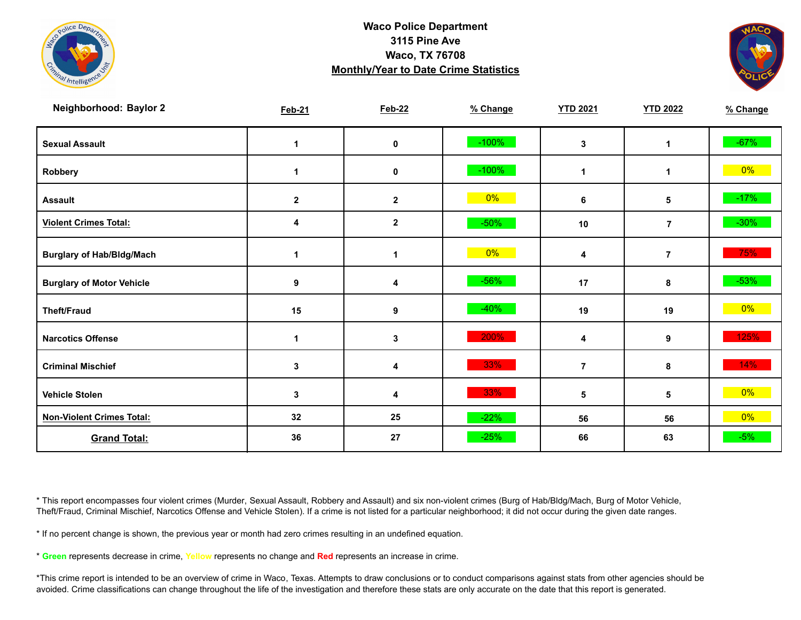



| <b>Neighborhood: Baylor 2</b>    | <b>Feb-21</b> | <b>Feb-22</b>    | % Change | <b>YTD 2021</b>      | <b>YTD 2022</b>         | % Change |
|----------------------------------|---------------|------------------|----------|----------------------|-------------------------|----------|
| <b>Sexual Assault</b>            | 1             | 0                | $-100%$  | 3                    | 1                       | $-67%$   |
| Robbery                          | 1             | 0                | $-100%$  | $\blacktriangleleft$ | 1                       | $0\%$    |
| <b>Assault</b>                   | $\mathbf{2}$  | $\mathbf{2}$     | $0\%$    | 6                    | 5                       | $-17%$   |
| <b>Violent Crimes Total:</b>     | 4             | $\boldsymbol{2}$ | $-50%$   | 10                   | $\overline{7}$          | $-30%$   |
| <b>Burglary of Hab/Bldg/Mach</b> | 1             | 1                | $0\%$    | 4                    | $\overline{\mathbf{7}}$ | 75%      |
| <b>Burglary of Motor Vehicle</b> | 9             | 4                | $-56%$   | 17                   | 8                       | $-53%$   |
| <b>Theft/Fraud</b>               | 15            | 9                | $-40%$   | 19                   | 19                      | $0\%$    |
| <b>Narcotics Offense</b>         | 1             | 3                | 200%     | 4                    | 9                       | 125%     |
| <b>Criminal Mischief</b>         | 3             | 4                | 33%      | $\overline{7}$       | 8                       | 14%      |
| <b>Vehicle Stolen</b>            | $\mathbf{3}$  | 4                | 33%      | 5                    | 5                       | $0\%$    |
| <b>Non-Violent Crimes Total:</b> | 32            | 25               | $-22%$   | 56                   | 56                      | 0%       |
| <b>Grand Total:</b>              | 36            | 27               | $-25%$   | 66                   | 63                      | $-5%$    |

\* This report encompasses four violent crimes (Murder, Sexual Assault, Robbery and Assault) and six non-violent crimes (Burg of Hab/Bldg/Mach, Burg of Motor Vehicle, Theft/Fraud, Criminal Mischief, Narcotics Offense and Vehicle Stolen). If a crime is not listed for a particular neighborhood; it did not occur during the given date ranges.

\* If no percent change is shown, the previous year or month had zero crimes resulting in an undefined equation.

\* **Green** represents decrease in crime, **Yellow** represents no change and **Red** represents an increase in crime.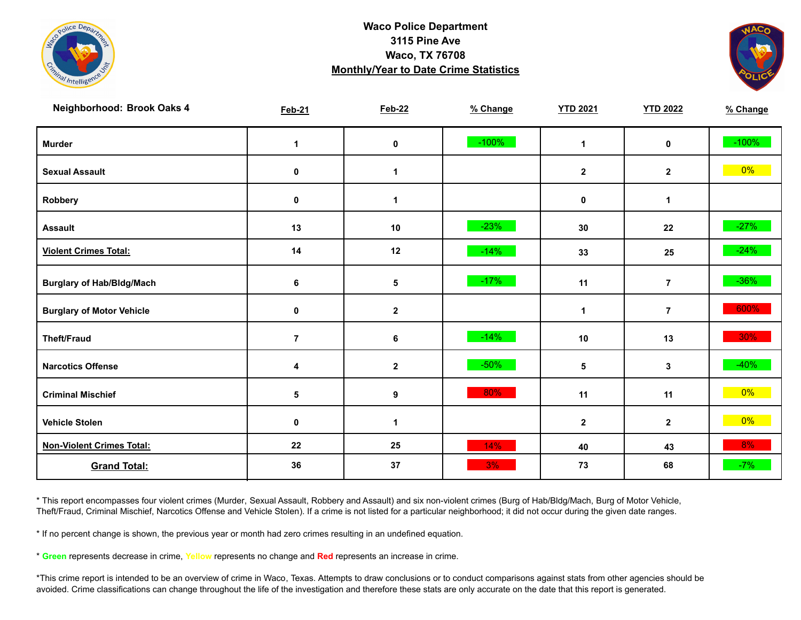



| Neighborhood: Brook Oaks 4       | <b>Feb-21</b>  | <b>Feb-22</b>    | % Change | <b>YTD 2021</b> | <b>YTD 2022</b> | % Change |
|----------------------------------|----------------|------------------|----------|-----------------|-----------------|----------|
| <b>Murder</b>                    | $\mathbf 1$    | $\mathbf 0$      | $-100%$  | $\mathbf{1}$    | $\mathbf 0$     | $-100%$  |
| <b>Sexual Assault</b>            | 0              | 1                |          | $\mathbf{2}$    | $\mathbf{2}$    | $0\%$    |
| Robbery                          | 0              | 1                |          | $\mathbf 0$     | 1               |          |
| <b>Assault</b>                   | 13             | 10               | $-23%$   | 30              | 22              | $-27%$   |
| <b>Violent Crimes Total:</b>     | 14             | 12               | $-14%$   | 33              | 25              | $-24%$   |
| <b>Burglary of Hab/Bldg/Mach</b> | 6              | 5                | $-17%$   | 11              | $\overline{7}$  | $-36\%$  |
| <b>Burglary of Motor Vehicle</b> | 0              | $\mathbf 2$      |          | $\mathbf 1$     | $\overline{7}$  | 600%     |
| <b>Theft/Fraud</b>               | $\overline{7}$ | 6                | $-14%$   | 10              | 13              | $30\%$   |
| <b>Narcotics Offense</b>         | 4              | $\boldsymbol{2}$ | $-50%$   | 5               | $\mathbf{3}$    | $-40%$   |
| <b>Criminal Mischief</b>         | 5              | $\boldsymbol{9}$ | 80%      | 11              | 11              | $0\%$    |
| <b>Vehicle Stolen</b>            | $\pmb{0}$      | $\mathbf{1}$     |          | $\mathbf{2}$    | $\mathbf{2}$    | $0\%$    |
| <b>Non-Violent Crimes Total:</b> | 22             | 25               | 14%      | 40              | 43              | 8%       |
| <b>Grand Total:</b>              | 36             | 37               | 3%       | 73              | 68              | $-7%$    |

\* This report encompasses four violent crimes (Murder, Sexual Assault, Robbery and Assault) and six non-violent crimes (Burg of Hab/Bldg/Mach, Burg of Motor Vehicle, Theft/Fraud, Criminal Mischief, Narcotics Offense and Vehicle Stolen). If a crime is not listed for a particular neighborhood; it did not occur during the given date ranges.

\* If no percent change is shown, the previous year or month had zero crimes resulting in an undefined equation.

\* **Green** represents decrease in crime, **Yellow** represents no change and **Red** represents an increase in crime.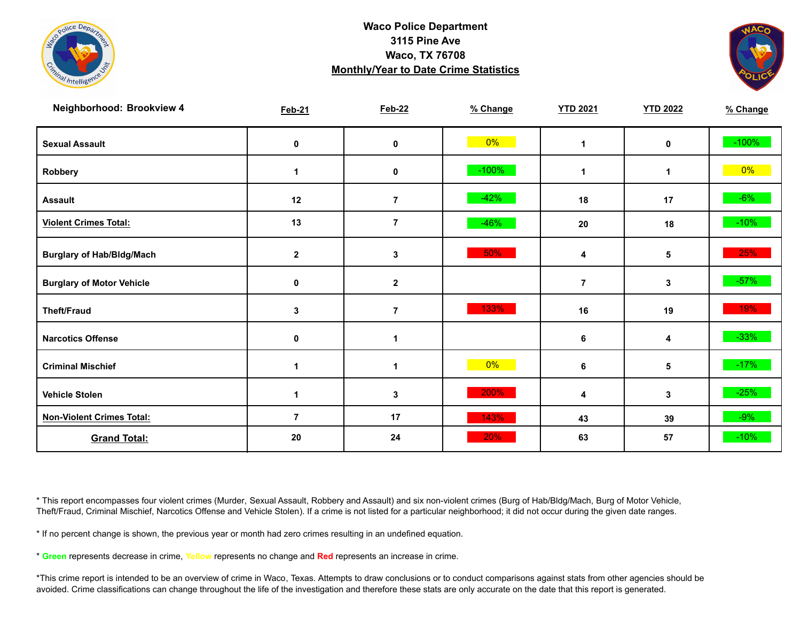



| Neighborhood: Brookview 4        | <b>Feb-21</b>  | <b>Feb-22</b>        | % Change | <b>YTD 2021</b> | <b>YTD 2022</b> | % Change |
|----------------------------------|----------------|----------------------|----------|-----------------|-----------------|----------|
| <b>Sexual Assault</b>            | 0              | $\mathbf 0$          | $0\%$    | $\mathbf 1$     | 0               | $-100%$  |
| Robbery                          | 1              | 0                    | $-100%$  | 1               | 1               | $0\%$    |
| <b>Assault</b>                   | 12             | $\overline{7}$       | $-42%$   | 18              | 17              | $-6%$    |
| <b>Violent Crimes Total:</b>     | 13             | $\overline{7}$       | $-46%$   | 20              | 18              | $-10%$   |
| <b>Burglary of Hab/Bldg/Mach</b> | $\mathbf{2}$   | 3                    | 50%      | 4               | 5               | 25%      |
| <b>Burglary of Motor Vehicle</b> | $\mathbf 0$    | $\mathbf 2$          |          | $\overline{7}$  | 3               | $-57%$   |
| <b>Theft/Fraud</b>               | $\mathbf 3$    | $\overline{7}$       | 133%     | 16              | 19              | 19%      |
| <b>Narcotics Offense</b>         | 0              | $\blacktriangleleft$ |          | 6               | 4               | $-33%$   |
| <b>Criminal Mischief</b>         | 1              | $\blacktriangleleft$ | $0\%$    | 6               | 5               | $-17%$   |
| <b>Vehicle Stolen</b>            | 1              | 3                    | 200%     | 4               | 3               | $-25%$   |
| <b>Non-Violent Crimes Total:</b> | $\overline{7}$ | 17                   | 143%     | 43              | 39              | $-9%$    |
| <b>Grand Total:</b>              | 20             | 24                   | 20%      | 63              | 57              | $-10%$   |

\* This report encompasses four violent crimes (Murder, Sexual Assault, Robbery and Assault) and six non-violent crimes (Burg of Hab/Bldg/Mach, Burg of Motor Vehicle, Theft/Fraud, Criminal Mischief, Narcotics Offense and Vehicle Stolen). If a crime is not listed for a particular neighborhood; it did not occur during the given date ranges.

\* If no percent change is shown, the previous year or month had zero crimes resulting in an undefined equation.

\* **Green** represents decrease in crime, **Yellow** represents no change and **Red** represents an increase in crime.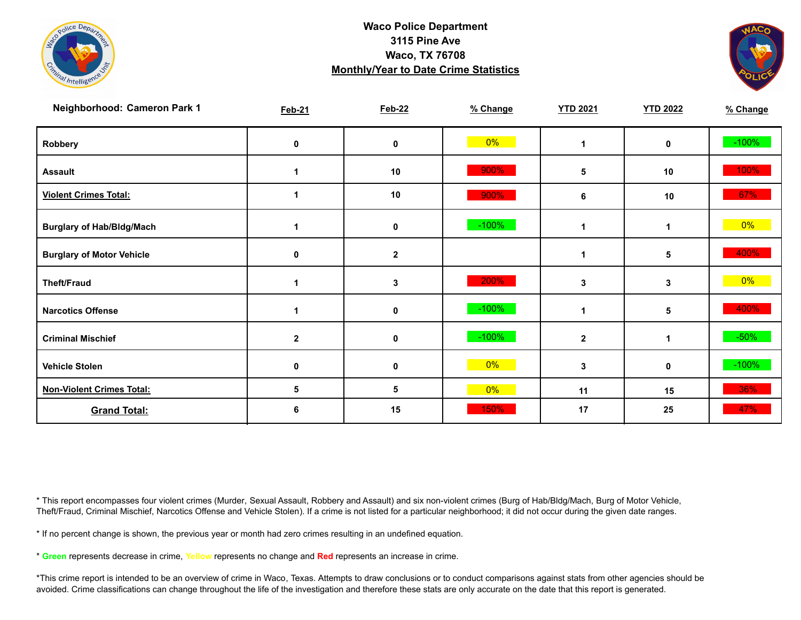



| Neighborhood: Cameron Park 1     | <b>Feb-21</b>  | <b>Feb-22</b> | % Change | <b>YTD 2021</b> | <b>YTD 2022</b> | % Change |
|----------------------------------|----------------|---------------|----------|-----------------|-----------------|----------|
| Robbery                          | 0              | 0             | $0\%$    |                 | 0               | $-100%$  |
| <b>Assault</b>                   |                | 10            | 900%     | 5               | 10              | 100%     |
| <b>Violent Crimes Total:</b>     |                | 10            | 900%     | 6               | 10              | 67%      |
| <b>Burglary of Hab/Bldg/Mach</b> |                | 0             | $-100%$  |                 | 1               | $0\%$    |
| <b>Burglary of Motor Vehicle</b> | 0              | $\mathbf{2}$  |          |                 | 5               | 400%     |
| <b>Theft/Fraud</b>               | 1              | 3             | 200%     | 3               | 3               | $0\%$    |
| <b>Narcotics Offense</b>         |                | 0             | $-100%$  |                 | 5               | 400%     |
| <b>Criminal Mischief</b>         | $\overline{2}$ | 0             | $-100%$  | $\mathbf{2}$    | $\mathbf 1$     | $-50\%$  |
| <b>Vehicle Stolen</b>            | $\mathbf 0$    | 0             | $0\%$    | 3               | 0               | $-100%$  |
| <b>Non-Violent Crimes Total:</b> | 5              | 5             | $0\%$    | 11              | 15              | 36%      |
| <b>Grand Total:</b>              | 6              | 15            | 150%     | 17              | 25              | 47%      |

\* This report encompasses four violent crimes (Murder, Sexual Assault, Robbery and Assault) and six non-violent crimes (Burg of Hab/Bldg/Mach, Burg of Motor Vehicle, Theft/Fraud, Criminal Mischief, Narcotics Offense and Vehicle Stolen). If a crime is not listed for a particular neighborhood; it did not occur during the given date ranges.

\* If no percent change is shown, the previous year or month had zero crimes resulting in an undefined equation.

\* **Green** represents decrease in crime, **Yellow** represents no change and **Red** represents an increase in crime.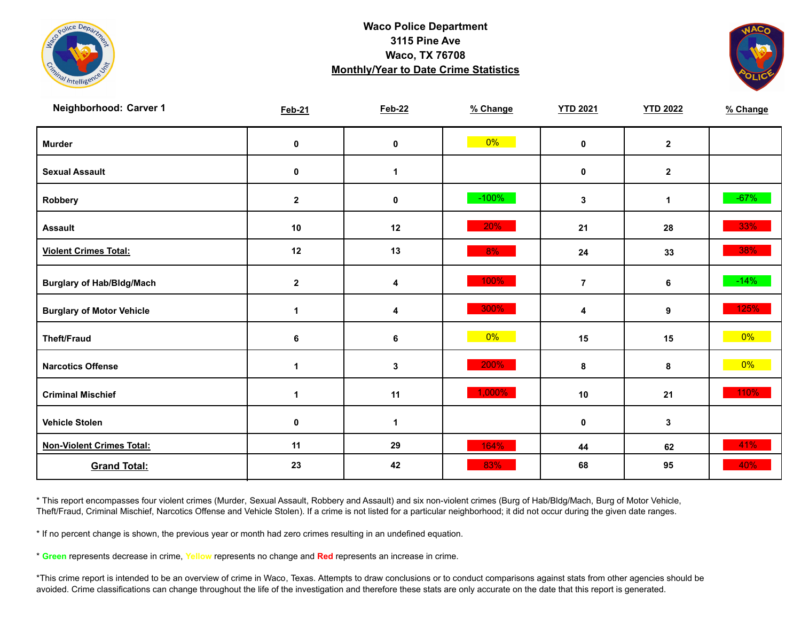



| Neighborhood: Carver 1           | <b>Feb-21</b> | <b>Feb-22</b> | % Change | <b>YTD 2021</b> | <b>YTD 2022</b> | % Change |
|----------------------------------|---------------|---------------|----------|-----------------|-----------------|----------|
| <b>Murder</b>                    | $\pmb{0}$     | $\mathbf 0$   | $0\%$    | $\mathbf 0$     | $\mathbf{2}$    |          |
| <b>Sexual Assault</b>            | $\pmb{0}$     | 1             |          | $\mathbf 0$     | $\mathbf{2}$    |          |
| Robbery                          | $\mathbf{2}$  | 0             | $-100%$  | 3               | $\mathbf{1}$    | $-67%$   |
| <b>Assault</b>                   | 10            | 12            | 20%      | 21              | 28              | 33%      |
| <b>Violent Crimes Total:</b>     | 12            | 13            | 8%       | 24              | 33              | 38%      |
| <b>Burglary of Hab/Bldg/Mach</b> | $\mathbf 2$   | 4             | 100%     | $\overline{7}$  | 6               | $-14%$   |
| <b>Burglary of Motor Vehicle</b> | 1             | 4             | 300%     | 4               | 9               | 125%     |
| <b>Theft/Fraud</b>               | 6             | 6             | $0\%$    | 15              | 15              | $0\%$    |
| <b>Narcotics Offense</b>         | $\mathbf 1$   | $\mathbf{3}$  | 200%     | 8               | 8               | $0\%$    |
| <b>Criminal Mischief</b>         | $\mathbf 1$   | 11            | 1,000%   | 10              | 21              | 110%     |
| <b>Vehicle Stolen</b>            | $\pmb{0}$     | 1             |          | $\mathbf 0$     | $\mathbf{3}$    |          |
| <b>Non-Violent Crimes Total:</b> | 11            | 29            | 164%     | 44              | 62              | 41%      |
| <b>Grand Total:</b>              | 23            | 42            | 83%      | 68              | 95              | 40%      |

\* This report encompasses four violent crimes (Murder, Sexual Assault, Robbery and Assault) and six non-violent crimes (Burg of Hab/Bldg/Mach, Burg of Motor Vehicle, Theft/Fraud, Criminal Mischief, Narcotics Offense and Vehicle Stolen). If a crime is not listed for a particular neighborhood; it did not occur during the given date ranges.

\* If no percent change is shown, the previous year or month had zero crimes resulting in an undefined equation.

\* **Green** represents decrease in crime, **Yellow** represents no change and **Red** represents an increase in crime.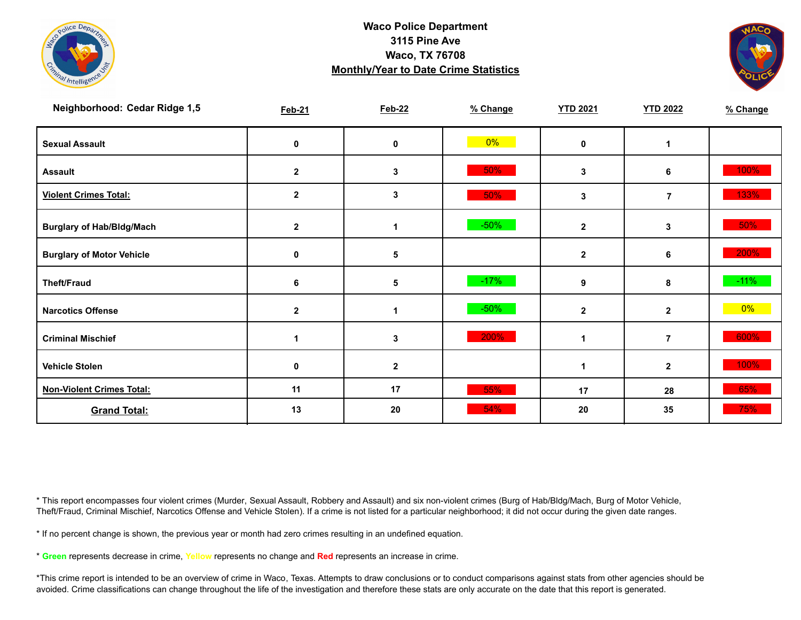



| Neighborhood: Cedar Ridge 1,5    | <b>Feb-21</b> | <b>Feb-22</b> | % Change | <b>YTD 2021</b> | <b>YTD 2022</b> | % Change |
|----------------------------------|---------------|---------------|----------|-----------------|-----------------|----------|
| <b>Sexual Assault</b>            | 0             | 0             | $0\%$    | $\mathbf{0}$    | 1               |          |
| <b>Assault</b>                   | $\mathbf{2}$  | 3             | 50%      | 3               | 6               | 100%     |
| <b>Violent Crimes Total:</b>     | $\mathbf{2}$  | 3             | 50%      | 3               | $\overline{7}$  | 133%     |
| <b>Burglary of Hab/Bldg/Mach</b> | $\mathbf{2}$  |               | $-50%$   | $\overline{2}$  | 3               | 50%      |
| <b>Burglary of Motor Vehicle</b> | 0             | 5             |          | $\overline{2}$  | 6               | 200%     |
| <b>Theft/Fraud</b>               | 6             | 5             | $-17%$   | 9               | 8               | $-11%$   |
| <b>Narcotics Offense</b>         | $\mathbf{2}$  |               | $-50%$   | $\overline{2}$  | $\mathbf{2}$    | $0\%$    |
| <b>Criminal Mischief</b>         |               | 3             | 200%     |                 | 7               | 600%     |
| <b>Vehicle Stolen</b>            | 0             | $\mathbf{2}$  |          |                 | $\mathbf{2}$    | 100%     |
| <b>Non-Violent Crimes Total:</b> | 11            | 17            | 55%      | 17              | 28              | 65%      |
| <b>Grand Total:</b>              | 13            | 20            | 54%      | 20              | 35              | 75%      |

\* This report encompasses four violent crimes (Murder, Sexual Assault, Robbery and Assault) and six non-violent crimes (Burg of Hab/Bldg/Mach, Burg of Motor Vehicle, Theft/Fraud, Criminal Mischief, Narcotics Offense and Vehicle Stolen). If a crime is not listed for a particular neighborhood; it did not occur during the given date ranges.

\* If no percent change is shown, the previous year or month had zero crimes resulting in an undefined equation.

\* **Green** represents decrease in crime, **Yellow** represents no change and **Red** represents an increase in crime.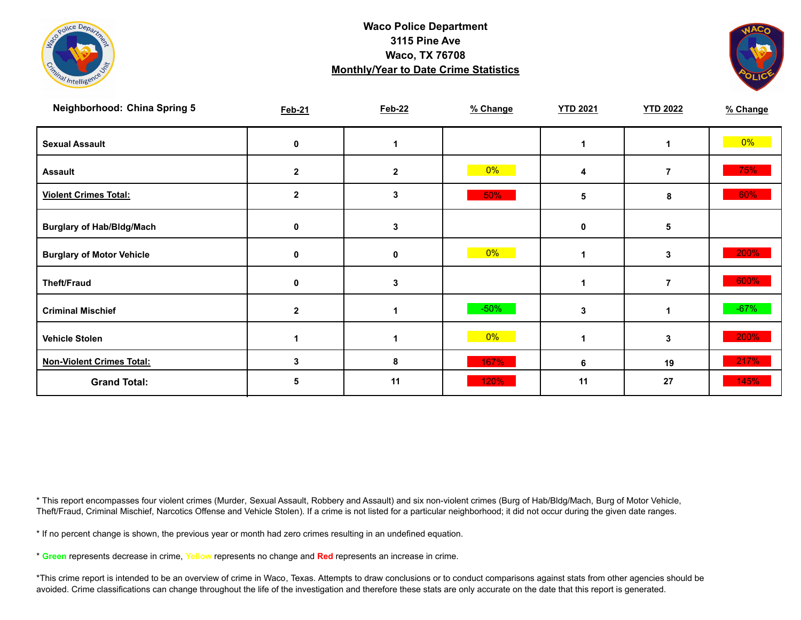



| <b>Neighborhood: China Spring 5</b> | <b>Feb-21</b> | <b>Feb-22</b> | % Change | <b>YTD 2021</b> | <b>YTD 2022</b> | % Change |
|-------------------------------------|---------------|---------------|----------|-----------------|-----------------|----------|
| <b>Sexual Assault</b>               | 0             |               |          |                 |                 | $0\%$    |
| <b>Assault</b>                      | $\mathbf{2}$  | $\mathbf{2}$  | $0\%$    | 4               | $\overline{7}$  | 75%      |
| <b>Violent Crimes Total:</b>        | 2             | 3             | 50%      | 5               | 8               | 60%      |
| <b>Burglary of Hab/Bldg/Mach</b>    | 0             | 3             |          | $\mathbf 0$     | 5               |          |
| <b>Burglary of Motor Vehicle</b>    | 0             | 0             | $0\%$    |                 | 3               | 200%     |
| <b>Theft/Fraud</b>                  | 0             | 3             |          |                 | $\overline{7}$  | 600%     |
| <b>Criminal Mischief</b>            | $\mathbf{2}$  | 1             | $-50%$   | 3               | 1               | $-67%$   |
| <b>Vehicle Stolen</b>               |               |               | $0\%$    |                 | 3               | 200%     |
| <b>Non-Violent Crimes Total:</b>    | 3             | 8             | 167%     | 6               | 19              | 217%     |
| <b>Grand Total:</b>                 | O             | 11            | 120%     | 11              | 27              | 145%     |

\* This report encompasses four violent crimes (Murder, Sexual Assault, Robbery and Assault) and six non-violent crimes (Burg of Hab/Bldg/Mach, Burg of Motor Vehicle, Theft/Fraud, Criminal Mischief, Narcotics Offense and Vehicle Stolen). If a crime is not listed for a particular neighborhood; it did not occur during the given date ranges.

\* If no percent change is shown, the previous year or month had zero crimes resulting in an undefined equation.

\* **Green** represents decrease in crime, **Yellow** represents no change and **Red** represents an increase in crime.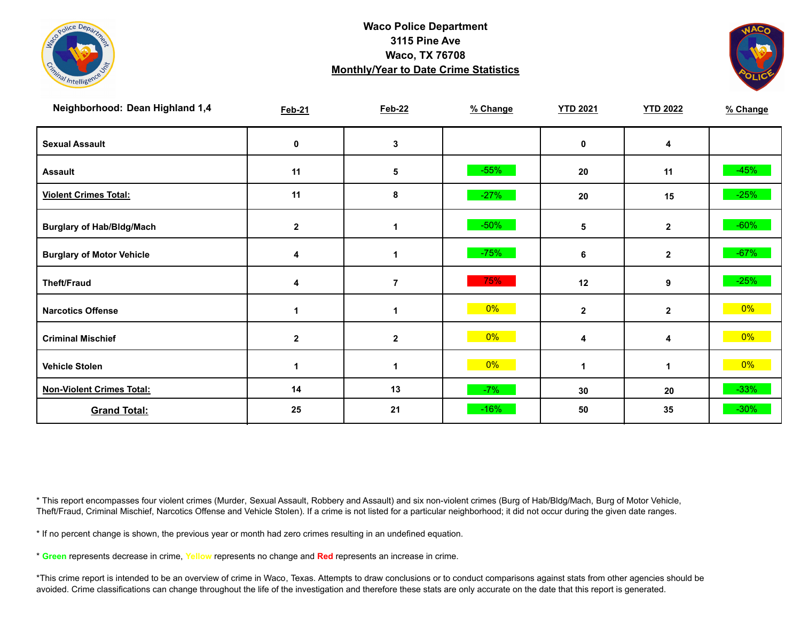



| Neighborhood: Dean Highland 1,4  | <b>Feb-21</b> | <b>Feb-22</b>    | % Change | <b>YTD 2021</b> | <b>YTD 2022</b> | % Change |
|----------------------------------|---------------|------------------|----------|-----------------|-----------------|----------|
| <b>Sexual Assault</b>            | 0             | 3                |          | $\mathbf 0$     | 4               |          |
| <b>Assault</b>                   | 11            | 5                | $-55%$   | 20              | 11              | $-45%$   |
| <b>Violent Crimes Total:</b>     | 11            | 8                | $-27%$   | 20              | 15              | $-25%$   |
| <b>Burglary of Hab/Bldg/Mach</b> | $\mathbf{2}$  |                  | $-50%$   | 5               | $\mathbf{2}$    | $-60%$   |
| <b>Burglary of Motor Vehicle</b> | 4             | 1                | $-75%$   | 6               | $\mathbf{2}$    | $-67%$   |
| <b>Theft/Fraud</b>               | 4             | $\overline{7}$   | 75%      | 12              | 9               | $-25%$   |
| <b>Narcotics Offense</b>         |               |                  | 0%       | $\mathbf{2}$    | $\mathbf{2}$    | $0\%$    |
| <b>Criminal Mischief</b>         | $\mathbf{2}$  | $\boldsymbol{2}$ | 0%       | 4               | 4               | $0\%$    |
| <b>Vehicle Stolen</b>            | 1             |                  | $0\%$    |                 | 1               | $0\%$    |
| <b>Non-Violent Crimes Total:</b> | 14            | 13               | $-7%$    | 30              | 20              | $-33%$   |
| <b>Grand Total:</b>              | 25            | 21               | $-16%$   | 50              | 35              | $-30%$   |

\* This report encompasses four violent crimes (Murder, Sexual Assault, Robbery and Assault) and six non-violent crimes (Burg of Hab/Bldg/Mach, Burg of Motor Vehicle, Theft/Fraud, Criminal Mischief, Narcotics Offense and Vehicle Stolen). If a crime is not listed for a particular neighborhood; it did not occur during the given date ranges.

\* If no percent change is shown, the previous year or month had zero crimes resulting in an undefined equation.

\* **Green** represents decrease in crime, **Yellow** represents no change and **Red** represents an increase in crime.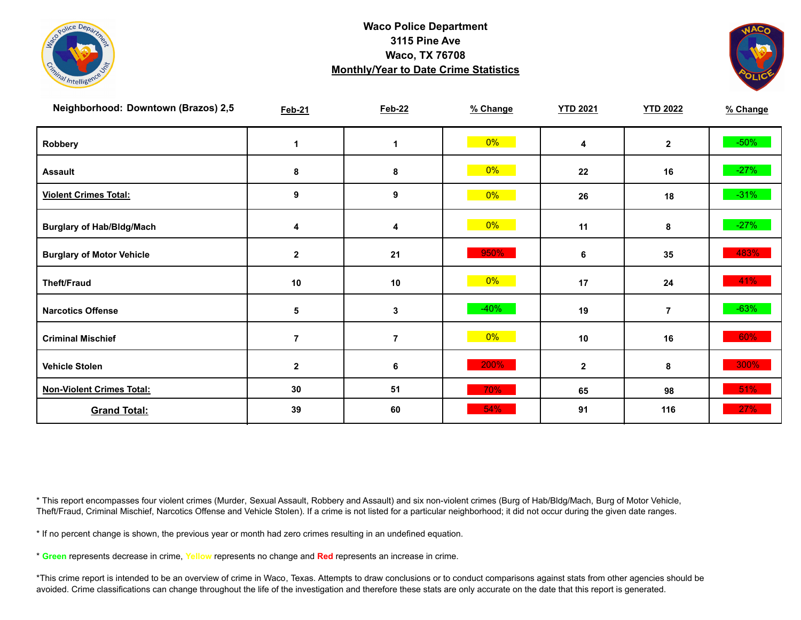



| Neighborhood: Downtown (Brazos) 2,5 | <b>Feb-21</b>  | <b>Feb-22</b>  | % Change | <b>YTD 2021</b> | <b>YTD 2022</b> | % Change |
|-------------------------------------|----------------|----------------|----------|-----------------|-----------------|----------|
| Robbery                             |                | 1              | $0\%$    | 4               | $\mathbf{2}$    | $-50\%$  |
| <b>Assault</b>                      | 8              | 8              | $0\%$    | 22              | 16              | $-27%$   |
| <b>Violent Crimes Total:</b>        | 9              | 9              | $0\%$    | 26              | 18              | $-31\%$  |
| <b>Burglary of Hab/Bldg/Mach</b>    | 4              | 4              | 0%       | 11              | 8               | $-27%$   |
| <b>Burglary of Motor Vehicle</b>    | $\mathbf 2$    | 21             | 950%     | 6               | 35              | 483%     |
| <b>Theft/Fraud</b>                  | $10$           | 10             | 0%       | 17              | 24              | 41%      |
| <b>Narcotics Offense</b>            | 5              | 3              | $-40%$   | 19              | $\overline{7}$  | $-63%$   |
| <b>Criminal Mischief</b>            | $\overline{7}$ | $\overline{7}$ | $0\%$    | 10              | 16              | 60%      |
| <b>Vehicle Stolen</b>               | $\mathbf 2$    | 6              | 200%     | $\mathbf{2}$    | 8               | 300%     |
| <b>Non-Violent Crimes Total:</b>    | 30             | 51             | 70%      | 65              | 98              | 51%      |
| <b>Grand Total:</b>                 | 39             | 60             | 54%      | 91              | 116             | 27%      |

\* This report encompasses four violent crimes (Murder, Sexual Assault, Robbery and Assault) and six non-violent crimes (Burg of Hab/Bldg/Mach, Burg of Motor Vehicle, Theft/Fraud, Criminal Mischief, Narcotics Offense and Vehicle Stolen). If a crime is not listed for a particular neighborhood; it did not occur during the given date ranges.

\* If no percent change is shown, the previous year or month had zero crimes resulting in an undefined equation.

\* **Green** represents decrease in crime, **Yellow** represents no change and **Red** represents an increase in crime.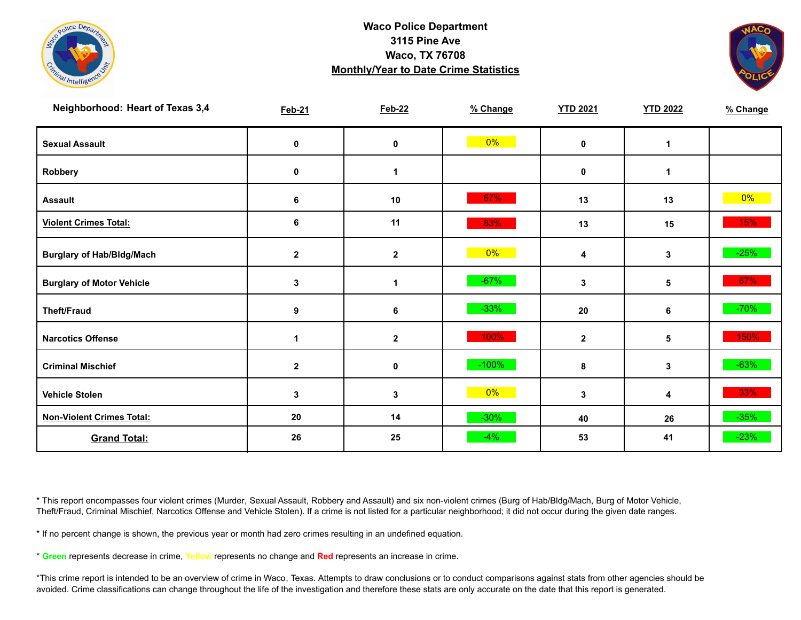



| Neighborhood: Heart of Texas 3,4 | <b>Feb-21</b> | <b>Feb-22</b>        | % Change | <b>YTD 2021</b> | <b>YTD 2022</b> | % Change |
|----------------------------------|---------------|----------------------|----------|-----------------|-----------------|----------|
| <b>Sexual Assault</b>            | 0             | 0                    | $0\%$    | 0               | 1               |          |
| Robbery                          | 0             | $\blacktriangleleft$ |          | 0               | 1               |          |
| <b>Assault</b>                   | 6             | 10                   | 67%      | 13              | 13              | $0\%$    |
| <b>Violent Crimes Total:</b>     | 6             | 11                   | 83%      | 13              | 15              | 15%      |
| <b>Burglary of Hab/Bldg/Mach</b> | $\mathbf{2}$  | $\mathbf{2}$         | $0\%$    | 4               | 3               | $-25%$   |
| <b>Burglary of Motor Vehicle</b> | 3             | 1                    | $-67%$   | 3               | 5               | 67%      |
| <b>Theft/Fraud</b>               | 9             | 6                    | $-33%$   | 20              | 6               | $-70%$   |
| <b>Narcotics Offense</b>         | 1             | $\mathbf 2$          | 100%     | $\mathbf{2}$    | 5               | 150%     |
| <b>Criminal Mischief</b>         | $\mathbf{2}$  | $\mathbf 0$          | $-100%$  | 8               | 3               | $-63%$   |
| <b>Vehicle Stolen</b>            | 3             | 3                    | $0\%$    | 3               | 4               | 33%      |
| <b>Non-Violent Crimes Total:</b> | 20            | 14                   | $-30%$   | 40              | 26              | $-35%$   |
| <b>Grand Total:</b>              | 26            | 25                   | $-4%$    | 53              | 41              | $-23%$   |

\* This report encompasses four violent crimes (Murder, Sexual Assault, Robbery and Assault) and six non-violent crimes (Burg of Hab/Bldg/Mach, Burg of Motor Vehicle, Theft/Fraud, Criminal Mischief, Narcotics Offense and Vehicle Stolen). If a crime is not listed for a particular neighborhood; it did not occur during the given date ranges.

\* If no percent change is shown, the previous year or month had zero crimes resulting in an undefined equation.

\* **Green** represents decrease in crime, **Yellow** represents no change and **Red** represents an increase in crime.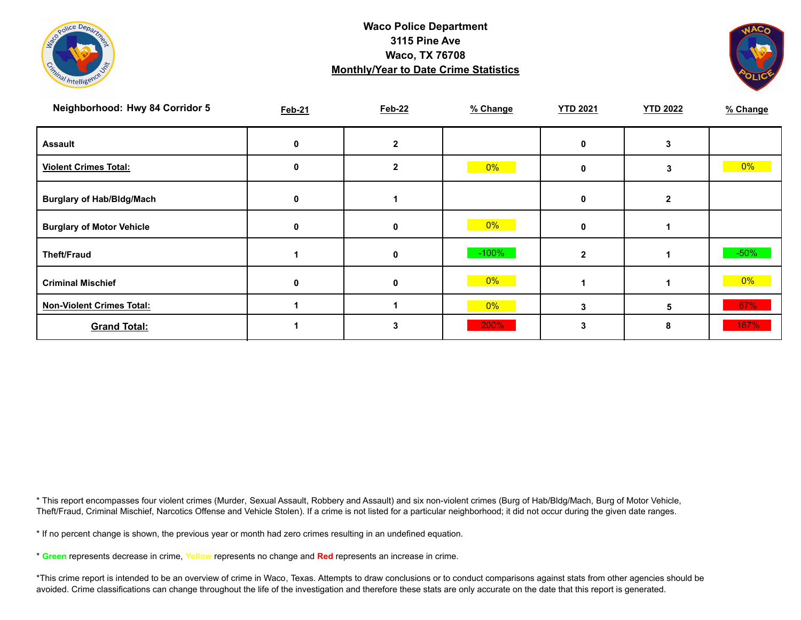



| Neighborhood: Hwy 84 Corridor 5  | <b>Feb-21</b> | <b>Feb-22</b> | % Change | <b>YTD 2021</b> | <b>YTD 2022</b> | % Change |
|----------------------------------|---------------|---------------|----------|-----------------|-----------------|----------|
| <b>Assault</b>                   |               |               |          |                 |                 |          |
| <b>Violent Crimes Total:</b>     | 0             |               | $0\%$    | ŋ               | 3               | $0\%$    |
| <b>Burglary of Hab/Bldg/Mach</b> | <sup>0</sup>  |               |          | 0               | $\overline{2}$  |          |
| <b>Burglary of Motor Vehicle</b> | U             | 0             | $0\%$    | 0               |                 |          |
| <b>Theft/Fraud</b>               |               | $\mathbf 0$   | $-100%$  |                 |                 | $-50%$   |
| <b>Criminal Mischief</b>         |               | 0             | $0\%$    |                 |                 | $0\%$    |
| <b>Non-Violent Crimes Total:</b> |               |               | $0\%$    |                 | 5               | 67%      |
| <b>Grand Total:</b>              |               |               | 200%     | 3               | 8               | 167%     |

\* This report encompasses four violent crimes (Murder, Sexual Assault, Robbery and Assault) and six non-violent crimes (Burg of Hab/Bldg/Mach, Burg of Motor Vehicle, Theft/Fraud, Criminal Mischief, Narcotics Offense and Vehicle Stolen). If a crime is not listed for a particular neighborhood; it did not occur during the given date ranges.

\* If no percent change is shown, the previous year or month had zero crimes resulting in an undefined equation.

\* **Green** represents decrease in crime, **Yellow** represents no change and **Red** represents an increase in crime.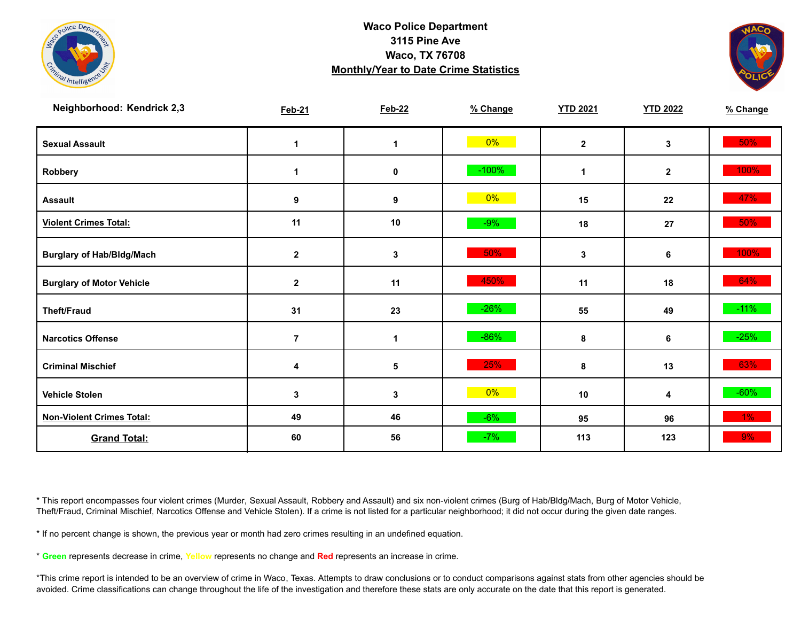



| Neighborhood: Kendrick 2,3       | <b>Feb-21</b>    | <b>Feb-22</b>        | % Change | <b>YTD 2021</b> | <b>YTD 2022</b> | % Change |
|----------------------------------|------------------|----------------------|----------|-----------------|-----------------|----------|
| <b>Sexual Assault</b>            | 1                | $\blacktriangleleft$ | 0%       | $\mathbf{2}$    | 3               | 50%      |
| Robbery                          | $\mathbf 1$      | 0                    | $-100%$  | $\mathbf 1$     | $\mathbf{2}$    | 100%     |
| <b>Assault</b>                   | 9                | 9                    | $0\%$    | 15              | 22              | 47%      |
| <b>Violent Crimes Total:</b>     | 11               | 10                   | $-9%$    | 18              | 27              | 50%      |
| <b>Burglary of Hab/Bldg/Mach</b> | $\boldsymbol{2}$ | $\mathbf 3$          | 50%      | 3               | 6               | 100%     |
| <b>Burglary of Motor Vehicle</b> | $\mathbf 2$      | 11                   | 450%     | 11              | 18              | 64%      |
| <b>Theft/Fraud</b>               | 31               | 23                   | $-26%$   | 55              | 49              | $-11\%$  |
| <b>Narcotics Offense</b>         | $\overline{7}$   | $\mathbf{1}$         | $-86%$   | 8               | 6               | $-25%$   |
| <b>Criminal Mischief</b>         | 4                | 5                    | 25%      | 8               | 13              | 63%      |
| <b>Vehicle Stolen</b>            | 3                | $\mathbf{3}$         | $0\%$    | 10              | 4               | $-60%$   |
| <b>Non-Violent Crimes Total:</b> | 49               | 46                   | $-6%$    | 95              | 96              | $1\%$    |
| <b>Grand Total:</b>              | 60               | 56                   | $-7%$    | 113             | 123             | 9%       |

\* This report encompasses four violent crimes (Murder, Sexual Assault, Robbery and Assault) and six non-violent crimes (Burg of Hab/Bldg/Mach, Burg of Motor Vehicle, Theft/Fraud, Criminal Mischief, Narcotics Offense and Vehicle Stolen). If a crime is not listed for a particular neighborhood; it did not occur during the given date ranges.

\* If no percent change is shown, the previous year or month had zero crimes resulting in an undefined equation.

\* **Green** represents decrease in crime, **Yellow** represents no change and **Red** represents an increase in crime.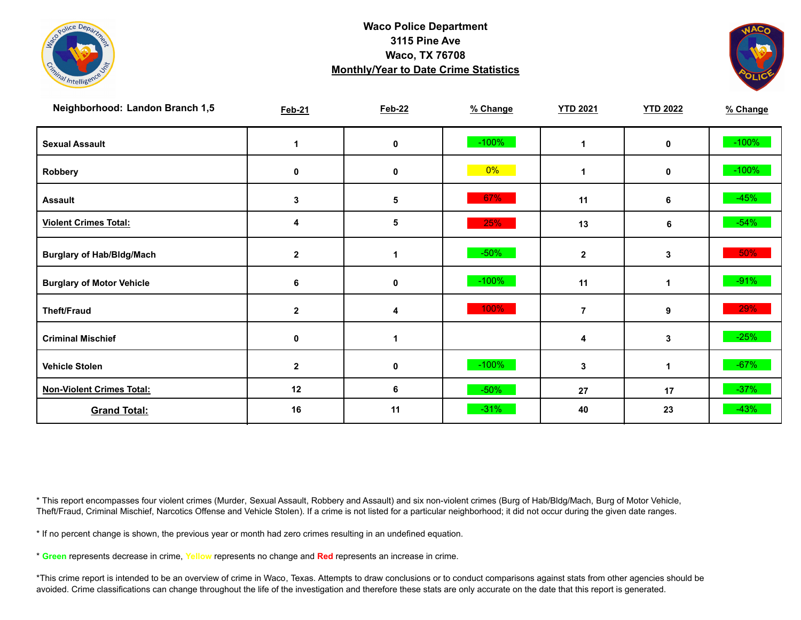



| Neighborhood: Landon Branch 1,5  | <b>Feb-21</b> | <b>Feb-22</b> | % Change | <b>YTD 2021</b> | <b>YTD 2022</b>  | % Change |
|----------------------------------|---------------|---------------|----------|-----------------|------------------|----------|
| <b>Sexual Assault</b>            |               | 0             | $-100%$  | 1               | 0                | $-100%$  |
| Robbery                          | 0             | 0             | 0%       | 1               | 0                | $-100%$  |
| <b>Assault</b>                   | 3             | 5             | 67%      | 11              | 6                | $-45%$   |
| <b>Violent Crimes Total:</b>     | 4             | 5             | 25%      | 13              | 6                | $-54%$   |
| <b>Burglary of Hab/Bldg/Mach</b> | $\mathbf{2}$  | 1             | $-50%$   | $\mathbf 2$     | 3                | $50\%$   |
| <b>Burglary of Motor Vehicle</b> | 6             | 0             | $-100%$  | 11              | 1                | $-91%$   |
| <b>Theft/Fraud</b>               | $\mathbf{2}$  | 4             | 100%     | 7               | $\boldsymbol{9}$ | 29%      |
| <b>Criminal Mischief</b>         | 0             | 1             |          | 4               | 3                | $-25%$   |
| <b>Vehicle Stolen</b>            | $\mathbf{2}$  | 0             | $-100%$  | 3               | 1                | $-67%$   |
| <b>Non-Violent Crimes Total:</b> | 12            | 6             | $-50%$   | 27              | 17               | $-37%$   |
| <b>Grand Total:</b>              | 16            | 11            | $-31%$   | 40              | 23               | $-43%$   |

\* This report encompasses four violent crimes (Murder, Sexual Assault, Robbery and Assault) and six non-violent crimes (Burg of Hab/Bldg/Mach, Burg of Motor Vehicle, Theft/Fraud, Criminal Mischief, Narcotics Offense and Vehicle Stolen). If a crime is not listed for a particular neighborhood; it did not occur during the given date ranges.

\* If no percent change is shown, the previous year or month had zero crimes resulting in an undefined equation.

\* **Green** represents decrease in crime, **Yellow** represents no change and **Red** represents an increase in crime.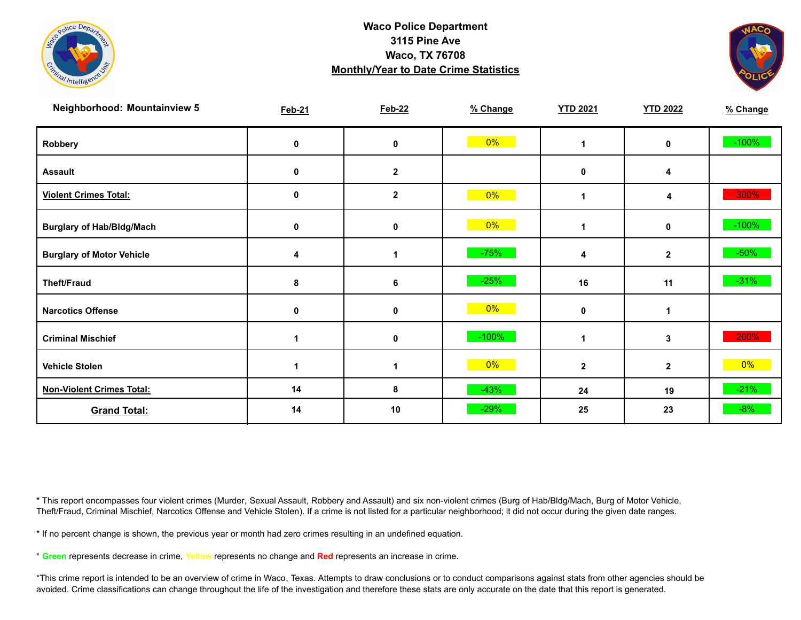



| <b>Neighborhood: Mountainview 5</b> | <b>Feb-21</b> | <b>Feb-22</b> | % Change | <b>YTD 2021</b> | <b>YTD 2022</b> | % Change |
|-------------------------------------|---------------|---------------|----------|-----------------|-----------------|----------|
| Robbery                             | 0             | 0             | $0\%$    | 1               | 0               | $-100%$  |
| <b>Assault</b>                      | 0             | $\mathbf{2}$  |          | 0               | 4               |          |
| <b>Violent Crimes Total:</b>        | 0             | $\mathbf 2$   | 0%       | 1               | 4               | 300%     |
| <b>Burglary of Hab/Bldg/Mach</b>    | 0             | 0             | $0\%$    | 1               | $\mathbf 0$     | $-100%$  |
| <b>Burglary of Motor Vehicle</b>    | 4             | 1             | $-75%$   | 4               | $\mathbf{2}$    | $-50\%$  |
| <b>Theft/Fraud</b>                  | 8             | 6             | $-25%$   | 16              | 11              | $-31%$   |
| <b>Narcotics Offense</b>            | 0             | 0             | 0%       | 0               |                 |          |
| <b>Criminal Mischief</b>            | 1             | 0             | $-100%$  | 1               | 3               | 200%     |
| <b>Vehicle Stolen</b>               | 1             | 1             | $0\%$    | $\mathbf{2}$    | $\mathbf{2}$    | $0\%$    |
| <b>Non-Violent Crimes Total:</b>    | 14            | 8             | $-43%$   | 24              | 19              | $-21%$   |
| <b>Grand Total:</b>                 | 14            | 10            | $-29%$   | 25              | 23              | $-8%$    |

\* This report encompasses four violent crimes (Murder, Sexual Assault, Robbery and Assault) and six non-violent crimes (Burg of Hab/Bldg/Mach, Burg of Motor Vehicle, Theft/Fraud, Criminal Mischief, Narcotics Offense and Vehicle Stolen). If a crime is not listed for a particular neighborhood; it did not occur during the given date ranges.

\* If no percent change is shown, the previous year or month had zero crimes resulting in an undefined equation.

\* **Green** represents decrease in crime, **Yellow** represents no change and **Red** represents an increase in crime.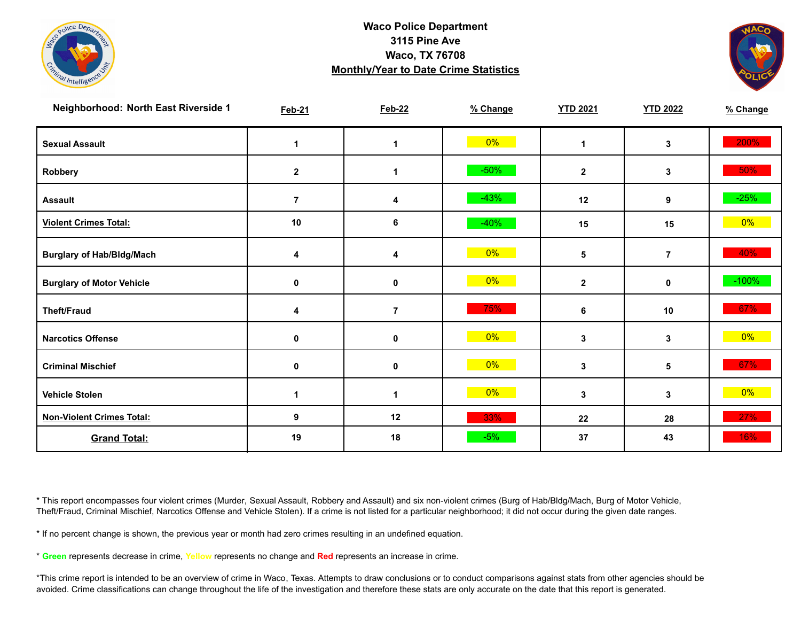



| Neighborhood: North East Riverside 1 | <b>Feb-21</b>  | <b>Feb-22</b>  | % Change | <b>YTD 2021</b> | <b>YTD 2022</b> | % Change |
|--------------------------------------|----------------|----------------|----------|-----------------|-----------------|----------|
| <b>Sexual Assault</b>                | -1             | $\mathbf 1$    | 0%       | $\mathbf 1$     | 3               | 200%     |
| Robbery                              | $\mathbf{2}$   | 1              | $-50%$   | $\mathbf{2}$    | 3               | $50\%$   |
| <b>Assault</b>                       | $\overline{7}$ | 4              | $-43%$   | 12              | 9               | $-25%$   |
| <b>Violent Crimes Total:</b>         | 10             | 6              | $-40%$   | 15              | 15              | $0\%$    |
| <b>Burglary of Hab/Bldg/Mach</b>     | 4              | 4              | $0\%$    | 5               | $\overline{7}$  | 40%      |
| <b>Burglary of Motor Vehicle</b>     | 0              | 0              | 0%       | $\mathbf{2}$    | 0               | $-100%$  |
| <b>Theft/Fraud</b>                   | 4              | $\overline{7}$ | 75%      | 6               | 10              | 67%      |
| <b>Narcotics Offense</b>             | 0              | $\pmb{0}$      | $0\%$    | 3               | 3               | $0\%$    |
| <b>Criminal Mischief</b>             | 0              | $\pmb{0}$      | $0\%$    | 3               | 5               | 67%      |
| <b>Vehicle Stolen</b>                |                | 1              | 0%       | 3               | 3               | $0\%$    |
| <b>Non-Violent Crimes Total:</b>     | 9              | 12             | 33%      | 22              | 28              | 27%      |
| <b>Grand Total:</b>                  | 19             | 18             | $-5%$    | 37              | 43              | 16%      |

\* This report encompasses four violent crimes (Murder, Sexual Assault, Robbery and Assault) and six non-violent crimes (Burg of Hab/Bldg/Mach, Burg of Motor Vehicle, Theft/Fraud, Criminal Mischief, Narcotics Offense and Vehicle Stolen). If a crime is not listed for a particular neighborhood; it did not occur during the given date ranges.

\* If no percent change is shown, the previous year or month had zero crimes resulting in an undefined equation.

\* **Green** represents decrease in crime, **Yellow** represents no change and **Red** represents an increase in crime.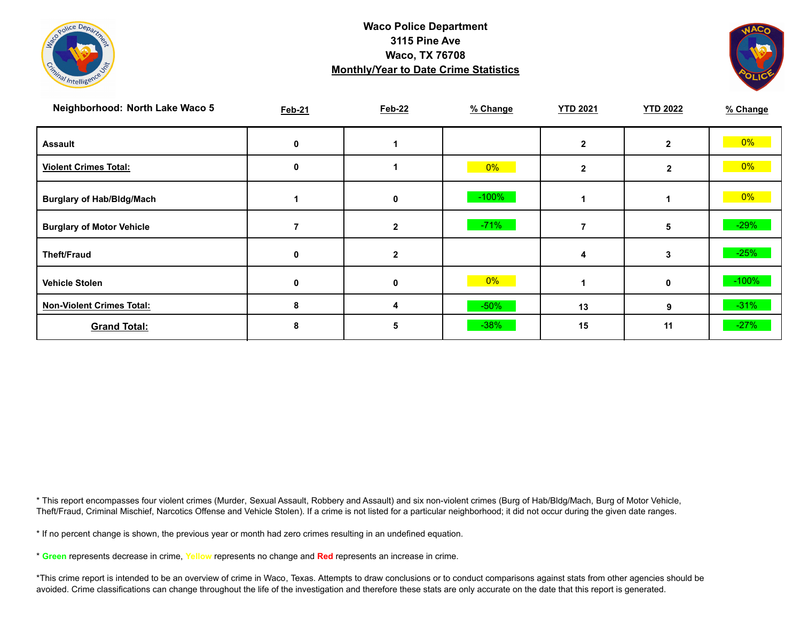



| Neighborhood: North Lake Waco 5  | <b>Feb-21</b> | <b>Feb-22</b> | % Change | <b>YTD 2021</b> | <b>YTD 2022</b> | % Change |
|----------------------------------|---------------|---------------|----------|-----------------|-----------------|----------|
| <b>Assault</b>                   |               |               |          |                 | $\mathbf{2}$    | 0%       |
| <b>Violent Crimes Total:</b>     | 0             |               | $0\%$    | 2               | $\mathbf{2}$    | $0\%$    |
| <b>Burglary of Hab/Bldg/Mach</b> |               | 0             | $-100%$  |                 |                 | $0\%$    |
| <b>Burglary of Motor Vehicle</b> |               | 2             | $-71%$   |                 | 5               | $-29%$   |
| <b>Theft/Fraud</b>               | 0             | 2             |          | 4               | 3               | $-25%$   |
| <b>Vehicle Stolen</b>            |               |               | $0\%$    |                 | $\mathbf 0$     | $-100%$  |
| <b>Non-Violent Crimes Total:</b> | 8             | 4             | $-50%$   | 13              | 9               | $-31%$   |
| <b>Grand Total:</b>              |               | h             | $-38%$   | 15              | 11              | $-27%$   |

\* This report encompasses four violent crimes (Murder, Sexual Assault, Robbery and Assault) and six non-violent crimes (Burg of Hab/Bldg/Mach, Burg of Motor Vehicle, Theft/Fraud, Criminal Mischief, Narcotics Offense and Vehicle Stolen). If a crime is not listed for a particular neighborhood; it did not occur during the given date ranges.

\* If no percent change is shown, the previous year or month had zero crimes resulting in an undefined equation.

\* **Green** represents decrease in crime, **Yellow** represents no change and **Red** represents an increase in crime.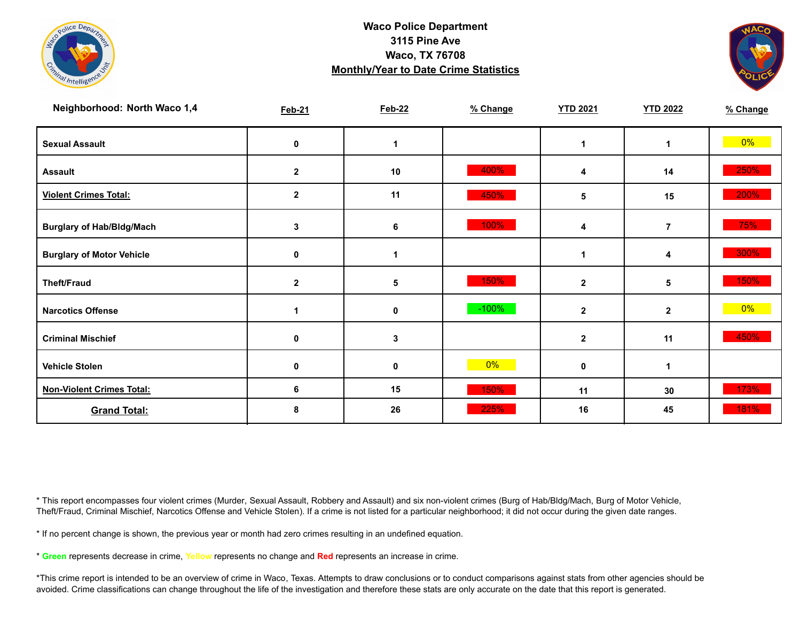



| Neighborhood: North Waco 1,4     | <b>Feb-21</b> | <b>Feb-22</b> | % Change | <b>YTD 2021</b>         | <b>YTD 2022</b> | % Change |
|----------------------------------|---------------|---------------|----------|-------------------------|-----------------|----------|
| <b>Sexual Assault</b>            | 0             | 1             |          |                         | 1               | $0\%$    |
| <b>Assault</b>                   | $\mathbf{2}$  | 10            | 400%     | 4                       | 14              | 250%     |
| <b>Violent Crimes Total:</b>     | 2             | 11            | 450%     | 5                       | 15              | 200%     |
| <b>Burglary of Hab/Bldg/Mach</b> | 3             | 6             | 100%     | 4                       | $\overline{7}$  | 75%      |
| <b>Burglary of Motor Vehicle</b> | 0             | 1             |          |                         | 4               | 300%     |
| <b>Theft/Fraud</b>               | $\mathbf{2}$  | 5             | 150%     | $\mathbf{2}$            | 5               | 150%     |
| <b>Narcotics Offense</b>         |               | 0             | $-100%$  | $\overline{\mathbf{2}}$ | $\mathbf{2}$    | 0%       |
| <b>Criminal Mischief</b>         | 0             | 3             |          | $\mathbf 2$             | 11              | 450%     |
| <b>Vehicle Stolen</b>            | 0             | 0             | 0%       | 0                       | 1               |          |
| <b>Non-Violent Crimes Total:</b> | 6             | 15            | 150%     | 11                      | 30              | 173%     |
| <b>Grand Total:</b>              | 8             | 26            | 225%     | 16                      | 45              | 181%     |

\* This report encompasses four violent crimes (Murder, Sexual Assault, Robbery and Assault) and six non-violent crimes (Burg of Hab/Bldg/Mach, Burg of Motor Vehicle, Theft/Fraud, Criminal Mischief, Narcotics Offense and Vehicle Stolen). If a crime is not listed for a particular neighborhood; it did not occur during the given date ranges.

\* If no percent change is shown, the previous year or month had zero crimes resulting in an undefined equation.

\* **Green** represents decrease in crime, **Yellow** represents no change and **Red** represents an increase in crime.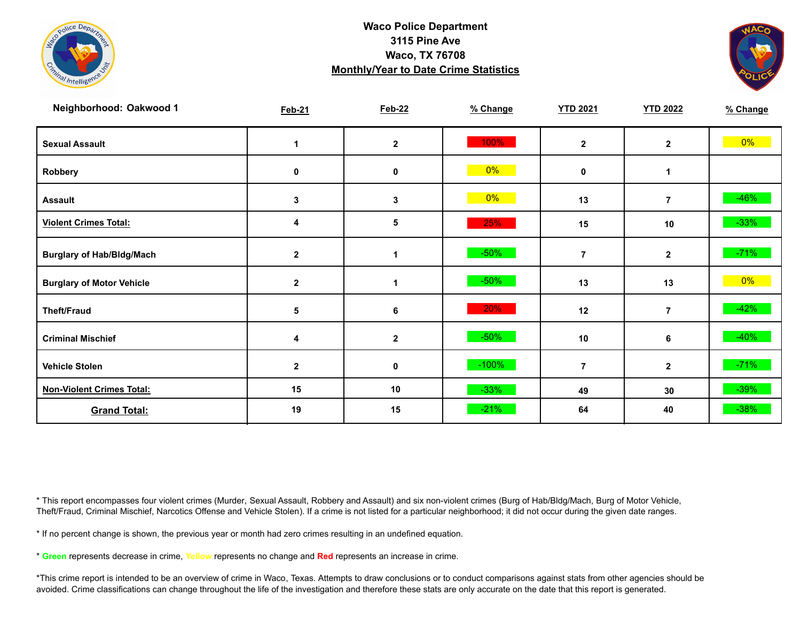



| Neighborhood: Oakwood 1          | <b>Feb-21</b> | <b>Feb-22</b>    | % Change | <b>YTD 2021</b> | <b>YTD 2022</b> | % Change |
|----------------------------------|---------------|------------------|----------|-----------------|-----------------|----------|
| <b>Sexual Assault</b>            |               | $\boldsymbol{2}$ | 100%     | $\mathbf{2}$    | $\mathbf{2}$    | $0\%$    |
| Robbery                          | 0             | 0                | 0%       | $\mathbf 0$     | 1               |          |
| <b>Assault</b>                   | 3             | 3                | $0\%$    | 13              | $\overline{7}$  | $-46%$   |
| <b>Violent Crimes Total:</b>     | 4             | 5                | 25%      | 15              | 10              | $-33%$   |
| <b>Burglary of Hab/Bldg/Mach</b> | $\mathbf 2$   | 1                | $-50%$   | $\overline{7}$  | $\mathbf{2}$    | $-71%$   |
| <b>Burglary of Motor Vehicle</b> | $\mathbf{2}$  | 1                | $-50%$   | 13              | 13              | $0\%$    |
| <b>Theft/Fraud</b>               | 5             | 6                | 20%      | 12              | $\overline{7}$  | $-42%$   |
| <b>Criminal Mischief</b>         | 4             | $\boldsymbol{2}$ | $-50%$   | 10              | 6               | $-40%$   |
| <b>Vehicle Stolen</b>            | $\mathbf{2}$  | 0                | $-100%$  | $\overline{7}$  | $\mathbf{2}$    | $-71%$   |
| <b>Non-Violent Crimes Total:</b> | 15            | 10               | $-33%$   | 49              | 30              | $-39%$   |
| <b>Grand Total:</b>              | 19            | 15               | $-21%$   | 64              | 40              | $-38%$   |

\* This report encompasses four violent crimes (Murder, Sexual Assault, Robbery and Assault) and six non-violent crimes (Burg of Hab/Bldg/Mach, Burg of Motor Vehicle, Theft/Fraud, Criminal Mischief, Narcotics Offense and Vehicle Stolen). If a crime is not listed for a particular neighborhood; it did not occur during the given date ranges.

\* If no percent change is shown, the previous year or month had zero crimes resulting in an undefined equation.

\* **Green** represents decrease in crime, **Yellow** represents no change and **Red** represents an increase in crime.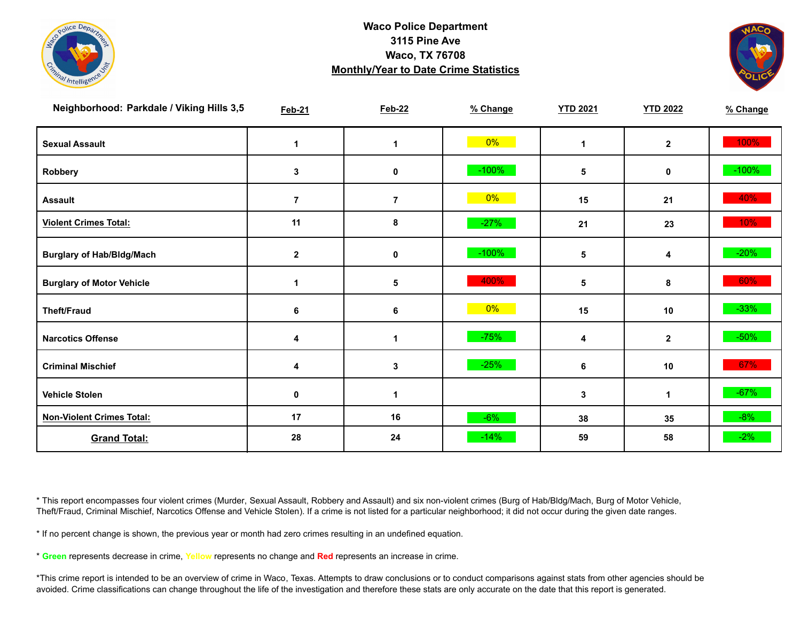



| Neighborhood: Parkdale / Viking Hills 3,5 | <b>Feb-21</b>    | <b>Feb-22</b>  | % Change | <b>YTD 2021</b> | <b>YTD 2022</b> | % Change |
|-------------------------------------------|------------------|----------------|----------|-----------------|-----------------|----------|
| <b>Sexual Assault</b>                     | 1                | 1              | $0\%$    | $\mathbf 1$     | $\mathbf{2}$    | 100%     |
| Robbery                                   | 3                | 0              | $-100%$  | 5               | 0               | $-100%$  |
| <b>Assault</b>                            | $\overline{7}$   | $\overline{7}$ | $0\%$    | 15              | 21              | 40%      |
| <b>Violent Crimes Total:</b>              | 11               | 8              | $-27%$   | 21              | 23              | 10%      |
| <b>Burglary of Hab/Bldg/Mach</b>          | $\boldsymbol{2}$ | $\pmb{0}$      | $-100\%$ | 5               | 4               | $-20%$   |
| <b>Burglary of Motor Vehicle</b>          | 1                | 5              | 400%     | 5               | 8               | 60%      |
| <b>Theft/Fraud</b>                        | 6                | $\bf 6$        | $0\%$    | 15              | 10              | $-33%$   |
| <b>Narcotics Offense</b>                  | 4                | $\mathbf{1}$   | $-75%$   | 4               | $\mathbf{2}$    | $-50%$   |
| <b>Criminal Mischief</b>                  | 4                | 3              | $-25%$   | 6               | 10              | 67%      |
| <b>Vehicle Stolen</b>                     | $\mathbf 0$      | 1              |          | 3               | 1               | $-67%$   |
| <b>Non-Violent Crimes Total:</b>          | 17               | 16             | $-6%$    | 38              | 35              | $-8%$    |
| <b>Grand Total:</b>                       | 28               | 24             | $-14%$   | 59              | 58              | $-2%$    |

\* This report encompasses four violent crimes (Murder, Sexual Assault, Robbery and Assault) and six non-violent crimes (Burg of Hab/Bldg/Mach, Burg of Motor Vehicle, Theft/Fraud, Criminal Mischief, Narcotics Offense and Vehicle Stolen). If a crime is not listed for a particular neighborhood; it did not occur during the given date ranges.

\* If no percent change is shown, the previous year or month had zero crimes resulting in an undefined equation.

\* **Green** represents decrease in crime, **Yellow** represents no change and **Red** represents an increase in crime.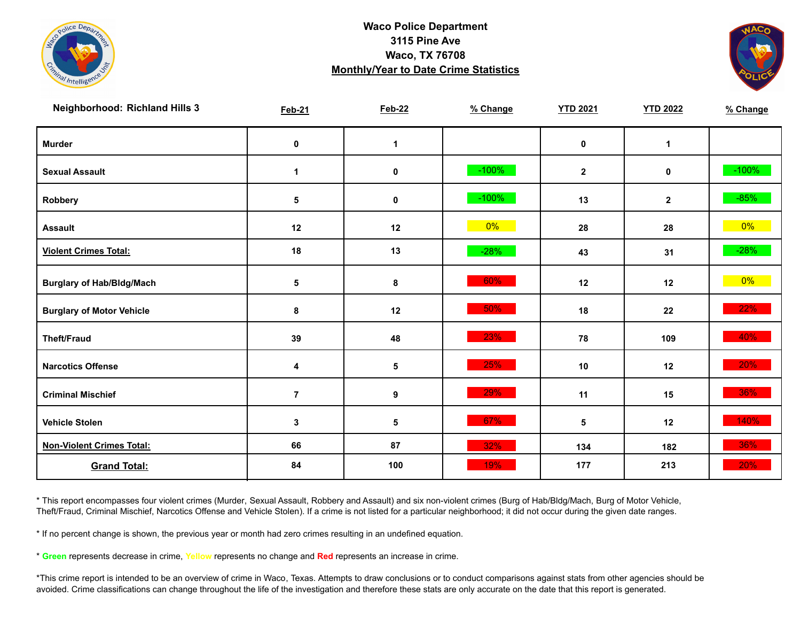



| <b>Neighborhood: Richland Hills 3</b> | <b>Feb-21</b>  | <b>Feb-22</b> | % Change | <b>YTD 2021</b> | <b>YTD 2022</b> | % Change |
|---------------------------------------|----------------|---------------|----------|-----------------|-----------------|----------|
| <b>Murder</b>                         | $\pmb{0}$      | $\mathbf{1}$  |          | $\mathbf 0$     | $\mathbf{1}$    |          |
| <b>Sexual Assault</b>                 | 1              | 0             | $-100%$  | $\mathbf{2}$    | $\mathbf 0$     | $-100%$  |
| Robbery                               | 5              | $\pmb{0}$     | $-100%$  | 13              | $\mathbf{2}$    | $-85%$   |
| <b>Assault</b>                        | 12             | 12            | $0\%$    | 28              | 28              | $0\%$    |
| <b>Violent Crimes Total:</b>          | 18             | 13            | $-28%$   | 43              | 31              | $-28%$   |
| <b>Burglary of Hab/Bldg/Mach</b>      | 5              | 8             | 60%      | 12              | 12              | $0\%$    |
| <b>Burglary of Motor Vehicle</b>      | 8              | 12            | 50%      | 18              | 22              | 22%      |
| <b>Theft/Fraud</b>                    | 39             | 48            | 23%      | 78              | 109             | 40%      |
| <b>Narcotics Offense</b>              | 4              | 5             | 25%      | 10              | 12              | 20%      |
| <b>Criminal Mischief</b>              | $\overline{7}$ | 9             | 29%      | 11              | 15              | 36%      |
| <b>Vehicle Stolen</b>                 | 3              | 5             | 67%      | 5               | 12              | 140%     |
| <b>Non-Violent Crimes Total:</b>      | 66             | 87            | 32%      | 134             | 182             | 36%      |
| <b>Grand Total:</b>                   | 84             | 100           | 19%      | 177             | 213             | 20%      |

\* This report encompasses four violent crimes (Murder, Sexual Assault, Robbery and Assault) and six non-violent crimes (Burg of Hab/Bldg/Mach, Burg of Motor Vehicle, Theft/Fraud, Criminal Mischief, Narcotics Offense and Vehicle Stolen). If a crime is not listed for a particular neighborhood; it did not occur during the given date ranges.

\* If no percent change is shown, the previous year or month had zero crimes resulting in an undefined equation.

\* **Green** represents decrease in crime, **Yellow** represents no change and **Red** represents an increase in crime.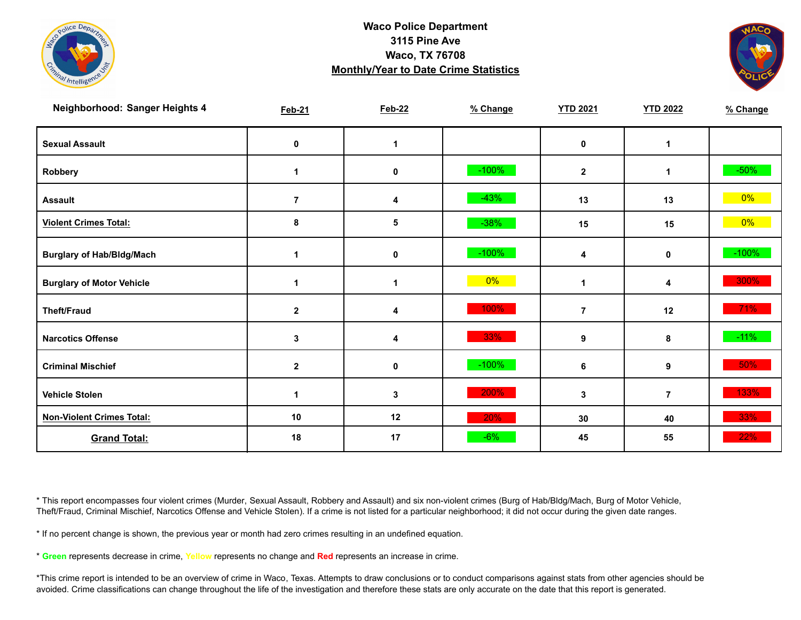



| Neighborhood: Sanger Heights 4   | <b>Feb-21</b>  | <b>Feb-22</b> | % Change | <b>YTD 2021</b>      | <b>YTD 2022</b> | % Change |
|----------------------------------|----------------|---------------|----------|----------------------|-----------------|----------|
| <b>Sexual Assault</b>            | 0              | 1             |          | 0                    | 1               |          |
| Robbery                          | -1             | 0             | $-100%$  | $\mathbf{2}$         | 1               | $-50\%$  |
| <b>Assault</b>                   | $\overline{7}$ | 4             | $-43%$   | 13                   | 13              | $0\%$    |
| <b>Violent Crimes Total:</b>     | 8              | 5             | $-38%$   | 15                   | 15              | $0\%$    |
| <b>Burglary of Hab/Bldg/Mach</b> | $\mathbf 1$    | $\pmb{0}$     | $-100\%$ | 4                    | 0               | $-100%$  |
| <b>Burglary of Motor Vehicle</b> | 1              | 1             | 0%       | $\blacktriangleleft$ | 4               | 300%     |
| <b>Theft/Fraud</b>               | $\mathbf{2}$   | 4             | 100%     | $\overline{7}$       | 12              | 71%      |
| <b>Narcotics Offense</b>         | 3              | 4             | 33%      | 9                    | 8               | $-11%$   |
| <b>Criminal Mischief</b>         | $\mathbf{2}$   | $\mathbf 0$   | $-100%$  | 6                    | 9               | 50%      |
| <b>Vehicle Stolen</b>            |                | 3             | 200%     | 3                    | $\overline{7}$  | 133%     |
| <b>Non-Violent Crimes Total:</b> | 10             | 12            | 20%      | 30                   | 40              | 33%      |
| <b>Grand Total:</b>              | 18             | 17            | $-6%$    | 45                   | 55              | 22%      |

\* This report encompasses four violent crimes (Murder, Sexual Assault, Robbery and Assault) and six non-violent crimes (Burg of Hab/Bldg/Mach, Burg of Motor Vehicle, Theft/Fraud, Criminal Mischief, Narcotics Offense and Vehicle Stolen). If a crime is not listed for a particular neighborhood; it did not occur during the given date ranges.

\* If no percent change is shown, the previous year or month had zero crimes resulting in an undefined equation.

\* **Green** represents decrease in crime, **Yellow** represents no change and **Red** represents an increase in crime.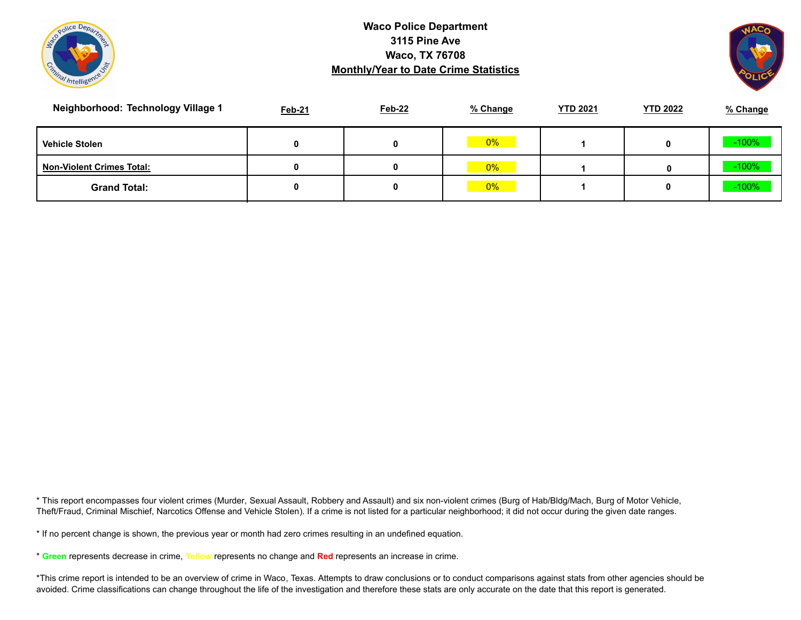



| Neighborhood: Technology Village 1 | Feb-21 | <b>Feb-22</b> | % Change | <b>YTD 2021</b> | <b>YTD 2022</b> | % Change |
|------------------------------------|--------|---------------|----------|-----------------|-----------------|----------|
| <b>Vehicle Stolen</b>              |        |               | 0%       |                 |                 | $-100%$  |
| <b>Non-Violent Crimes Total:</b>   | 0      |               | 0%       |                 | 0               | $-100%$  |
| <b>Grand Total:</b>                |        |               | 0%       |                 |                 | $-100%$  |

\* This report encompasses four violent crimes (Murder, Sexual Assault, Robbery and Assault) and six non-violent crimes (Burg of Hab/Bldg/Mach, Burg of Motor Vehicle, Theft/Fraud, Criminal Mischief, Narcotics Offense and Vehicle Stolen). If a crime is not listed for a particular neighborhood; it did not occur during the given date ranges.

\* If no percent change is shown, the previous year or month had zero crimes resulting in an undefined equation.

\* **Green** represents decrease in crime, **Yellow** represents no change and **Red** represents an increase in crime.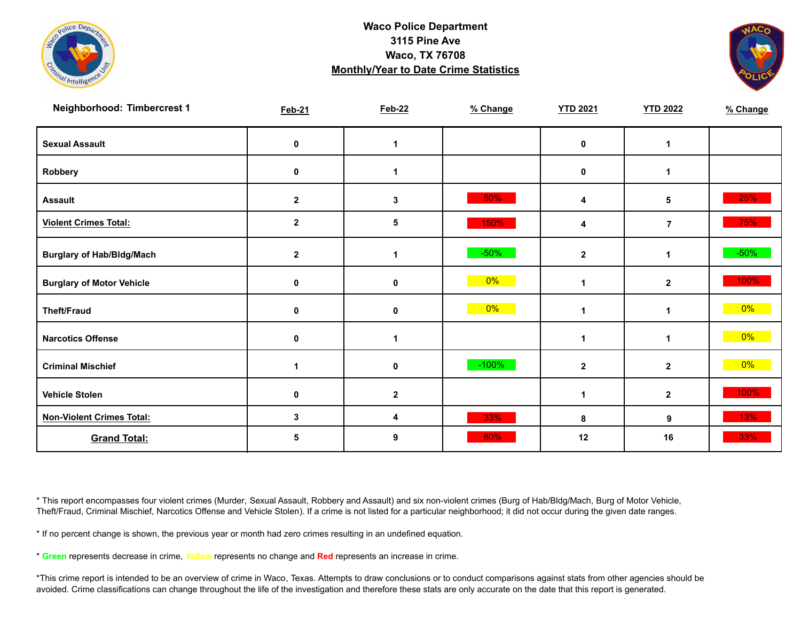



| Neighborhood: Timbercrest 1      | <b>Feb-21</b> | <b>Feb-22</b> | % Change | <b>YTD 2021</b> | <b>YTD 2022</b> | % Change |
|----------------------------------|---------------|---------------|----------|-----------------|-----------------|----------|
| <b>Sexual Assault</b>            | 0             | 1             |          | $\mathbf 0$     | 1               |          |
| Robbery                          | 0             | 1             |          | $\mathbf 0$     | 1               |          |
| <b>Assault</b>                   | $\mathbf{2}$  | 3             | 50%      | 4               | 5               | 25%      |
| <b>Violent Crimes Total:</b>     | $\mathbf{2}$  | 5             | 150%     | 4               | $\overline{7}$  | 75%      |
| <b>Burglary of Hab/Bldg/Mach</b> | $\mathbf{2}$  | 1             | $-50%$   | $\mathbf{2}$    | $\mathbf{1}$    | $-50\%$  |
| <b>Burglary of Motor Vehicle</b> | 0             | 0             | $0\%$    | 1               | $\mathbf{2}$    | 100%     |
| <b>Theft/Fraud</b>               | 0             | 0             | 0%       | 1               | 1               | $0\%$    |
| <b>Narcotics Offense</b>         | $\mathbf 0$   | 1             |          |                 | 1               | $0\%$    |
| <b>Criminal Mischief</b>         | 1             | 0             | $-100%$  | $\mathbf{2}$    | $\mathbf{2}$    | $0\%$    |
| <b>Vehicle Stolen</b>            | $\mathbf 0$   | $\mathbf 2$   |          |                 | $\mathbf{2}$    | 100%     |
| <b>Non-Violent Crimes Total:</b> | 3             | 4             | 33%      | 8               | 9               | 13%      |
| <b>Grand Total:</b>              | 5             | 9             | 80%      | 12              | 16              | 33%      |

\* This report encompasses four violent crimes (Murder, Sexual Assault, Robbery and Assault) and six non-violent crimes (Burg of Hab/Bldg/Mach, Burg of Motor Vehicle, Theft/Fraud, Criminal Mischief, Narcotics Offense and Vehicle Stolen). If a crime is not listed for a particular neighborhood; it did not occur during the given date ranges.

\* If no percent change is shown, the previous year or month had zero crimes resulting in an undefined equation.

\* **Green** represents decrease in crime, **Yellow** represents no change and **Red** represents an increase in crime.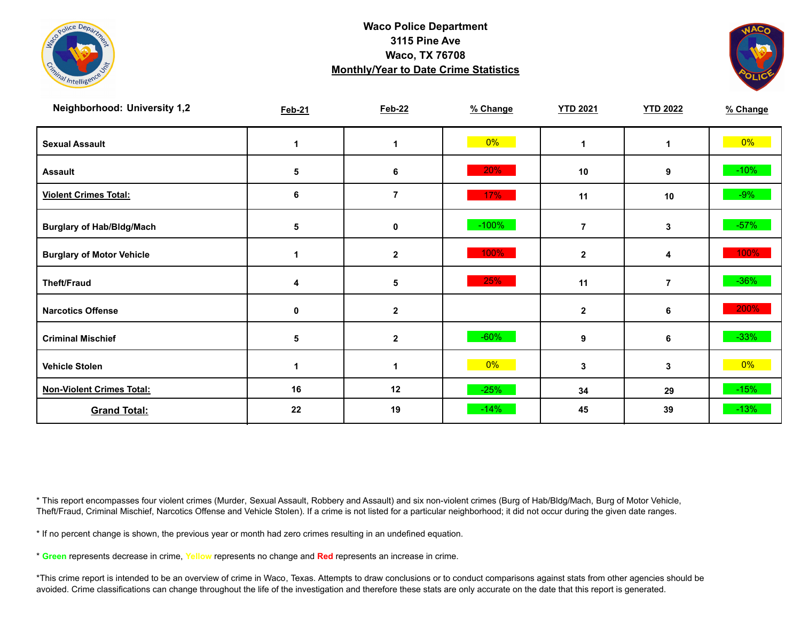



| <b>Neighborhood: University 1,2</b> | <b>Feb-21</b>   | <b>Feb-22</b>           | % Change | <b>YTD 2021</b> | <b>YTD 2022</b> | % Change |
|-------------------------------------|-----------------|-------------------------|----------|-----------------|-----------------|----------|
| <b>Sexual Assault</b>               | 1               |                         | $0\%$    |                 | 1               | $0\%$    |
| <b>Assault</b>                      | 5               | 6                       | 20%      | 10              | 9               | $-10%$   |
| <b>Violent Crimes Total:</b>        | 6               | $\overline{\mathbf{r}}$ | 17%      | 11              | 10              | $-9%$    |
| <b>Burglary of Hab/Bldg/Mach</b>    | 5               | 0                       | $-100%$  | 7               | 3               | $-57%$   |
| <b>Burglary of Motor Vehicle</b>    | 1               | $\mathbf{2}$            | 100%     | $\mathbf{2}$    | 4               | 100%     |
| <b>Theft/Fraud</b>                  | 4               | 5                       | 25%      | 11              | $\overline{7}$  | $-36\%$  |
| <b>Narcotics Offense</b>            | $\mathbf 0$     | $\mathbf{2}$            |          | $\mathbf{2}$    | 6               | 200%     |
| <b>Criminal Mischief</b>            | $5\phantom{.0}$ | $\mathbf 2$             | $-60%$   | 9               | 6               | $-33%$   |
| <b>Vehicle Stolen</b>               | 1               |                         | $0\%$    | 3               | 3               | $0\%$    |
| <b>Non-Violent Crimes Total:</b>    | 16              | 12                      | $-25%$   | 34              | 29              | $-15%$   |
| <b>Grand Total:</b>                 | 22              | 19                      | $-14%$   | 45              | 39              | $-13%$   |

\* This report encompasses four violent crimes (Murder, Sexual Assault, Robbery and Assault) and six non-violent crimes (Burg of Hab/Bldg/Mach, Burg of Motor Vehicle, Theft/Fraud, Criminal Mischief, Narcotics Offense and Vehicle Stolen). If a crime is not listed for a particular neighborhood; it did not occur during the given date ranges.

\* If no percent change is shown, the previous year or month had zero crimes resulting in an undefined equation.

\* **Green** represents decrease in crime, **Yellow** represents no change and **Red** represents an increase in crime.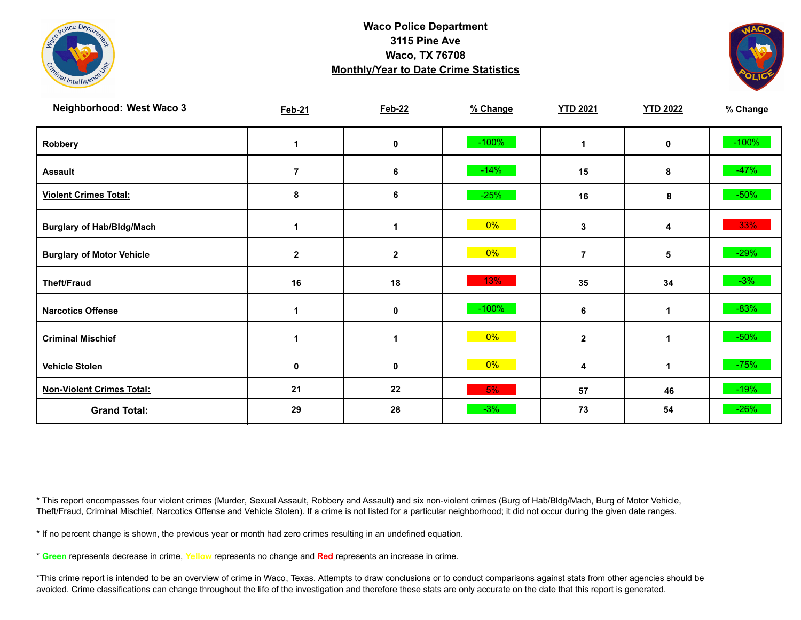



| Neighborhood: West Waco 3        | <b>Feb-21</b> | <b>Feb-22</b> | % Change | <b>YTD 2021</b> | <b>YTD 2022</b> | % Change |
|----------------------------------|---------------|---------------|----------|-----------------|-----------------|----------|
| Robbery                          |               | 0             | $-100%$  | 1               | 0               | $-100%$  |
| <b>Assault</b>                   | 7             | 6             | $-14%$   | 15              | 8               | $-47%$   |
| <b>Violent Crimes Total:</b>     | 8             | 6             | $-25%$   | 16              | 8               | $-50\%$  |
| <b>Burglary of Hab/Bldg/Mach</b> |               | 1             | 0%       | 3               | 4               | 33%      |
| <b>Burglary of Motor Vehicle</b> | $\mathbf{2}$  | $\mathbf{2}$  | $0\%$    | $\overline{7}$  | 5               | $-29%$   |
| <b>Theft/Fraud</b>               | 16            | 18            | 13%      | 35              | 34              | $-3%$    |
| <b>Narcotics Offense</b>         |               | 0             | $-100%$  | 6               | 1               | $-83%$   |
| <b>Criminal Mischief</b>         |               | 1             | $0\%$    | $\mathbf{2}$    | 1               | $-50\%$  |
| <b>Vehicle Stolen</b>            | 0             | 0             | $0\%$    | 4               | 1               | $-75%$   |
| <b>Non-Violent Crimes Total:</b> | 21            | 22            | 5%       | 57              | 46              | $-19%$   |
| <b>Grand Total:</b>              | 29            | 28            | $-3%$    | 73              | 54              | $-26%$   |

\* This report encompasses four violent crimes (Murder, Sexual Assault, Robbery and Assault) and six non-violent crimes (Burg of Hab/Bldg/Mach, Burg of Motor Vehicle, Theft/Fraud, Criminal Mischief, Narcotics Offense and Vehicle Stolen). If a crime is not listed for a particular neighborhood; it did not occur during the given date ranges.

\* If no percent change is shown, the previous year or month had zero crimes resulting in an undefined equation.

\* **Green** represents decrease in crime, **Yellow** represents no change and **Red** represents an increase in crime.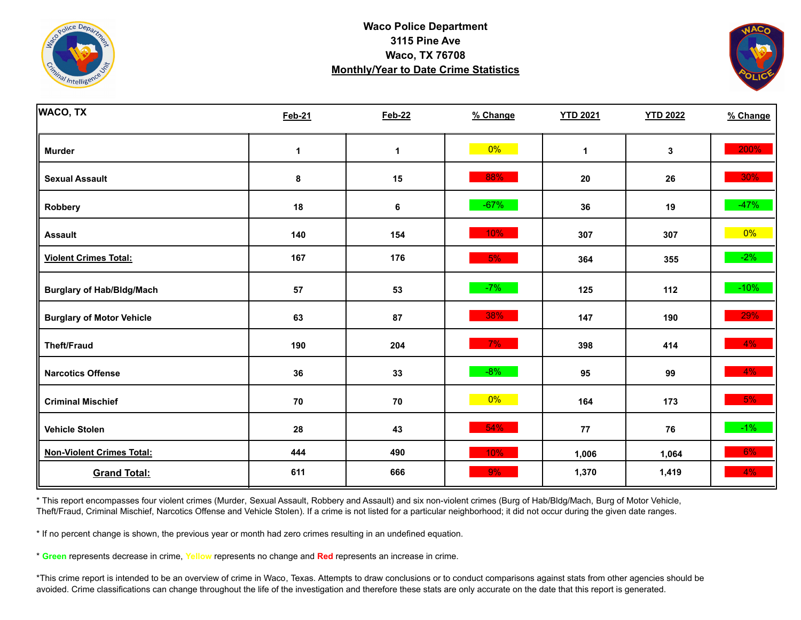



| <b>WACO, TX</b>                  | <b>Feb-21</b> | <b>Feb-22</b> | % Change | <b>YTD 2021</b> | <b>YTD 2022</b> | % Change |
|----------------------------------|---------------|---------------|----------|-----------------|-----------------|----------|
| <b>Murder</b>                    | 1             | 1             | 0%       | 1               | $\mathbf 3$     | 200%     |
| <b>Sexual Assault</b>            | 8             | 15            | 88%      | 20              | 26              | 30%      |
| Robbery                          | 18            | 6             | $-67%$   | 36              | 19              | $-47%$   |
| <b>Assault</b>                   | 140           | 154           | 10%      | 307             | 307             | 0%       |
| <b>Violent Crimes Total:</b>     | 167           | 176           | 5%       | 364             | 355             | $-2%$    |
| <b>Burglary of Hab/Bldg/Mach</b> | 57            | 53            | $-7%$    | 125             | 112             | $-10%$   |
| <b>Burglary of Motor Vehicle</b> | 63            | 87            | 38%      | 147             | 190             | 29%      |
| <b>Theft/Fraud</b>               | 190           | 204           | 7%       | 398             | 414             | 4%       |
| <b>Narcotics Offense</b>         | 36            | 33            | $-8%$    | 95              | 99              | 4%       |
| <b>Criminal Mischief</b>         | 70            | 70            | $0\%$    | 164             | 173             | 5%       |
| <b>Vehicle Stolen</b>            | 28            | 43            | 54%      | ${\bf 77}$      | 76              | $-1\%$   |
| <b>Non-Violent Crimes Total:</b> | 444           | 490           | 10%      | 1,006           | 1,064           | 6%       |
| <b>Grand Total:</b>              | 611           | 666           | 9%       | 1,370           | 1,419           | 4%       |

\* This report encompasses four violent crimes (Murder, Sexual Assault, Robbery and Assault) and six non-violent crimes (Burg of Hab/Bldg/Mach, Burg of Motor Vehicle, Theft/Fraud, Criminal Mischief, Narcotics Offense and Vehicle Stolen). If a crime is not listed for a particular neighborhood; it did not occur during the given date ranges.

\* If no percent change is shown, the previous year or month had zero crimes resulting in an undefined equation.

\* **Green** represents decrease in crime, **Yellow** represents no change and **Red** represents an increase in crime.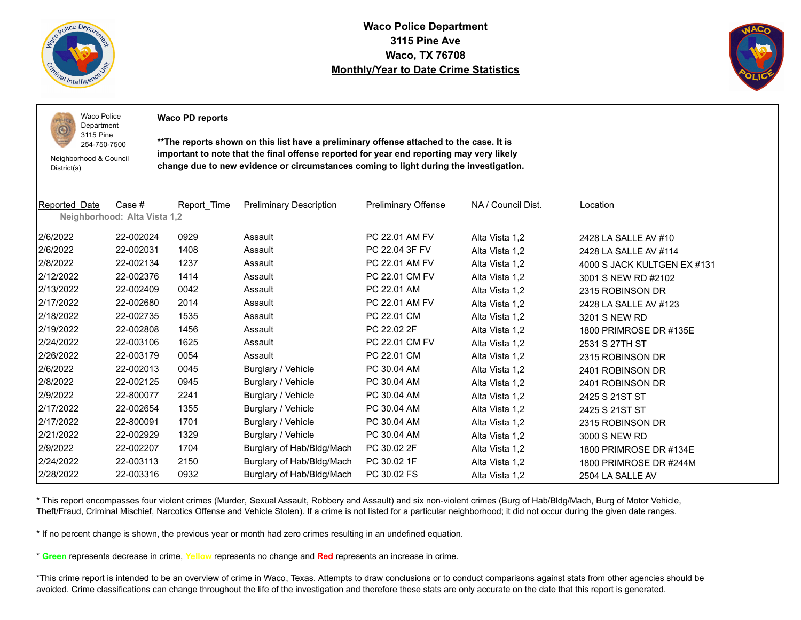

 $PQLI$ O

**Waco Police Department 3115 Pine Ave Waco, TX 76708 Monthly/Year to Date Crime Statistics**



Waco Police Department

**Waco PD reports**

Neighborhood & Council District(s)

3115 Pine 254-750-7500

**\*\*The reports shown on this list have a preliminary offense attached to the case. It is important to note that the final offense reported for year end reporting may very likely change due to new evidence or circumstances coming to light during the investigation.**

| Reported Date | Case #                       | Report Time | <b>Preliminary Description</b> | <b>Preliminary Offense</b> | NA / Council Dist. | Location                    |
|---------------|------------------------------|-------------|--------------------------------|----------------------------|--------------------|-----------------------------|
|               | Neighborhood: Alta Vista 1,2 |             |                                |                            |                    |                             |
| 2/6/2022      | 22-002024                    | 0929        | Assault                        | PC 22.01 AM FV             | Alta Vista 1,2     | 2428 LA SALLE AV #10        |
| 2/6/2022      | 22-002031                    | 1408        | Assault                        | PC 22.04 3F FV             | Alta Vista 1,2     | 2428 LA SALLE AV #114       |
| 2/8/2022      | 22-002134                    | 1237        | Assault                        | PC 22.01 AM FV             | Alta Vista 1,2     | 4000 S JACK KULTGEN EX #131 |
| 2/12/2022     | 22-002376                    | 1414        | Assault                        | PC 22.01 CM FV             | Alta Vista 1,2     | 3001 S NEW RD #2102         |
| 2/13/2022     | 22-002409                    | 0042        | Assault                        | PC 22.01 AM                | Alta Vista 1,2     | 2315 ROBINSON DR            |
| 2/17/2022     | 22-002680                    | 2014        | Assault                        | PC 22.01 AM FV             | Alta Vista 1,2     | 2428 LA SALLE AV #123       |
| 2/18/2022     | 22-002735                    | 1535        | Assault                        | PC 22.01 CM                | Alta Vista 1,2     | 3201 S NEW RD               |
| 2/19/2022     | 22-002808                    | 1456        | Assault                        | PC 22.02 2F                | Alta Vista 1,2     | 1800 PRIMROSE DR #135E      |
| 2/24/2022     | 22-003106                    | 1625        | Assault                        | PC 22.01 CM FV             | Alta Vista 1,2     | 2531 S 27TH ST              |
| 2/26/2022     | 22-003179                    | 0054        | Assault                        | PC 22.01 CM                | Alta Vista 1,2     | 2315 ROBINSON DR            |
| 2/6/2022      | 22-002013                    | 0045        | Burglary / Vehicle             | PC 30.04 AM                | Alta Vista 1,2     | 2401 ROBINSON DR            |
| 2/8/2022      | 22-002125                    | 0945        | Burglary / Vehicle             | PC 30.04 AM                | Alta Vista 1,2     | 2401 ROBINSON DR            |
| 2/9/2022      | 22-800077                    | 2241        | Burglary / Vehicle             | PC 30.04 AM                | Alta Vista 1,2     | 2425 S 21ST ST              |
| 2/17/2022     | 22-002654                    | 1355        | Burglary / Vehicle             | PC 30.04 AM                | Alta Vista 1,2     | 2425 S 21ST ST              |
| 2/17/2022     | 22-800091                    | 1701        | Burglary / Vehicle             | PC 30.04 AM                | Alta Vista 1,2     | 2315 ROBINSON DR            |
| 2/21/2022     | 22-002929                    | 1329        | Burglary / Vehicle             | PC 30.04 AM                | Alta Vista 1,2     | 3000 S NEW RD               |
| 2/9/2022      | 22-002207                    | 1704        | Burglary of Hab/Bldg/Mach      | PC 30.02 2F                | Alta Vista 1,2     | 1800 PRIMROSE DR #134E      |
| 2/24/2022     | 22-003113                    | 2150        | Burglary of Hab/Bldg/Mach      | PC 30.02 1F                | Alta Vista 1,2     | 1800 PRIMROSE DR #244M      |
| 2/28/2022     | 22-003316                    | 0932        | Burglary of Hab/Bldg/Mach      | PC 30.02 FS                | Alta Vista 1,2     | 2504 LA SALLE AV            |

\* This report encompasses four violent crimes (Murder, Sexual Assault, Robbery and Assault) and six non-violent crimes (Burg of Hab/Bldg/Mach, Burg of Motor Vehicle, Theft/Fraud, Criminal Mischief, Narcotics Offense and Vehicle Stolen). If a crime is not listed for a particular neighborhood; it did not occur during the given date ranges.

\* If no percent change is shown, the previous year or month had zero crimes resulting in an undefined equation.

\* **Green** represents decrease in crime, **Yellow** represents no change and **Red** represents an increase in crime.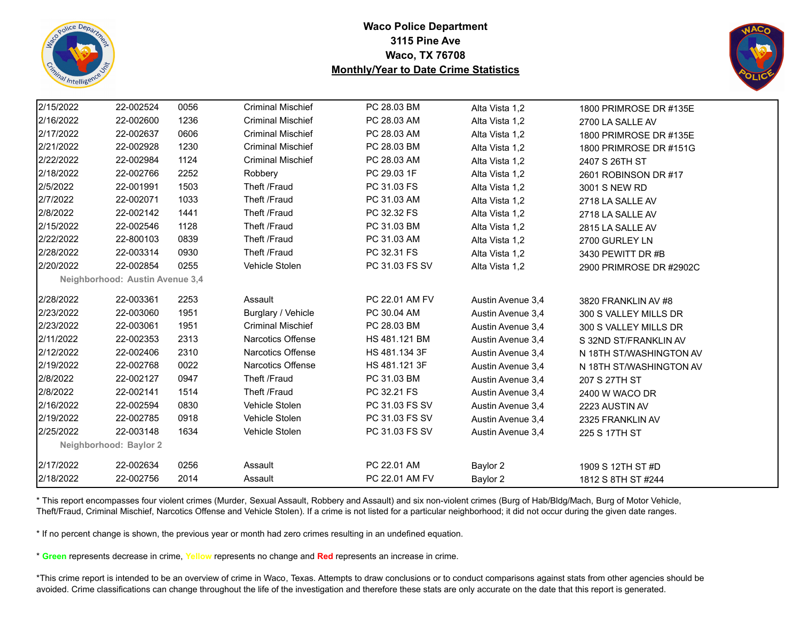



| 2/15/2022 | 22-002524                       | 0056 | <b>Criminal Mischief</b> | PC 28.03 BM    | Alta Vista 1,2    | 1800 PRIMROSE DR #135E  |
|-----------|---------------------------------|------|--------------------------|----------------|-------------------|-------------------------|
| 2/16/2022 | 22-002600                       | 1236 | <b>Criminal Mischief</b> | PC 28.03 AM    | Alta Vista 1,2    | 2700 LA SALLE AV        |
| 2/17/2022 | 22-002637                       | 0606 | <b>Criminal Mischief</b> | PC 28.03 AM    | Alta Vista 1,2    | 1800 PRIMROSE DR #135E  |
| 2/21/2022 | 22-002928                       | 1230 | <b>Criminal Mischief</b> | PC 28.03 BM    | Alta Vista 1,2    | 1800 PRIMROSE DR #151G  |
| 2/22/2022 | 22-002984                       | 1124 | <b>Criminal Mischief</b> | PC 28.03 AM    | Alta Vista 1,2    | 2407 S 26TH ST          |
| 2/18/2022 | 22-002766                       | 2252 | Robbery                  | PC 29.03 1F    | Alta Vista 1,2    | 2601 ROBINSON DR #17    |
| 2/5/2022  | 22-001991                       | 1503 | Theft /Fraud             | PC 31.03 FS    | Alta Vista 1,2    | 3001 S NEW RD           |
| 2/7/2022  | 22-002071                       | 1033 | Theft /Fraud             | PC 31.03 AM    | Alta Vista 1,2    | 2718 LA SALLE AV        |
| 2/8/2022  | 22-002142                       | 1441 | Theft /Fraud             | PC 32.32 FS    | Alta Vista 1,2    | 2718 LA SALLE AV        |
| 2/15/2022 | 22-002546                       | 1128 | Theft /Fraud             | PC 31.03 BM    | Alta Vista 1,2    | 2815 LA SALLE AV        |
| 2/22/2022 | 22-800103                       | 0839 | Theft /Fraud             | PC 31.03 AM    | Alta Vista 1,2    | 2700 GURLEY LN          |
| 2/28/2022 | 22-003314                       | 0930 | Theft /Fraud             | PC 32.31 FS    | Alta Vista 1,2    | 3430 PEWITT DR #B       |
| 2/20/2022 | 22-002854                       | 0255 | Vehicle Stolen           | PC 31.03 FS SV | Alta Vista 1,2    | 2900 PRIMROSE DR #2902C |
|           | Neighborhood: Austin Avenue 3,4 |      |                          |                |                   |                         |
| 2/28/2022 | 22-003361                       | 2253 | Assault                  | PC 22.01 AM FV | Austin Avenue 3,4 | 3820 FRANKLIN AV #8     |
| 2/23/2022 | 22-003060                       | 1951 | Burglary / Vehicle       | PC 30.04 AM    | Austin Avenue 3,4 | 300 S VALLEY MILLS DR   |
| 2/23/2022 | 22-003061                       | 1951 | <b>Criminal Mischief</b> | PC 28.03 BM    | Austin Avenue 3,4 | 300 S VALLEY MILLS DR   |
| 2/11/2022 | 22-002353                       | 2313 | Narcotics Offense        | HS 481.121 BM  | Austin Avenue 3,4 | S 32ND ST/FRANKLIN AV   |
| 2/12/2022 | 22-002406                       | 2310 | Narcotics Offense        | HS 481.134 3F  | Austin Avenue 3,4 | N 18TH ST/WASHINGTON AV |
| 2/19/2022 | 22-002768                       | 0022 | Narcotics Offense        | HS 481.121 3F  | Austin Avenue 3,4 | N 18TH ST/WASHINGTON AV |
| 2/8/2022  | 22-002127                       | 0947 | Theft /Fraud             | PC 31.03 BM    | Austin Avenue 3,4 | 207 S 27TH ST           |
| 2/8/2022  | 22-002141                       | 1514 | Theft /Fraud             | PC 32.21 FS    | Austin Avenue 3,4 | 2400 W WACO DR          |
| 2/16/2022 | 22-002594                       | 0830 | Vehicle Stolen           | PC 31.03 FS SV | Austin Avenue 3,4 | 2223 AUSTIN AV          |
| 2/19/2022 | 22-002785                       | 0918 | Vehicle Stolen           | PC 31.03 FS SV | Austin Avenue 3,4 | 2325 FRANKLIN AV        |
| 2/25/2022 | 22-003148                       | 1634 | Vehicle Stolen           | PC 31.03 FS SV | Austin Avenue 3,4 | 225 S 17TH ST           |
|           | Neighborhood: Baylor 2          |      |                          |                |                   |                         |
| 2/17/2022 | 22-002634                       | 0256 | Assault                  | PC 22.01 AM    | Baylor 2          | 1909 S 12TH ST #D       |
| 2/18/2022 | 22-002756                       | 2014 | Assault                  | PC 22.01 AM FV | Baylor 2          | 1812 S 8TH ST #244      |

\* This report encompasses four violent crimes (Murder, Sexual Assault, Robbery and Assault) and six non-violent crimes (Burg of Hab/Bldg/Mach, Burg of Motor Vehicle, Theft/Fraud, Criminal Mischief, Narcotics Offense and Vehicle Stolen). If a crime is not listed for a particular neighborhood; it did not occur during the given date ranges.

\* If no percent change is shown, the previous year or month had zero crimes resulting in an undefined equation.

\* **Green** represents decrease in crime, **Yellow** represents no change and **Red** represents an increase in crime.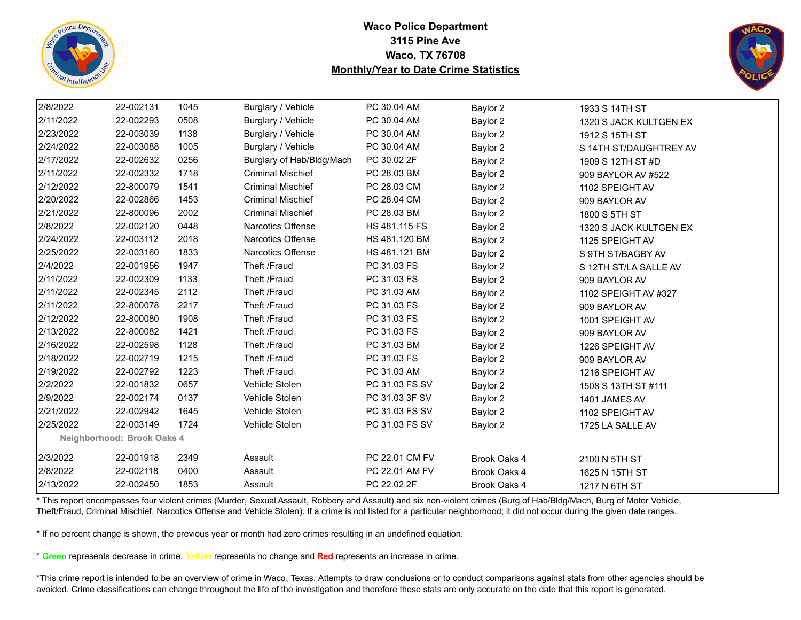



| 2/8/2022  | 22-002131                  | 1045 | Burglary / Vehicle        | PC 30.04 AM    | Baylor 2     | 1933 S 14TH ST         |
|-----------|----------------------------|------|---------------------------|----------------|--------------|------------------------|
| 2/11/2022 | 22-002293                  | 0508 | Burglary / Vehicle        | PC 30.04 AM    | Baylor 2     | 1320 S JACK KULTGEN EX |
| 2/23/2022 | 22-003039                  | 1138 | Burglary / Vehicle        | PC 30.04 AM    | Baylor 2     | 1912 S 15TH ST         |
| 2/24/2022 | 22-003088                  | 1005 | Burglary / Vehicle        | PC 30.04 AM    | Baylor 2     | S 14TH ST/DAUGHTREY AV |
| 2/17/2022 | 22-002632                  | 0256 | Burglary of Hab/Bldg/Mach | PC 30.02 2F    | Baylor 2     | 1909 S 12TH ST #D      |
| 2/11/2022 | 22-002332                  | 1718 | <b>Criminal Mischief</b>  | PC 28.03 BM    | Baylor 2     | 909 BAYLOR AV #522     |
| 2/12/2022 | 22-800079                  | 1541 | <b>Criminal Mischief</b>  | PC 28.03 CM    | Baylor 2     | 1102 SPEIGHT AV        |
| 2/20/2022 | 22-002866                  | 1453 | <b>Criminal Mischief</b>  | PC 28.04 CM    | Baylor 2     | 909 BAYLOR AV          |
| 2/21/2022 | 22-800096                  | 2002 | <b>Criminal Mischief</b>  | PC 28.03 BM    | Baylor 2     | 1800 S 5TH ST          |
| 2/8/2022  | 22-002120                  | 0448 | Narcotics Offense         | HS 481.115 FS  | Baylor 2     | 1320 S JACK KULTGEN EX |
| 2/24/2022 | 22-003112                  | 2018 | <b>Narcotics Offense</b>  | HS 481.120 BM  | Baylor 2     | 1125 SPEIGHT AV        |
| 2/25/2022 | 22-003160                  | 1833 | Narcotics Offense         | HS 481.121 BM  | Baylor 2     | S 9TH ST/BAGBY AV      |
| 2/4/2022  | 22-001956                  | 1947 | Theft /Fraud              | PC 31.03 FS    | Baylor 2     | S 12TH ST/LA SALLE AV  |
| 2/11/2022 | 22-002309                  | 1133 | Theft /Fraud              | PC 31.03 FS    | Baylor 2     | 909 BAYLOR AV          |
| 2/11/2022 | 22-002345                  | 2112 | Theft /Fraud              | PC 31.03 AM    | Baylor 2     | 1102 SPEIGHT AV #327   |
| 2/11/2022 | 22-800078                  | 2217 | Theft /Fraud              | PC 31.03 FS    | Baylor 2     | 909 BAYLOR AV          |
| 2/12/2022 | 22-800080                  | 1908 | Theft /Fraud              | PC 31.03 FS    | Baylor 2     | 1001 SPEIGHT AV        |
| 2/13/2022 | 22-800082                  | 1421 | Theft /Fraud              | PC 31.03 FS    | Baylor 2     | 909 BAYLOR AV          |
| 2/16/2022 | 22-002598                  | 1128 | Theft /Fraud              | PC 31.03 BM    | Baylor 2     | 1226 SPEIGHT AV        |
| 2/18/2022 | 22-002719                  | 1215 | Theft /Fraud              | PC 31.03 FS    | Baylor 2     | 909 BAYLOR AV          |
| 2/19/2022 | 22-002792                  | 1223 | Theft /Fraud              | PC 31.03 AM    | Baylor 2     | 1216 SPEIGHT AV        |
| 2/2/2022  | 22-001832                  | 0657 | Vehicle Stolen            | PC 31.03 FS SV | Baylor 2     | 1508 S 13TH ST #111    |
| 2/9/2022  | 22-002174                  | 0137 | Vehicle Stolen            | PC 31.03 3F SV | Baylor 2     | 1401 JAMES AV          |
| 2/21/2022 | 22-002942                  | 1645 | Vehicle Stolen            | PC 31.03 FS SV | Baylor 2     | 1102 SPEIGHT AV        |
| 2/25/2022 | 22-003149                  | 1724 | Vehicle Stolen            | PC 31.03 FS SV | Baylor 2     | 1725 LA SALLE AV       |
|           | Neighborhood: Brook Oaks 4 |      |                           |                |              |                        |
| 2/3/2022  | 22-001918                  | 2349 | Assault                   | PC 22.01 CM FV | Brook Oaks 4 | 2100 N 5TH ST          |
| 2/8/2022  | 22-002118                  | 0400 | Assault                   | PC 22.01 AM FV | Brook Oaks 4 | 1625 N 15TH ST         |
| 2/13/2022 | 22-002450                  | 1853 | Assault                   | PC 22.02 2F    | Brook Oaks 4 | 1217 N 6TH ST          |

\* This report encompasses four violent crimes (Murder, Sexual Assault, Robbery and Assault) and six non-violent crimes (Burg of Hab/Bldg/Mach, Burg of Motor Vehicle, Theft/Fraud, Criminal Mischief, Narcotics Offense and Vehicle Stolen). If a crime is not listed for a particular neighborhood; it did not occur during the given date ranges.

\* If no percent change is shown, the previous year or month had zero crimes resulting in an undefined equation.

\* **Green** represents decrease in crime, **Yellow** represents no change and **Red** represents an increase in crime.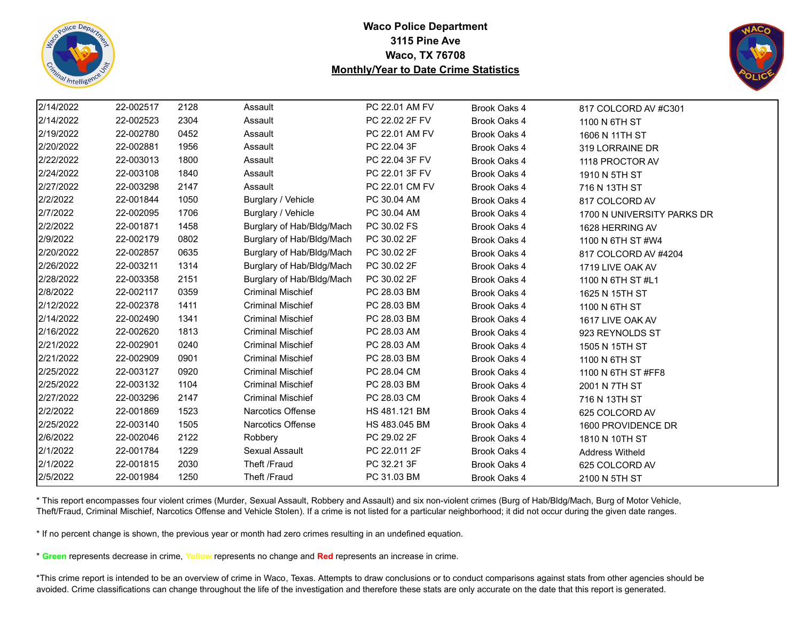



| 2/14/2022 | 22-002517 | 2128 | Assault                   | PC 22.01 AM FV | Brook Oaks 4 | 817 COLCORD AV #C301       |
|-----------|-----------|------|---------------------------|----------------|--------------|----------------------------|
| 2/14/2022 | 22-002523 | 2304 | Assault                   | PC 22.02 2F FV | Brook Oaks 4 | 1100 N 6TH ST              |
| 2/19/2022 | 22-002780 | 0452 | Assault                   | PC 22.01 AM FV | Brook Oaks 4 | 1606 N 11TH ST             |
| 2/20/2022 | 22-002881 | 1956 | Assault                   | PC 22.04 3F    | Brook Oaks 4 | 319 LORRAINE DR            |
| 2/22/2022 | 22-003013 | 1800 | Assault                   | PC 22.04 3F FV | Brook Oaks 4 | 1118 PROCTOR AV            |
| 2/24/2022 | 22-003108 | 1840 | Assault                   | PC 22.01 3F FV | Brook Oaks 4 | 1910 N 5TH ST              |
| 2/27/2022 | 22-003298 | 2147 | Assault                   | PC 22.01 CM FV | Brook Oaks 4 | 716 N 13TH ST              |
| 2/2/2022  | 22-001844 | 1050 | Burglary / Vehicle        | PC 30.04 AM    | Brook Oaks 4 | 817 COLCORD AV             |
| 2/7/2022  | 22-002095 | 1706 | Burglary / Vehicle        | PC 30.04 AM    | Brook Oaks 4 | 1700 N UNIVERSITY PARKS DR |
| 2/2/2022  | 22-001871 | 1458 | Burglary of Hab/Bldg/Mach | PC 30.02 FS    | Brook Oaks 4 | 1628 HERRING AV            |
| 2/9/2022  | 22-002179 | 0802 | Burglary of Hab/Bldg/Mach | PC 30.02 2F    | Brook Oaks 4 | 1100 N 6TH ST #W4          |
| 2/20/2022 | 22-002857 | 0635 | Burglary of Hab/Bldg/Mach | PC 30.02 2F    | Brook Oaks 4 | 817 COLCORD AV #4204       |
| 2/26/2022 | 22-003211 | 1314 | Burglary of Hab/Bldg/Mach | PC 30.02 2F    | Brook Oaks 4 | 1719 LIVE OAK AV           |
| 2/28/2022 | 22-003358 | 2151 | Burglary of Hab/Bldg/Mach | PC 30.02 2F    | Brook Oaks 4 | 1100 N 6TH ST #L1          |
| 2/8/2022  | 22-002117 | 0359 | <b>Criminal Mischief</b>  | PC 28.03 BM    | Brook Oaks 4 | 1625 N 15TH ST             |
| 2/12/2022 | 22-002378 | 1411 | <b>Criminal Mischief</b>  | PC 28.03 BM    | Brook Oaks 4 | 1100 N 6TH ST              |
| 2/14/2022 | 22-002490 | 1341 | <b>Criminal Mischief</b>  | PC 28.03 BM    | Brook Oaks 4 | 1617 LIVE OAK AV           |
| 2/16/2022 | 22-002620 | 1813 | <b>Criminal Mischief</b>  | PC 28.03 AM    | Brook Oaks 4 | 923 REYNOLDS ST            |
| 2/21/2022 | 22-002901 | 0240 | <b>Criminal Mischief</b>  | PC 28.03 AM    | Brook Oaks 4 | 1505 N 15TH ST             |
| 2/21/2022 | 22-002909 | 0901 | <b>Criminal Mischief</b>  | PC 28.03 BM    | Brook Oaks 4 | 1100 N 6TH ST              |
| 2/25/2022 | 22-003127 | 0920 | <b>Criminal Mischief</b>  | PC 28.04 CM    | Brook Oaks 4 | 1100 N 6TH ST #FF8         |
| 2/25/2022 | 22-003132 | 1104 | <b>Criminal Mischief</b>  | PC 28.03 BM    | Brook Oaks 4 | 2001 N 7TH ST              |
| 2/27/2022 | 22-003296 | 2147 | <b>Criminal Mischief</b>  | PC 28.03 CM    | Brook Oaks 4 | 716 N 13TH ST              |
| 2/2/2022  | 22-001869 | 1523 | Narcotics Offense         | HS 481.121 BM  | Brook Oaks 4 | 625 COLCORD AV             |
| 2/25/2022 | 22-003140 | 1505 | Narcotics Offense         | HS 483.045 BM  | Brook Oaks 4 | 1600 PROVIDENCE DR         |
| 2/6/2022  | 22-002046 | 2122 | Robbery                   | PC 29.02 2F    | Brook Oaks 4 | 1810 N 10TH ST             |
| 2/1/2022  | 22-001784 | 1229 | Sexual Assault            | PC 22.011 2F   | Brook Oaks 4 | <b>Address Witheld</b>     |
| 2/1/2022  | 22-001815 | 2030 | Theft /Fraud              | PC 32.21 3F    | Brook Oaks 4 | 625 COLCORD AV             |
| 2/5/2022  | 22-001984 | 1250 | Theft /Fraud              | PC 31.03 BM    | Brook Oaks 4 | 2100 N 5TH ST              |

\* This report encompasses four violent crimes (Murder, Sexual Assault, Robbery and Assault) and six non-violent crimes (Burg of Hab/Bldg/Mach, Burg of Motor Vehicle, Theft/Fraud, Criminal Mischief, Narcotics Offense and Vehicle Stolen). If a crime is not listed for a particular neighborhood; it did not occur during the given date ranges.

\* If no percent change is shown, the previous year or month had zero crimes resulting in an undefined equation.

\* **Green** represents decrease in crime, **Yellow** represents no change and **Red** represents an increase in crime.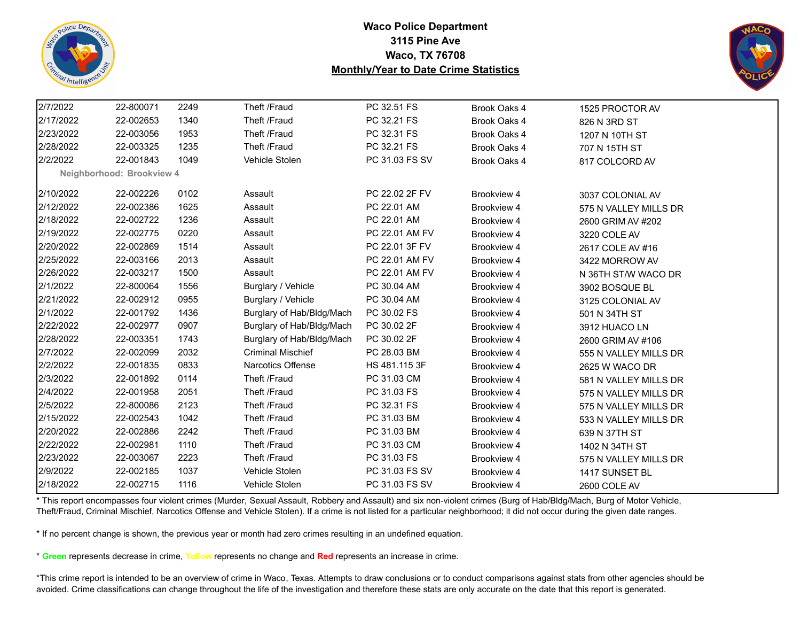



| 2/7/2022  | 22-800071                 | 2249 | Theft /Fraud              | PC 32.51 FS    | Brook Oaks 4 | 1525 PROCTOR AV       |  |
|-----------|---------------------------|------|---------------------------|----------------|--------------|-----------------------|--|
| 2/17/2022 | 22-002653                 | 1340 | Theft /Fraud              | PC 32.21 FS    | Brook Oaks 4 | 826 N 3RD ST          |  |
| 2/23/2022 | 22-003056                 | 1953 | Theft /Fraud              | PC 32.31 FS    | Brook Oaks 4 | 1207 N 10TH ST        |  |
| 2/28/2022 | 22-003325                 | 1235 | Theft /Fraud              | PC 32.21 FS    | Brook Oaks 4 | 707 N 15TH ST         |  |
| 2/2/2022  | 22-001843                 | 1049 | Vehicle Stolen            | PC 31.03 FS SV | Brook Oaks 4 | 817 COLCORD AV        |  |
|           | Neighborhood: Brookview 4 |      |                           |                |              |                       |  |
| 2/10/2022 | 22-002226                 | 0102 | Assault                   | PC 22.02 2F FV | Brookview 4  | 3037 COLONIAL AV      |  |
| 2/12/2022 | 22-002386                 | 1625 | Assault                   | PC 22.01 AM    | Brookview 4  | 575 N VALLEY MILLS DR |  |
| 2/18/2022 | 22-002722                 | 1236 | Assault                   | PC 22.01 AM    | Brookview 4  | 2600 GRIM AV #202     |  |
| 2/19/2022 | 22-002775                 | 0220 | Assault                   | PC 22.01 AM FV | Brookview 4  | 3220 COLE AV          |  |
| 2/20/2022 | 22-002869                 | 1514 | Assault                   | PC 22.01 3F FV | Brookview 4  | 2617 COLE AV #16      |  |
| 2/25/2022 | 22-003166                 | 2013 | Assault                   | PC 22.01 AM FV | Brookview 4  | 3422 MORROW AV        |  |
| 2/26/2022 | 22-003217                 | 1500 | Assault                   | PC 22.01 AM FV | Brookview 4  | N 36TH ST/W WACO DR   |  |
| 2/1/2022  | 22-800064                 | 1556 | Burglary / Vehicle        | PC 30.04 AM    | Brookview 4  | 3902 BOSQUE BL        |  |
| 2/21/2022 | 22-002912                 | 0955 | Burglary / Vehicle        | PC 30.04 AM    | Brookview 4  | 3125 COLONIAL AV      |  |
| 2/1/2022  | 22-001792                 | 1436 | Burglary of Hab/Bldg/Mach | PC 30.02 FS    | Brookview 4  | 501 N 34TH ST         |  |
| 2/22/2022 | 22-002977                 | 0907 | Burglary of Hab/Bldg/Mach | PC 30.02 2F    | Brookview 4  | 3912 HUACO LN         |  |
| 2/28/2022 | 22-003351                 | 1743 | Burglary of Hab/Bldg/Mach | PC 30.02 2F    | Brookview 4  | 2600 GRIM AV #106     |  |
| 2/7/2022  | 22-002099                 | 2032 | <b>Criminal Mischief</b>  | PC 28.03 BM    | Brookview 4  | 555 N VALLEY MILLS DR |  |
| 2/2/2022  | 22-001835                 | 0833 | <b>Narcotics Offense</b>  | HS 481.115 3F  | Brookview 4  | 2625 W WACO DR        |  |
| 2/3/2022  | 22-001892                 | 0114 | Theft /Fraud              | PC 31.03 CM    | Brookview 4  | 581 N VALLEY MILLS DR |  |
| 2/4/2022  | 22-001958                 | 2051 | Theft /Fraud              | PC 31.03 FS    | Brookview 4  | 575 N VALLEY MILLS DR |  |
| 2/5/2022  | 22-800086                 | 2123 | Theft /Fraud              | PC 32.31 FS    | Brookview 4  | 575 N VALLEY MILLS DR |  |
| 2/15/2022 | 22-002543                 | 1042 | Theft /Fraud              | PC 31.03 BM    | Brookview 4  | 533 N VALLEY MILLS DR |  |
| 2/20/2022 | 22-002886                 | 2242 | Theft /Fraud              | PC 31.03 BM    | Brookview 4  | 639 N 37TH ST         |  |
| 2/22/2022 | 22-002981                 | 1110 | Theft /Fraud              | PC 31.03 CM    | Brookview 4  | 1402 N 34TH ST        |  |
| 2/23/2022 | 22-003067                 | 2223 | Theft /Fraud              | PC 31.03 FS    | Brookview 4  | 575 N VALLEY MILLS DR |  |
| 2/9/2022  | 22-002185                 | 1037 | Vehicle Stolen            | PC 31.03 FS SV | Brookview 4  | 1417 SUNSET BL        |  |
| 2/18/2022 | 22-002715                 | 1116 | Vehicle Stolen            | PC 31.03 FS SV | Brookview 4  | 2600 COLE AV          |  |

\* This report encompasses four violent crimes (Murder, Sexual Assault, Robbery and Assault) and six non-violent crimes (Burg of Hab/Bldg/Mach, Burg of Motor Vehicle, Theft/Fraud, Criminal Mischief, Narcotics Offense and Vehicle Stolen). If a crime is not listed for a particular neighborhood; it did not occur during the given date ranges.

\* If no percent change is shown, the previous year or month had zero crimes resulting in an undefined equation.

\* **Green** represents decrease in crime, **Yellow** represents no change and **Red** represents an increase in crime.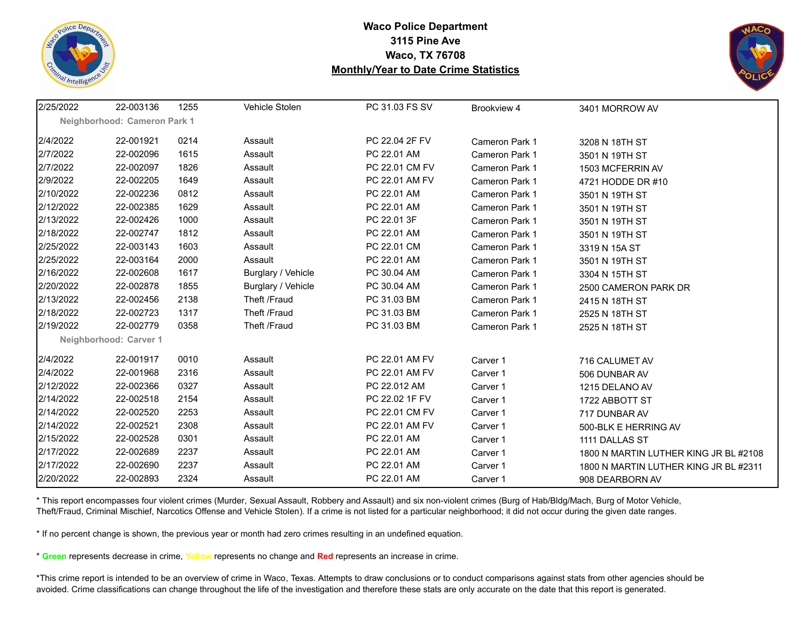



| 2/25/2022 | 22-003136                    | 1255 | Vehicle Stolen     | PC 31.03 FS SV | Brookview 4           | 3401 MORROW AV                        |
|-----------|------------------------------|------|--------------------|----------------|-----------------------|---------------------------------------|
|           | Neighborhood: Cameron Park 1 |      |                    |                |                       |                                       |
| 2/4/2022  | 22-001921                    | 0214 | Assault            | PC 22.04 2F FV | Cameron Park 1        | 3208 N 18TH ST                        |
| 2/7/2022  | 22-002096                    | 1615 | Assault            | PC 22.01 AM    | Cameron Park 1        | 3501 N 19TH ST                        |
| 2/7/2022  | 22-002097                    | 1826 | Assault            | PC 22.01 CM FV | Cameron Park 1        | 1503 MCFERRIN AV                      |
| 2/9/2022  | 22-002205                    | 1649 | Assault            | PC 22.01 AM FV | Cameron Park 1        | 4721 HODDE DR #10                     |
| 2/10/2022 | 22-002236                    | 0812 | Assault            | PC 22.01 AM    | <b>Cameron Park 1</b> | 3501 N 19TH ST                        |
| 2/12/2022 | 22-002385                    | 1629 | Assault            | PC 22.01 AM    | <b>Cameron Park 1</b> | 3501 N 19TH ST                        |
| 2/13/2022 | 22-002426                    | 1000 | Assault            | PC 22.01 3F    | Cameron Park 1        | 3501 N 19TH ST                        |
| 2/18/2022 | 22-002747                    | 1812 | Assault            | PC 22.01 AM    | Cameron Park 1        | 3501 N 19TH ST                        |
| 2/25/2022 | 22-003143                    | 1603 | Assault            | PC 22.01 CM    | Cameron Park 1        | 3319 N 15A ST                         |
| 2/25/2022 | 22-003164                    | 2000 | Assault            | PC 22.01 AM    | Cameron Park 1        | 3501 N 19TH ST                        |
| 2/16/2022 | 22-002608                    | 1617 | Burglary / Vehicle | PC 30.04 AM    | Cameron Park 1        | 3304 N 15TH ST                        |
| 2/20/2022 | 22-002878                    | 1855 | Burglary / Vehicle | PC 30.04 AM    | <b>Cameron Park 1</b> | 2500 CAMERON PARK DR                  |
| 2/13/2022 | 22-002456                    | 2138 | Theft /Fraud       | PC 31.03 BM    | <b>Cameron Park 1</b> | 2415 N 18TH ST                        |
| 2/18/2022 | 22-002723                    | 1317 | Theft /Fraud       | PC 31.03 BM    | Cameron Park 1        | 2525 N 18TH ST                        |
| 2/19/2022 | 22-002779                    | 0358 | Theft /Fraud       | PC 31.03 BM    | <b>Cameron Park 1</b> | 2525 N 18TH ST                        |
|           | Neighborhood: Carver 1       |      |                    |                |                       |                                       |
| 2/4/2022  | 22-001917                    | 0010 | Assault            | PC 22.01 AM FV | Carver 1              | 716 CALUMET AV                        |
| 2/4/2022  | 22-001968                    | 2316 | Assault            | PC 22.01 AM FV | Carver 1              | 506 DUNBAR AV                         |
| 2/12/2022 | 22-002366                    | 0327 | Assault            | PC 22.012 AM   | Carver 1              | 1215 DELANO AV                        |
| 2/14/2022 | 22-002518                    | 2154 | Assault            | PC 22.02 1F FV | Carver 1              | 1722 ABBOTT ST                        |
| 2/14/2022 | 22-002520                    | 2253 | Assault            | PC 22.01 CM FV | Carver 1              | 717 DUNBAR AV                         |
| 2/14/2022 | 22-002521                    | 2308 | Assault            | PC 22.01 AM FV | Carver 1              | 500-BLK E HERRING AV                  |
| 2/15/2022 | 22-002528                    | 0301 | Assault            | PC 22.01 AM    | Carver 1              | 1111 DALLAS ST                        |
| 2/17/2022 | 22-002689                    | 2237 | Assault            | PC 22.01 AM    | Carver 1              | 1800 N MARTIN LUTHER KING JR BL #2108 |
| 2/17/2022 | 22-002690                    | 2237 | Assault            | PC 22.01 AM    | Carver 1              | 1800 N MARTIN LUTHER KING JR BL #2311 |
| 2/20/2022 | 22-002893                    | 2324 | Assault            | PC 22.01 AM    | Carver 1              | 908 DEARBORN AV                       |

\* This report encompasses four violent crimes (Murder, Sexual Assault, Robbery and Assault) and six non-violent crimes (Burg of Hab/Bldg/Mach, Burg of Motor Vehicle, Theft/Fraud, Criminal Mischief, Narcotics Offense and Vehicle Stolen). If a crime is not listed for a particular neighborhood; it did not occur during the given date ranges.

\* If no percent change is shown, the previous year or month had zero crimes resulting in an undefined equation.

\* **Green** represents decrease in crime, **Yellow** represents no change and **Red** represents an increase in crime.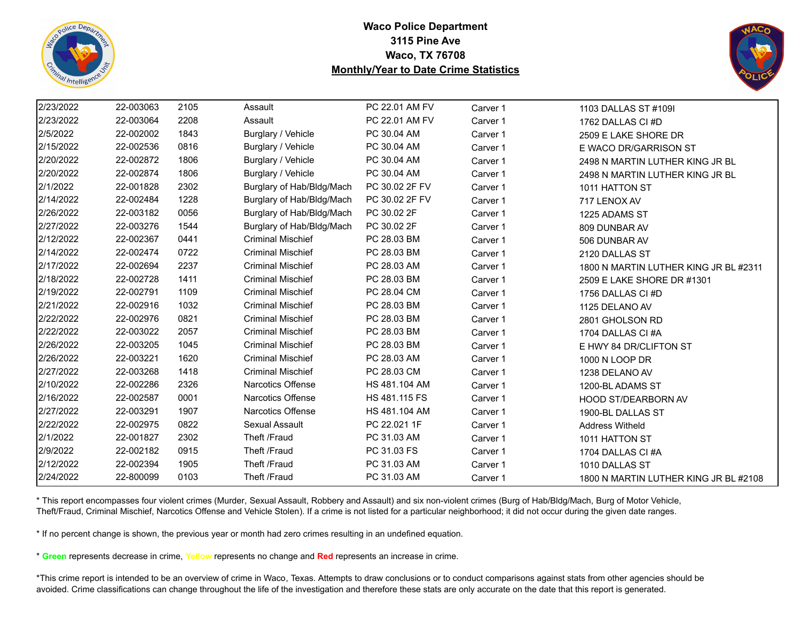



| 2/23/2022 | 22-003063 | 2105 | Assault                   | PC 22.01 AM FV       | Carver 1 | 1103 DALLAS ST #109I                  |
|-----------|-----------|------|---------------------------|----------------------|----------|---------------------------------------|
| 2/23/2022 | 22-003064 | 2208 | Assault                   | PC 22.01 AM FV       | Carver 1 | 1762 DALLAS CI #D                     |
| 2/5/2022  | 22-002002 | 1843 | Burglary / Vehicle        | PC 30.04 AM          | Carver 1 | 2509 E LAKE SHORE DR                  |
| 2/15/2022 | 22-002536 | 0816 | Burglary / Vehicle        | PC 30.04 AM          | Carver 1 | E WACO DR/GARRISON ST                 |
| 2/20/2022 | 22-002872 | 1806 | Burglary / Vehicle        | PC 30.04 AM          | Carver 1 | 2498 N MARTIN LUTHER KING JR BL       |
| 2/20/2022 | 22-002874 | 1806 | Burglary / Vehicle        | PC 30.04 AM          | Carver 1 | 2498 N MARTIN LUTHER KING JR BL       |
| 2/1/2022  | 22-001828 | 2302 | Burglary of Hab/Bldg/Mach | PC 30.02 2F FV       | Carver 1 | 1011 HATTON ST                        |
| 2/14/2022 | 22-002484 | 1228 | Burglary of Hab/Bldg/Mach | PC 30.02 2F FV       | Carver 1 | 717 LENOX AV                          |
| 2/26/2022 | 22-003182 | 0056 | Burglary of Hab/Bldg/Mach | PC 30.02 2F          | Carver 1 | 1225 ADAMS ST                         |
| 2/27/2022 | 22-003276 | 1544 | Burglary of Hab/Bldg/Mach | PC 30.02 2F          | Carver 1 | 809 DUNBAR AV                         |
| 2/12/2022 | 22-002367 | 0441 | <b>Criminal Mischief</b>  | PC 28.03 BM          | Carver 1 | 506 DUNBAR AV                         |
| 2/14/2022 | 22-002474 | 0722 | <b>Criminal Mischief</b>  | PC 28.03 BM          | Carver 1 | 2120 DALLAS ST                        |
| 2/17/2022 | 22-002694 | 2237 | <b>Criminal Mischief</b>  | PC 28.03 AM          | Carver 1 | 1800 N MARTIN LUTHER KING JR BL #2311 |
| 2/18/2022 | 22-002728 | 1411 | <b>Criminal Mischief</b>  | PC 28.03 BM          | Carver 1 | 2509 E LAKE SHORE DR #1301            |
| 2/19/2022 | 22-002791 | 1109 | <b>Criminal Mischief</b>  | PC 28.04 CM          | Carver 1 | 1756 DALLAS CI #D                     |
| 2/21/2022 | 22-002916 | 1032 | <b>Criminal Mischief</b>  | PC 28.03 BM          | Carver 1 | 1125 DELANO AV                        |
| 2/22/2022 | 22-002976 | 0821 | <b>Criminal Mischief</b>  | PC 28.03 BM          | Carver 1 | 2801 GHOLSON RD                       |
| 2/22/2022 | 22-003022 | 2057 | <b>Criminal Mischief</b>  | PC 28.03 BM          | Carver 1 | 1704 DALLAS CI#A                      |
| 2/26/2022 | 22-003205 | 1045 | <b>Criminal Mischief</b>  | PC 28.03 BM          | Carver 1 | E HWY 84 DR/CLIFTON ST                |
| 2/26/2022 | 22-003221 | 1620 | <b>Criminal Mischief</b>  | PC 28.03 AM          | Carver 1 | 1000 N LOOP DR                        |
| 2/27/2022 | 22-003268 | 1418 | <b>Criminal Mischief</b>  | PC 28.03 CM          | Carver 1 | 1238 DELANO AV                        |
| 2/10/2022 | 22-002286 | 2326 | Narcotics Offense         | HS 481.104 AM        | Carver 1 | 1200-BL ADAMS ST                      |
| 2/16/2022 | 22-002587 | 0001 | <b>Narcotics Offense</b>  | <b>HS 481.115 FS</b> | Carver 1 | <b>HOOD ST/DEARBORN AV</b>            |
| 2/27/2022 | 22-003291 | 1907 | Narcotics Offense         | HS 481.104 AM        | Carver 1 | 1900-BL DALLAS ST                     |
| 2/22/2022 | 22-002975 | 0822 | Sexual Assault            | PC 22.021 1F         | Carver 1 | <b>Address Witheld</b>                |
| 2/1/2022  | 22-001827 | 2302 | Theft /Fraud              | PC 31.03 AM          | Carver 1 | 1011 HATTON ST                        |
| 2/9/2022  | 22-002182 | 0915 | Theft /Fraud              | PC 31.03 FS          | Carver 1 | 1704 DALLAS CI #A                     |
| 2/12/2022 | 22-002394 | 1905 | Theft /Fraud              | PC 31.03 AM          | Carver 1 | 1010 DALLAS ST                        |
| 2/24/2022 | 22-800099 | 0103 | Theft /Fraud              | PC 31.03 AM          | Carver 1 | 1800 N MARTIN LUTHER KING JR BL #2108 |

\* This report encompasses four violent crimes (Murder, Sexual Assault, Robbery and Assault) and six non-violent crimes (Burg of Hab/Bldg/Mach, Burg of Motor Vehicle, Theft/Fraud, Criminal Mischief, Narcotics Offense and Vehicle Stolen). If a crime is not listed for a particular neighborhood; it did not occur during the given date ranges.

\* If no percent change is shown, the previous year or month had zero crimes resulting in an undefined equation.

\* **Green** represents decrease in crime, **Yellow** represents no change and **Red** represents an increase in crime.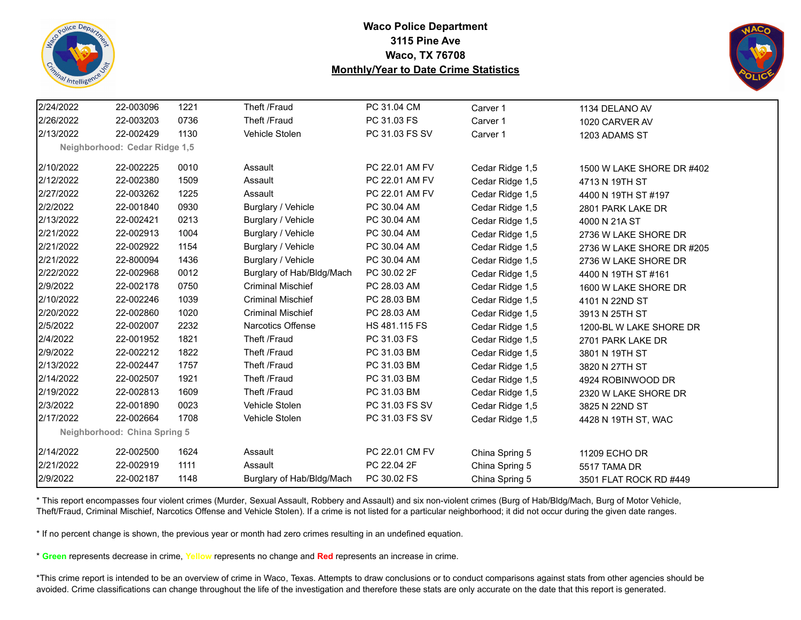



| 2/24/2022 | 22-003096                     | 1221 | Theft /Fraud              | PC 31.04 CM    | Carver 1        | 1134 DELANO AV            |
|-----------|-------------------------------|------|---------------------------|----------------|-----------------|---------------------------|
| 2/26/2022 | 22-003203                     | 0736 | Theft /Fraud              | PC 31.03 FS    | Carver 1        | 1020 CARVER AV            |
| 2/13/2022 | 22-002429                     | 1130 | Vehicle Stolen            | PC 31.03 FS SV | Carver 1        | 1203 ADAMS ST             |
|           | Neighborhood: Cedar Ridge 1,5 |      |                           |                |                 |                           |
| 2/10/2022 | 22-002225                     | 0010 | Assault                   | PC 22.01 AM FV | Cedar Ridge 1,5 | 1500 W LAKE SHORE DR #402 |
| 2/12/2022 | 22-002380                     | 1509 | Assault                   | PC 22.01 AM FV | Cedar Ridge 1,5 | 4713 N 19TH ST            |
| 2/27/2022 | 22-003262                     | 1225 | Assault                   | PC 22.01 AM FV | Cedar Ridge 1,5 | 4400 N 19TH ST #197       |
| 2/2/2022  | 22-001840                     | 0930 | Burglary / Vehicle        | PC 30.04 AM    | Cedar Ridge 1,5 | 2801 PARK LAKE DR         |
| 2/13/2022 | 22-002421                     | 0213 | Burglary / Vehicle        | PC 30.04 AM    | Cedar Ridge 1,5 | 4000 N 21A ST             |
| 2/21/2022 | 22-002913                     | 1004 | Burglary / Vehicle        | PC 30.04 AM    | Cedar Ridge 1,5 | 2736 W LAKE SHORE DR      |
| 2/21/2022 | 22-002922                     | 1154 | Burglary / Vehicle        | PC 30.04 AM    | Cedar Ridge 1,5 | 2736 W LAKE SHORE DR #205 |
| 2/21/2022 | 22-800094                     | 1436 | Burglary / Vehicle        | PC 30.04 AM    | Cedar Ridge 1,5 | 2736 W LAKE SHORE DR      |
| 2/22/2022 | 22-002968                     | 0012 | Burglary of Hab/Bldg/Mach | PC 30.02 2F    | Cedar Ridge 1,5 | 4400 N 19TH ST #161       |
| 2/9/2022  | 22-002178                     | 0750 | <b>Criminal Mischief</b>  | PC 28.03 AM    | Cedar Ridge 1,5 | 1600 W LAKE SHORE DR      |
| 2/10/2022 | 22-002246                     | 1039 | <b>Criminal Mischief</b>  | PC 28.03 BM    | Cedar Ridge 1,5 | 4101 N 22ND ST            |
| 2/20/2022 | 22-002860                     | 1020 | <b>Criminal Mischief</b>  | PC 28.03 AM    | Cedar Ridge 1,5 | 3913 N 25TH ST            |
| 2/5/2022  | 22-002007                     | 2232 | Narcotics Offense         | HS 481.115 FS  | Cedar Ridge 1,5 | 1200-BL W LAKE SHORE DR   |
| 2/4/2022  | 22-001952                     | 1821 | Theft /Fraud              | PC 31.03 FS    | Cedar Ridge 1,5 | 2701 PARK LAKE DR         |
| 2/9/2022  | 22-002212                     | 1822 | Theft /Fraud              | PC 31.03 BM    | Cedar Ridge 1,5 | 3801 N 19TH ST            |
| 2/13/2022 | 22-002447                     | 1757 | Theft /Fraud              | PC 31.03 BM    | Cedar Ridge 1,5 | 3820 N 27TH ST            |
| 2/14/2022 | 22-002507                     | 1921 | Theft /Fraud              | PC 31.03 BM    | Cedar Ridge 1,5 | 4924 ROBINWOOD DR         |
| 2/19/2022 | 22-002813                     | 1609 | Theft /Fraud              | PC 31.03 BM    | Cedar Ridge 1,5 | 2320 W LAKE SHORE DR      |
| 2/3/2022  | 22-001890                     | 0023 | Vehicle Stolen            | PC 31.03 FS SV | Cedar Ridge 1,5 | 3825 N 22ND ST            |
| 2/17/2022 | 22-002664                     | 1708 | Vehicle Stolen            | PC 31.03 FS SV | Cedar Ridge 1,5 | 4428 N 19TH ST, WAC       |
|           | Neighborhood: China Spring 5  |      |                           |                |                 |                           |
| 2/14/2022 | 22-002500                     | 1624 | Assault                   | PC 22.01 CM FV | China Spring 5  | 11209 ECHO DR             |
| 2/21/2022 | 22-002919                     | 1111 | Assault                   | PC 22.04 2F    | China Spring 5  | 5517 TAMA DR              |
| 2/9/2022  | 22-002187                     | 1148 | Burglary of Hab/Bldg/Mach | PC 30.02 FS    | China Spring 5  | 3501 FLAT ROCK RD #449    |

\* This report encompasses four violent crimes (Murder, Sexual Assault, Robbery and Assault) and six non-violent crimes (Burg of Hab/Bldg/Mach, Burg of Motor Vehicle, Theft/Fraud, Criminal Mischief, Narcotics Offense and Vehicle Stolen). If a crime is not listed for a particular neighborhood; it did not occur during the given date ranges.

\* If no percent change is shown, the previous year or month had zero crimes resulting in an undefined equation.

\* **Green** represents decrease in crime, **Yellow** represents no change and **Red** represents an increase in crime.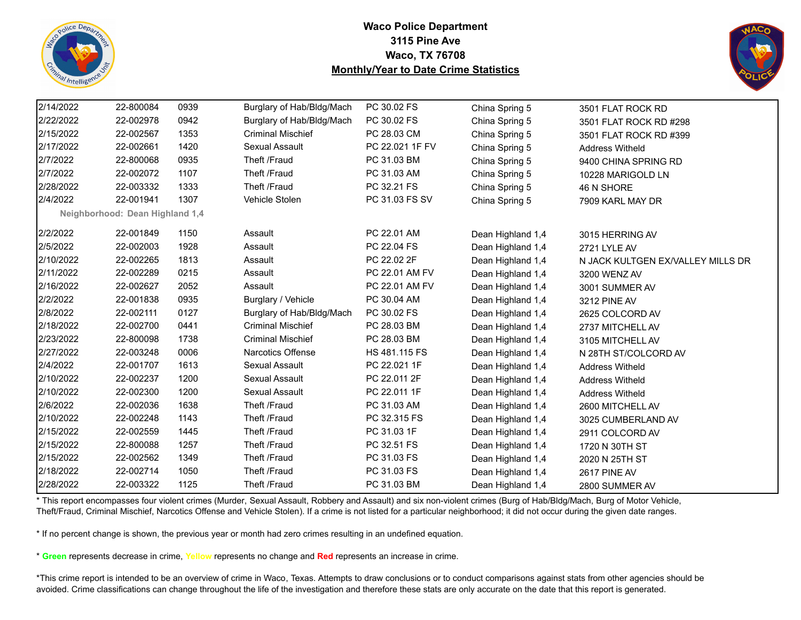



| 2/14/2022 | 22-800084                       | 0939 | Burglary of Hab/Bldg/Mach | PC 30.02 FS     | China Spring 5    | 3501 FLAT ROCK RD                 |
|-----------|---------------------------------|------|---------------------------|-----------------|-------------------|-----------------------------------|
| 2/22/2022 | 22-002978                       | 0942 | Burglary of Hab/Bldg/Mach | PC 30.02 FS     | China Spring 5    | 3501 FLAT ROCK RD #298            |
| 2/15/2022 | 22-002567                       | 1353 | <b>Criminal Mischief</b>  | PC 28.03 CM     | China Spring 5    | 3501 FLAT ROCK RD #399            |
| 2/17/2022 | 22-002661                       | 1420 | Sexual Assault            | PC 22.021 1F FV | China Spring 5    | <b>Address Witheld</b>            |
| 2/7/2022  | 22-800068                       | 0935 | Theft /Fraud              | PC 31.03 BM     | China Spring 5    | 9400 CHINA SPRING RD              |
| 2/7/2022  | 22-002072                       | 1107 | Theft /Fraud              | PC 31.03 AM     | China Spring 5    | 10228 MARIGOLD LN                 |
| 2/28/2022 | 22-003332                       | 1333 | Theft /Fraud              | PC 32.21 FS     | China Spring 5    | 46 N SHORE                        |
| 2/4/2022  | 22-001941                       | 1307 | Vehicle Stolen            | PC 31.03 FS SV  | China Spring 5    | 7909 KARL MAY DR                  |
|           | Neighborhood: Dean Highland 1,4 |      |                           |                 |                   |                                   |
| 2/2/2022  | 22-001849                       | 1150 | Assault                   | PC 22.01 AM     | Dean Highland 1,4 | 3015 HERRING AV                   |
| 2/5/2022  | 22-002003                       | 1928 | Assault                   | PC 22.04 FS     | Dean Highland 1,4 | 2721 LYLE AV                      |
| 2/10/2022 | 22-002265                       | 1813 | Assault                   | PC 22.02 2F     | Dean Highland 1,4 | N JACK KULTGEN EX/VALLEY MILLS DR |
| 2/11/2022 | 22-002289                       | 0215 | Assault                   | PC 22.01 AM FV  | Dean Highland 1,4 | 3200 WENZ AV                      |
| 2/16/2022 | 22-002627                       | 2052 | Assault                   | PC 22.01 AM FV  | Dean Highland 1,4 | 3001 SUMMER AV                    |
| 2/2/2022  | 22-001838                       | 0935 | Burglary / Vehicle        | PC 30.04 AM     | Dean Highland 1,4 | 3212 PINE AV                      |
| 2/8/2022  | 22-002111                       | 0127 | Burglary of Hab/Bldg/Mach | PC 30.02 FS     | Dean Highland 1,4 | 2625 COLCORD AV                   |
| 2/18/2022 | 22-002700                       | 0441 | <b>Criminal Mischief</b>  | PC 28.03 BM     | Dean Highland 1,4 | 2737 MITCHELL AV                  |
| 2/23/2022 | 22-800098                       | 1738 | <b>Criminal Mischief</b>  | PC 28.03 BM     | Dean Highland 1,4 | 3105 MITCHELL AV                  |
| 2/27/2022 | 22-003248                       | 0006 | <b>Narcotics Offense</b>  | HS 481.115 FS   | Dean Highland 1,4 | N 28TH ST/COLCORD AV              |
| 2/4/2022  | 22-001707                       | 1613 | Sexual Assault            | PC 22.021 1F    | Dean Highland 1,4 | <b>Address Witheld</b>            |
| 2/10/2022 | 22-002237                       | 1200 | <b>Sexual Assault</b>     | PC 22.011 2F    | Dean Highland 1,4 | <b>Address Witheld</b>            |
| 2/10/2022 | 22-002300                       | 1200 | Sexual Assault            | PC 22.011 1F    | Dean Highland 1,4 | <b>Address Witheld</b>            |
| 2/6/2022  | 22-002036                       | 1638 | Theft /Fraud              | PC 31.03 AM     | Dean Highland 1,4 | 2600 MITCHELL AV                  |
| 2/10/2022 | 22-002248                       | 1143 | Theft /Fraud              | PC 32.315 FS    | Dean Highland 1,4 | 3025 CUMBERLAND AV                |
| 2/15/2022 | 22-002559                       | 1445 | Theft /Fraud              | PC 31.03 1F     | Dean Highland 1,4 | 2911 COLCORD AV                   |
| 2/15/2022 | 22-800088                       | 1257 | Theft /Fraud              | PC 32.51 FS     | Dean Highland 1,4 | 1720 N 30TH ST                    |
| 2/15/2022 | 22-002562                       | 1349 | Theft /Fraud              | PC 31.03 FS     | Dean Highland 1,4 | 2020 N 25TH ST                    |
| 2/18/2022 | 22-002714                       | 1050 | Theft /Fraud              | PC 31.03 FS     | Dean Highland 1,4 | 2617 PINE AV                      |
| 2/28/2022 | 22-003322                       | 1125 | Theft /Fraud              | PC 31.03 BM     | Dean Highland 1,4 | 2800 SUMMER AV                    |

\* This report encompasses four violent crimes (Murder, Sexual Assault, Robbery and Assault) and six non-violent crimes (Burg of Hab/Bldg/Mach, Burg of Motor Vehicle, Theft/Fraud, Criminal Mischief, Narcotics Offense and Vehicle Stolen). If a crime is not listed for a particular neighborhood; it did not occur during the given date ranges.

\* If no percent change is shown, the previous year or month had zero crimes resulting in an undefined equation.

\* **Green** represents decrease in crime, **Yellow** represents no change and **Red** represents an increase in crime.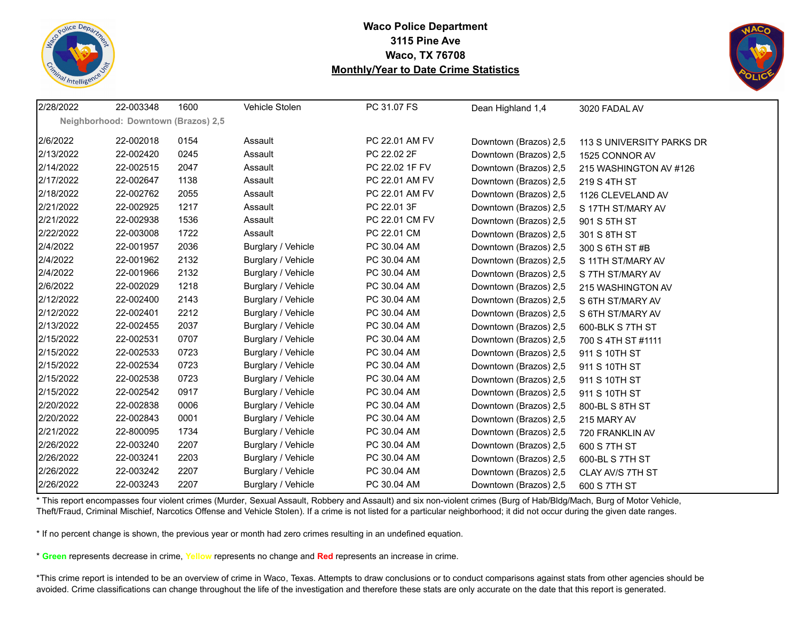



| 2/28/2022 | 22-003348                           | 1600 | Vehicle Stolen     | PC 31.07 FS    | Dean Highland 1,4     | 3020 FADAL AV             |
|-----------|-------------------------------------|------|--------------------|----------------|-----------------------|---------------------------|
|           | Neighborhood: Downtown (Brazos) 2,5 |      |                    |                |                       |                           |
| 2/6/2022  | 22-002018                           | 0154 | Assault            | PC 22.01 AM FV | Downtown (Brazos) 2,5 | 113 S UNIVERSITY PARKS DR |
| 2/13/2022 | 22-002420                           | 0245 | Assault            | PC 22.02 2F    | Downtown (Brazos) 2,5 | 1525 CONNOR AV            |
| 2/14/2022 | 22-002515                           | 2047 | Assault            | PC 22.02 1F FV | Downtown (Brazos) 2,5 | 215 WASHINGTON AV #126    |
| 2/17/2022 | 22-002647                           | 1138 | Assault            | PC 22.01 AM FV | Downtown (Brazos) 2,5 | 219 S 4TH ST              |
| 2/18/2022 | 22-002762                           | 2055 | Assault            | PC 22.01 AM FV | Downtown (Brazos) 2,5 | 1126 CLEVELAND AV         |
| 2/21/2022 | 22-002925                           | 1217 | Assault            | PC 22.01 3F    | Downtown (Brazos) 2,5 | S 17TH ST/MARY AV         |
| 2/21/2022 | 22-002938                           | 1536 | Assault            | PC 22.01 CM FV | Downtown (Brazos) 2,5 | 901 S 5TH ST              |
| 2/22/2022 | 22-003008                           | 1722 | Assault            | PC 22.01 CM    | Downtown (Brazos) 2,5 | 301 S 8TH ST              |
| 2/4/2022  | 22-001957                           | 2036 | Burglary / Vehicle | PC 30.04 AM    | Downtown (Brazos) 2,5 | 300 S 6TH ST #B           |
| 2/4/2022  | 22-001962                           | 2132 | Burglary / Vehicle | PC 30.04 AM    | Downtown (Brazos) 2,5 | S 11TH ST/MARY AV         |
| 2/4/2022  | 22-001966                           | 2132 | Burglary / Vehicle | PC 30.04 AM    | Downtown (Brazos) 2,5 | S 7TH ST/MARY AV          |
| 2/6/2022  | 22-002029                           | 1218 | Burglary / Vehicle | PC 30.04 AM    | Downtown (Brazos) 2,5 | 215 WASHINGTON AV         |
| 2/12/2022 | 22-002400                           | 2143 | Burglary / Vehicle | PC 30.04 AM    | Downtown (Brazos) 2,5 | S 6TH ST/MARY AV          |
| 2/12/2022 | 22-002401                           | 2212 | Burglary / Vehicle | PC 30.04 AM    | Downtown (Brazos) 2,5 | S 6TH ST/MARY AV          |
| 2/13/2022 | 22-002455                           | 2037 | Burglary / Vehicle | PC 30.04 AM    | Downtown (Brazos) 2,5 | 600-BLK S 7TH ST          |
| 2/15/2022 | 22-002531                           | 0707 | Burglary / Vehicle | PC 30.04 AM    | Downtown (Brazos) 2,5 | 700 S 4TH ST #1111        |
| 2/15/2022 | 22-002533                           | 0723 | Burglary / Vehicle | PC 30.04 AM    | Downtown (Brazos) 2,5 | 911 S 10TH ST             |
| 2/15/2022 | 22-002534                           | 0723 | Burglary / Vehicle | PC 30.04 AM    | Downtown (Brazos) 2,5 | 911 S 10TH ST             |
| 2/15/2022 | 22-002538                           | 0723 | Burglary / Vehicle | PC 30.04 AM    | Downtown (Brazos) 2,5 | 911 S 10TH ST             |
| 2/15/2022 | 22-002542                           | 0917 | Burglary / Vehicle | PC 30.04 AM    | Downtown (Brazos) 2,5 | 911 S 10TH ST             |
| 2/20/2022 | 22-002838                           | 0006 | Burglary / Vehicle | PC 30.04 AM    | Downtown (Brazos) 2,5 | 800-BL S 8TH ST           |
| 2/20/2022 | 22-002843                           | 0001 | Burglary / Vehicle | PC 30.04 AM    | Downtown (Brazos) 2,5 | 215 MARY AV               |
| 2/21/2022 | 22-800095                           | 1734 | Burglary / Vehicle | PC 30.04 AM    | Downtown (Brazos) 2,5 | 720 FRANKLIN AV           |
| 2/26/2022 | 22-003240                           | 2207 | Burglary / Vehicle | PC 30.04 AM    | Downtown (Brazos) 2,5 | 600 S 7TH ST              |
| 2/26/2022 | 22-003241                           | 2203 | Burglary / Vehicle | PC 30.04 AM    | Downtown (Brazos) 2,5 | 600-BL S 7TH ST           |
| 2/26/2022 | 22-003242                           | 2207 | Burglary / Vehicle | PC 30.04 AM    | Downtown (Brazos) 2,5 | CLAY AV/S 7TH ST          |
| 2/26/2022 | 22-003243                           | 2207 | Burglary / Vehicle | PC 30.04 AM    | Downtown (Brazos) 2,5 | 600 S 7TH ST              |

\* This report encompasses four violent crimes (Murder, Sexual Assault, Robbery and Assault) and six non-violent crimes (Burg of Hab/Bldg/Mach, Burg of Motor Vehicle, Theft/Fraud, Criminal Mischief, Narcotics Offense and Vehicle Stolen). If a crime is not listed for a particular neighborhood; it did not occur during the given date ranges.

\* If no percent change is shown, the previous year or month had zero crimes resulting in an undefined equation.

\* **Green** represents decrease in crime, **Yellow** represents no change and **Red** represents an increase in crime.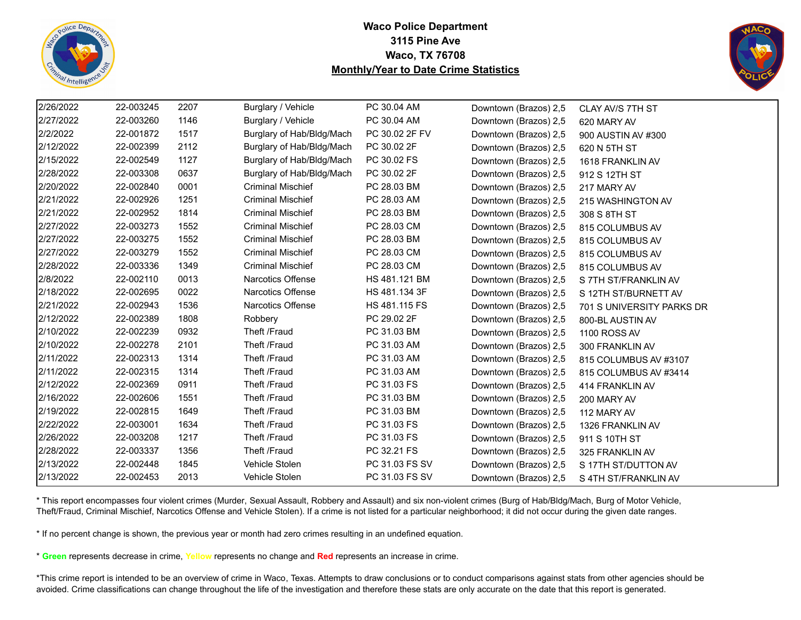



| 2/26/2022 | 22-003245 | 2207 | Burglary / Vehicle        | PC 30.04 AM    | Downtown (Brazos) 2,5 | CLAY AV/S 7TH ST          |
|-----------|-----------|------|---------------------------|----------------|-----------------------|---------------------------|
| 2/27/2022 | 22-003260 | 1146 | Burglary / Vehicle        | PC 30.04 AM    | Downtown (Brazos) 2,5 | 620 MARY AV               |
| 2/2/2022  | 22-001872 | 1517 | Burglary of Hab/Bldg/Mach | PC 30.02 2F FV | Downtown (Brazos) 2,5 | 900 AUSTIN AV #300        |
| 2/12/2022 | 22-002399 | 2112 | Burglary of Hab/Bldg/Mach | PC 30.02 2F    | Downtown (Brazos) 2,5 | 620 N 5TH ST              |
| 2/15/2022 | 22-002549 | 1127 | Burglary of Hab/Bldg/Mach | PC 30.02 FS    | Downtown (Brazos) 2,5 | 1618 FRANKLIN AV          |
| 2/28/2022 | 22-003308 | 0637 | Burglary of Hab/Bldg/Mach | PC 30.02 2F    | Downtown (Brazos) 2,5 | 912 S 12TH ST             |
| 2/20/2022 | 22-002840 | 0001 | <b>Criminal Mischief</b>  | PC 28.03 BM    | Downtown (Brazos) 2,5 | 217 MARY AV               |
| 2/21/2022 | 22-002926 | 1251 | <b>Criminal Mischief</b>  | PC 28.03 AM    | Downtown (Brazos) 2,5 | 215 WASHINGTON AV         |
| 2/21/2022 | 22-002952 | 1814 | <b>Criminal Mischief</b>  | PC 28.03 BM    | Downtown (Brazos) 2,5 | 308 S 8TH ST              |
| 2/27/2022 | 22-003273 | 1552 | <b>Criminal Mischief</b>  | PC 28.03 CM    | Downtown (Brazos) 2,5 | 815 COLUMBUS AV           |
| 2/27/2022 | 22-003275 | 1552 | <b>Criminal Mischief</b>  | PC 28.03 BM    | Downtown (Brazos) 2,5 | 815 COLUMBUS AV           |
| 2/27/2022 | 22-003279 | 1552 | <b>Criminal Mischief</b>  | PC 28.03 CM    | Downtown (Brazos) 2,5 | 815 COLUMBUS AV           |
| 2/28/2022 | 22-003336 | 1349 | <b>Criminal Mischief</b>  | PC 28.03 CM    | Downtown (Brazos) 2,5 | 815 COLUMBUS AV           |
| 2/8/2022  | 22-002110 | 0013 | <b>Narcotics Offense</b>  | HS 481.121 BM  | Downtown (Brazos) 2,5 | S 7TH ST/FRANKLIN AV      |
| 2/18/2022 | 22-002695 | 0022 | <b>Narcotics Offense</b>  | HS 481.134 3F  | Downtown (Brazos) 2,5 | S 12TH ST/BURNETT AV      |
| 2/21/2022 | 22-002943 | 1536 | <b>Narcotics Offense</b>  | HS 481.115 FS  | Downtown (Brazos) 2,5 | 701 S UNIVERSITY PARKS DR |
| 2/12/2022 | 22-002389 | 1808 | Robbery                   | PC 29.02 2F    | Downtown (Brazos) 2,5 | 800-BL AUSTIN AV          |
| 2/10/2022 | 22-002239 | 0932 | Theft /Fraud              | PC 31.03 BM    | Downtown (Brazos) 2,5 | 1100 ROSS AV              |
| 2/10/2022 | 22-002278 | 2101 | Theft /Fraud              | PC 31.03 AM    | Downtown (Brazos) 2,5 | 300 FRANKLIN AV           |
| 2/11/2022 | 22-002313 | 1314 | Theft /Fraud              | PC 31.03 AM    | Downtown (Brazos) 2,5 | 815 COLUMBUS AV #3107     |
| 2/11/2022 | 22-002315 | 1314 | Theft /Fraud              | PC 31.03 AM    | Downtown (Brazos) 2,5 | 815 COLUMBUS AV #3414     |
| 2/12/2022 | 22-002369 | 0911 | Theft /Fraud              | PC 31.03 FS    | Downtown (Brazos) 2,5 | 414 FRANKLIN AV           |
| 2/16/2022 | 22-002606 | 1551 | Theft /Fraud              | PC 31.03 BM    | Downtown (Brazos) 2,5 | 200 MARY AV               |
| 2/19/2022 | 22-002815 | 1649 | Theft /Fraud              | PC 31.03 BM    | Downtown (Brazos) 2,5 | 112 MARY AV               |
| 2/22/2022 | 22-003001 | 1634 | Theft /Fraud              | PC 31.03 FS    | Downtown (Brazos) 2,5 | 1326 FRANKLIN AV          |
| 2/26/2022 | 22-003208 | 1217 | Theft /Fraud              | PC 31.03 FS    | Downtown (Brazos) 2,5 | 911 S 10TH ST             |
| 2/28/2022 | 22-003337 | 1356 | Theft /Fraud              | PC 32.21 FS    | Downtown (Brazos) 2,5 | 325 FRANKLIN AV           |
| 2/13/2022 | 22-002448 | 1845 | Vehicle Stolen            | PC 31.03 FS SV | Downtown (Brazos) 2,5 | S 17TH ST/DUTTON AV       |
| 2/13/2022 | 22-002453 | 2013 | Vehicle Stolen            | PC 31.03 FS SV | Downtown (Brazos) 2,5 | S 4TH ST/FRANKLIN AV      |

\* This report encompasses four violent crimes (Murder, Sexual Assault, Robbery and Assault) and six non-violent crimes (Burg of Hab/Bldg/Mach, Burg of Motor Vehicle, Theft/Fraud, Criminal Mischief, Narcotics Offense and Vehicle Stolen). If a crime is not listed for a particular neighborhood; it did not occur during the given date ranges.

\* If no percent change is shown, the previous year or month had zero crimes resulting in an undefined equation.

\* **Green** represents decrease in crime, **Yellow** represents no change and **Red** represents an increase in crime.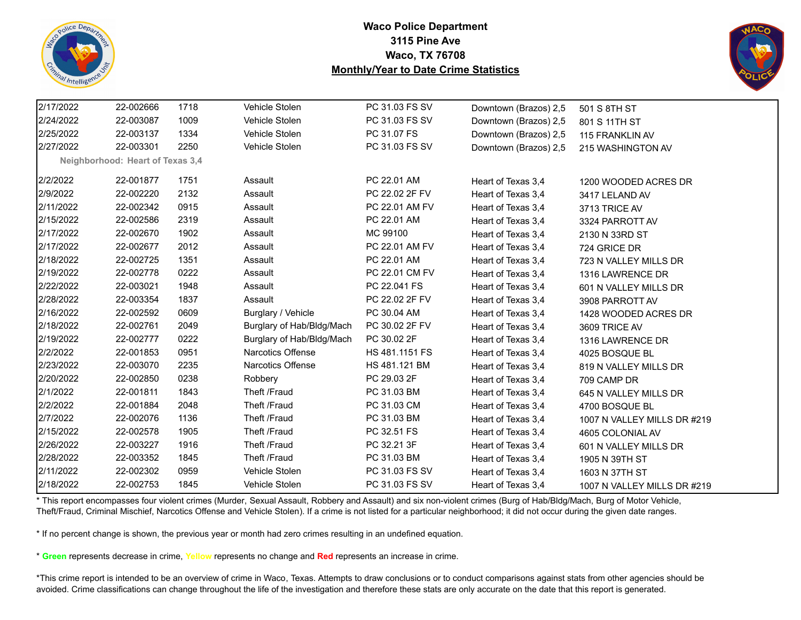



| 2/17/2022 | 22-002666                        | 1718 | Vehicle Stolen            | PC 31.03 FS SV | Downtown (Brazos) 2,5 | 501 S 8TH ST                |
|-----------|----------------------------------|------|---------------------------|----------------|-----------------------|-----------------------------|
| 2/24/2022 | 22-003087                        | 1009 | Vehicle Stolen            | PC 31.03 FS SV | Downtown (Brazos) 2,5 | 801 S 11TH ST               |
| 2/25/2022 | 22-003137                        | 1334 | Vehicle Stolen            | PC 31.07 FS    | Downtown (Brazos) 2,5 | 115 FRANKLIN AV             |
| 2/27/2022 | 22-003301                        | 2250 | Vehicle Stolen            | PC 31.03 FS SV | Downtown (Brazos) 2,5 | 215 WASHINGTON AV           |
|           | Neighborhood: Heart of Texas 3,4 |      |                           |                |                       |                             |
| 2/2/2022  | 22-001877                        | 1751 | Assault                   | PC 22.01 AM    | Heart of Texas 3,4    | 1200 WOODED ACRES DR        |
| 2/9/2022  | 22-002220                        | 2132 | Assault                   | PC 22.02 2F FV | Heart of Texas 3.4    | 3417 LELAND AV              |
| 2/11/2022 | 22-002342                        | 0915 | Assault                   | PC 22.01 AM FV | Heart of Texas 3,4    | 3713 TRICE AV               |
| 2/15/2022 | 22-002586                        | 2319 | Assault                   | PC 22.01 AM    | Heart of Texas 3,4    | 3324 PARROTT AV             |
| 2/17/2022 | 22-002670                        | 1902 | Assault                   | MC 99100       | Heart of Texas 3,4    | 2130 N 33RD ST              |
| 2/17/2022 | 22-002677                        | 2012 | Assault                   | PC 22.01 AM FV | Heart of Texas 3,4    | 724 GRICE DR                |
| 2/18/2022 | 22-002725                        | 1351 | Assault                   | PC 22.01 AM    | Heart of Texas 3,4    | 723 N VALLEY MILLS DR       |
| 2/19/2022 | 22-002778                        | 0222 | Assault                   | PC 22.01 CM FV | Heart of Texas 3,4    | 1316 LAWRENCE DR            |
| 2/22/2022 | 22-003021                        | 1948 | Assault                   | PC 22.041 FS   | Heart of Texas 3.4    | 601 N VALLEY MILLS DR       |
| 2/28/2022 | 22-003354                        | 1837 | Assault                   | PC 22.02 2F FV | Heart of Texas 3.4    | 3908 PARROTT AV             |
| 2/16/2022 | 22-002592                        | 0609 | Burglary / Vehicle        | PC 30.04 AM    | Heart of Texas 3,4    | 1428 WOODED ACRES DR        |
| 2/18/2022 | 22-002761                        | 2049 | Burglary of Hab/Bldg/Mach | PC 30.02 2F FV | Heart of Texas 3,4    | 3609 TRICE AV               |
| 2/19/2022 | 22-002777                        | 0222 | Burglary of Hab/Bldg/Mach | PC 30.02 2F    | Heart of Texas 3,4    | 1316 LAWRENCE DR            |
| 2/2/2022  | 22-001853                        | 0951 | Narcotics Offense         | HS 481.1151 FS | Heart of Texas 3.4    | 4025 BOSQUE BL              |
| 2/23/2022 | 22-003070                        | 2235 | <b>Narcotics Offense</b>  | HS 481.121 BM  | Heart of Texas 3,4    | 819 N VALLEY MILLS DR       |
| 2/20/2022 | 22-002850                        | 0238 | Robbery                   | PC 29.03 2F    | Heart of Texas 3,4    | 709 CAMP DR                 |
| 2/1/2022  | 22-001811                        | 1843 | Theft /Fraud              | PC 31.03 BM    | Heart of Texas 3,4    | 645 N VALLEY MILLS DR       |
| 2/2/2022  | 22-001884                        | 2048 | Theft /Fraud              | PC 31.03 CM    | Heart of Texas 3,4    | 4700 BOSQUE BL              |
| 2/7/2022  | 22-002076                        | 1136 | Theft /Fraud              | PC 31.03 BM    | Heart of Texas 3,4    | 1007 N VALLEY MILLS DR #219 |
| 2/15/2022 | 22-002578                        | 1905 | Theft /Fraud              | PC 32.51 FS    | Heart of Texas 3,4    | 4605 COLONIAL AV            |
| 2/26/2022 | 22-003227                        | 1916 | Theft /Fraud              | PC 32.21 3F    | Heart of Texas 3.4    | 601 N VALLEY MILLS DR       |
| 2/28/2022 | 22-003352                        | 1845 | Theft /Fraud              | PC 31.03 BM    | Heart of Texas 3.4    | 1905 N 39TH ST              |
| 2/11/2022 | 22-002302                        | 0959 | Vehicle Stolen            | PC 31.03 FS SV | Heart of Texas 3,4    | 1603 N 37TH ST              |
| 2/18/2022 | 22-002753                        | 1845 | Vehicle Stolen            | PC 31.03 FS SV | Heart of Texas 3,4    | 1007 N VALLEY MILLS DR #219 |

\* This report encompasses four violent crimes (Murder, Sexual Assault, Robbery and Assault) and six non-violent crimes (Burg of Hab/Bldg/Mach, Burg of Motor Vehicle, Theft/Fraud, Criminal Mischief, Narcotics Offense and Vehicle Stolen). If a crime is not listed for a particular neighborhood; it did not occur during the given date ranges.

\* If no percent change is shown, the previous year or month had zero crimes resulting in an undefined equation.

\* **Green** represents decrease in crime, **Yellow** represents no change and **Red** represents an increase in crime.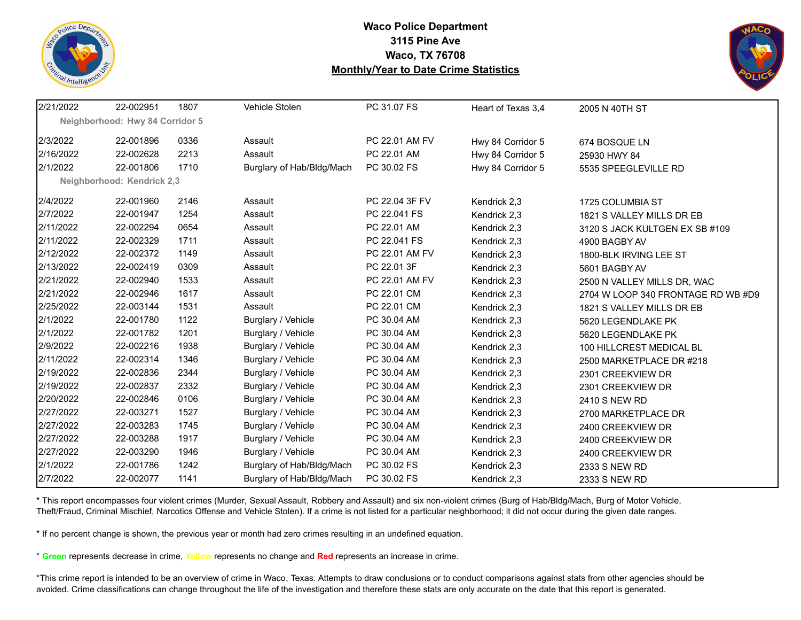



| 2/21/2022 | 22-002951                       | 1807 | Vehicle Stolen            | PC 31.07 FS    | Heart of Texas 3,4 | 2005 N 40TH ST                     |
|-----------|---------------------------------|------|---------------------------|----------------|--------------------|------------------------------------|
|           | Neighborhood: Hwy 84 Corridor 5 |      |                           |                |                    |                                    |
| 2/3/2022  | 22-001896                       | 0336 | Assault                   | PC 22.01 AM FV | Hwy 84 Corridor 5  | 674 BOSQUE LN                      |
| 2/16/2022 | 22-002628                       | 2213 | Assault                   | PC 22.01 AM    | Hwy 84 Corridor 5  | 25930 HWY 84                       |
| 2/1/2022  | 22-001806                       | 1710 | Burglary of Hab/Bldg/Mach | PC 30.02 FS    | Hwy 84 Corridor 5  | 5535 SPEEGLEVILLE RD               |
|           | Neighborhood: Kendrick 2,3      |      |                           |                |                    |                                    |
| 2/4/2022  | 22-001960                       | 2146 | Assault                   | PC 22.04 3F FV | Kendrick 2,3       | 1725 COLUMBIA ST                   |
| 2/7/2022  | 22-001947                       | 1254 | Assault                   | PC 22.041 FS   | Kendrick 2,3       | 1821 S VALLEY MILLS DR EB          |
| 2/11/2022 | 22-002294                       | 0654 | Assault                   | PC 22.01 AM    | Kendrick 2,3       | 3120 S JACK KULTGEN EX SB #109     |
| 2/11/2022 | 22-002329                       | 1711 | Assault                   | PC 22.041 FS   | Kendrick 2,3       | 4900 BAGBY AV                      |
| 2/12/2022 | 22-002372                       | 1149 | Assault                   | PC 22.01 AM FV | Kendrick 2,3       | 1800-BLK IRVING LEE ST             |
| 2/13/2022 | 22-002419                       | 0309 | Assault                   | PC 22.01 3F    | Kendrick 2,3       | 5601 BAGBY AV                      |
| 2/21/2022 | 22-002940                       | 1533 | Assault                   | PC 22.01 AM FV | Kendrick 2,3       | 2500 N VALLEY MILLS DR, WAC        |
| 2/21/2022 | 22-002946                       | 1617 | Assault                   | PC 22.01 CM    | Kendrick 2,3       | 2704 W LOOP 340 FRONTAGE RD WB #D9 |
| 2/25/2022 | 22-003144                       | 1531 | Assault                   | PC 22.01 CM    | Kendrick 2,3       | 1821 S VALLEY MILLS DR EB          |
| 2/1/2022  | 22-001780                       | 1122 | Burglary / Vehicle        | PC 30.04 AM    | Kendrick 2,3       | 5620 LEGENDLAKE PK                 |
| 2/1/2022  | 22-001782                       | 1201 | Burglary / Vehicle        | PC 30.04 AM    | Kendrick 2,3       | 5620 LEGENDLAKE PK                 |
| 2/9/2022  | 22-002216                       | 1938 | Burglary / Vehicle        | PC 30.04 AM    | Kendrick 2,3       | 100 HILLCREST MEDICAL BL           |
| 2/11/2022 | 22-002314                       | 1346 | Burglary / Vehicle        | PC 30.04 AM    | Kendrick 2,3       | 2500 MARKETPLACE DR #218           |
| 2/19/2022 | 22-002836                       | 2344 | Burglary / Vehicle        | PC 30.04 AM    | Kendrick 2,3       | 2301 CREEKVIEW DR                  |
| 2/19/2022 | 22-002837                       | 2332 | Burglary / Vehicle        | PC 30.04 AM    | Kendrick 2,3       | 2301 CREEKVIEW DR                  |
| 2/20/2022 | 22-002846                       | 0106 | Burglary / Vehicle        | PC 30.04 AM    | Kendrick 2,3       | 2410 S NEW RD                      |
| 2/27/2022 | 22-003271                       | 1527 | Burglary / Vehicle        | PC 30.04 AM    | Kendrick 2,3       | 2700 MARKETPLACE DR                |
| 2/27/2022 | 22-003283                       | 1745 | Burglary / Vehicle        | PC 30.04 AM    | Kendrick 2,3       | 2400 CREEKVIEW DR                  |
| 2/27/2022 | 22-003288                       | 1917 | Burglary / Vehicle        | PC 30.04 AM    | Kendrick 2,3       | 2400 CREEKVIEW DR                  |
| 2/27/2022 | 22-003290                       | 1946 | Burglary / Vehicle        | PC 30.04 AM    | Kendrick 2,3       | 2400 CREEKVIEW DR                  |
| 2/1/2022  | 22-001786                       | 1242 | Burglary of Hab/Bldg/Mach | PC 30.02 FS    | Kendrick 2,3       | 2333 S NEW RD                      |
| 2/7/2022  | 22-002077                       | 1141 | Burglary of Hab/Bldg/Mach | PC 30.02 FS    | Kendrick 2,3       | 2333 S NEW RD                      |

\* This report encompasses four violent crimes (Murder, Sexual Assault, Robbery and Assault) and six non-violent crimes (Burg of Hab/Bldg/Mach, Burg of Motor Vehicle, Theft/Fraud, Criminal Mischief, Narcotics Offense and Vehicle Stolen). If a crime is not listed for a particular neighborhood; it did not occur during the given date ranges.

\* If no percent change is shown, the previous year or month had zero crimes resulting in an undefined equation.

\* **Green** represents decrease in crime, **Yellow** represents no change and **Red** represents an increase in crime.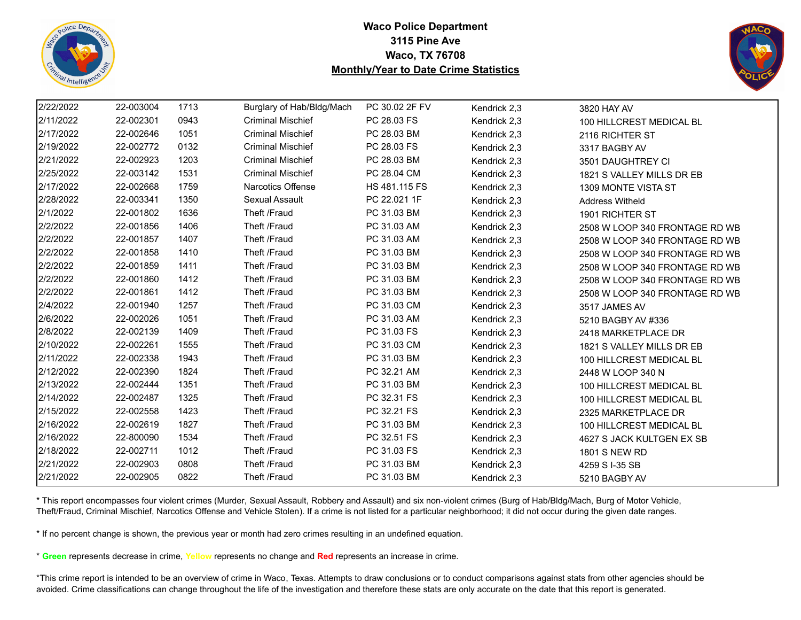



| 2/22/2022 | 22-003004 | 1713 | Burglary of Hab/Bldg/Mach | PC 30.02 2F FV | Kendrick 2,3 | 3820 HAY AV                    |
|-----------|-----------|------|---------------------------|----------------|--------------|--------------------------------|
| 2/11/2022 | 22-002301 | 0943 | <b>Criminal Mischief</b>  | PC 28.03 FS    | Kendrick 2,3 | 100 HILLCREST MEDICAL BL       |
| 2/17/2022 | 22-002646 | 1051 | <b>Criminal Mischief</b>  | PC 28.03 BM    | Kendrick 2,3 | 2116 RICHTER ST                |
| 2/19/2022 | 22-002772 | 0132 | <b>Criminal Mischief</b>  | PC 28.03 FS    | Kendrick 2,3 | 3317 BAGBY AV                  |
| 2/21/2022 | 22-002923 | 1203 | <b>Criminal Mischief</b>  | PC 28.03 BM    | Kendrick 2,3 | 3501 DAUGHTREY CI              |
| 2/25/2022 | 22-003142 | 1531 | <b>Criminal Mischief</b>  | PC 28.04 CM    | Kendrick 2,3 | 1821 S VALLEY MILLS DR EB      |
| 2/17/2022 | 22-002668 | 1759 | Narcotics Offense         | HS 481.115 FS  | Kendrick 2,3 | 1309 MONTE VISTA ST            |
| 2/28/2022 | 22-003341 | 1350 | Sexual Assault            | PC 22.021 1F   | Kendrick 2,3 | Address Witheld                |
| 2/1/2022  | 22-001802 | 1636 | Theft /Fraud              | PC 31.03 BM    | Kendrick 2,3 | 1901 RICHTER ST                |
| 2/2/2022  | 22-001856 | 1406 | Theft /Fraud              | PC 31.03 AM    | Kendrick 2,3 | 2508 W LOOP 340 FRONTAGE RD WB |
| 2/2/2022  | 22-001857 | 1407 | Theft /Fraud              | PC 31.03 AM    | Kendrick 2,3 | 2508 W LOOP 340 FRONTAGE RD WB |
| 2/2/2022  | 22-001858 | 1410 | Theft /Fraud              | PC 31.03 BM    | Kendrick 2,3 | 2508 W LOOP 340 FRONTAGE RD WB |
| 2/2/2022  | 22-001859 | 1411 | Theft /Fraud              | PC 31.03 BM    | Kendrick 2,3 | 2508 W LOOP 340 FRONTAGE RD WB |
| 2/2/2022  | 22-001860 | 1412 | Theft /Fraud              | PC 31.03 BM    | Kendrick 2,3 | 2508 W LOOP 340 FRONTAGE RD WB |
| 2/2/2022  | 22-001861 | 1412 | Theft /Fraud              | PC 31.03 BM    | Kendrick 2,3 | 2508 W LOOP 340 FRONTAGE RD WB |
| 2/4/2022  | 22-001940 | 1257 | Theft /Fraud              | PC 31.03 CM    | Kendrick 2,3 | 3517 JAMES AV                  |
| 2/6/2022  | 22-002026 | 1051 | Theft /Fraud              | PC 31.03 AM    | Kendrick 2,3 | 5210 BAGBY AV #336             |
| 2/8/2022  | 22-002139 | 1409 | Theft /Fraud              | PC 31.03 FS    | Kendrick 2,3 | 2418 MARKETPLACE DR            |
| 2/10/2022 | 22-002261 | 1555 | Theft /Fraud              | PC 31.03 CM    | Kendrick 2,3 | 1821 S VALLEY MILLS DR EB      |
| 2/11/2022 | 22-002338 | 1943 | Theft /Fraud              | PC 31.03 BM    | Kendrick 2,3 | 100 HILLCREST MEDICAL BL       |
| 2/12/2022 | 22-002390 | 1824 | Theft /Fraud              | PC 32.21 AM    | Kendrick 2,3 | 2448 W LOOP 340 N              |
| 2/13/2022 | 22-002444 | 1351 | Theft /Fraud              | PC 31.03 BM    | Kendrick 2,3 | 100 HILLCREST MEDICAL BL       |
| 2/14/2022 | 22-002487 | 1325 | Theft /Fraud              | PC 32.31 FS    | Kendrick 2,3 | 100 HILLCREST MEDICAL BL       |
| 2/15/2022 | 22-002558 | 1423 | Theft /Fraud              | PC 32.21 FS    | Kendrick 2,3 | 2325 MARKETPLACE DR            |
| 2/16/2022 | 22-002619 | 1827 | Theft /Fraud              | PC 31.03 BM    | Kendrick 2,3 | 100 HILLCREST MEDICAL BL       |
| 2/16/2022 | 22-800090 | 1534 | Theft /Fraud              | PC 32.51 FS    | Kendrick 2,3 | 4627 S JACK KULTGEN EX SB      |
| 2/18/2022 | 22-002711 | 1012 | Theft /Fraud              | PC 31.03 FS    | Kendrick 2,3 | 1801 S NEW RD                  |
| 2/21/2022 | 22-002903 | 0808 | Theft /Fraud              | PC 31.03 BM    | Kendrick 2,3 | 4259 S I-35 SB                 |
| 2/21/2022 | 22-002905 | 0822 | Theft /Fraud              | PC 31.03 BM    | Kendrick 2.3 | 5210 BAGBY AV                  |

\* This report encompasses four violent crimes (Murder, Sexual Assault, Robbery and Assault) and six non-violent crimes (Burg of Hab/Bldg/Mach, Burg of Motor Vehicle, Theft/Fraud, Criminal Mischief, Narcotics Offense and Vehicle Stolen). If a crime is not listed for a particular neighborhood; it did not occur during the given date ranges.

\* If no percent change is shown, the previous year or month had zero crimes resulting in an undefined equation.

\* **Green** represents decrease in crime, **Yellow** represents no change and **Red** represents an increase in crime.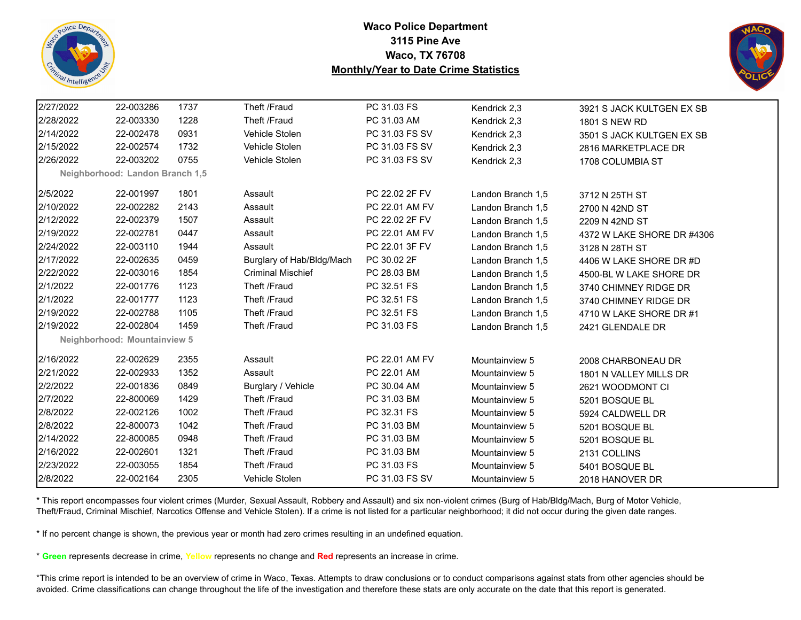



| 2/27/2022 | 22-003286                       | 1737 | Theft /Fraud              | PC 31.03 FS    | Kendrick 2,3      | 3921 S JACK KULTGEN EX SB  |
|-----------|---------------------------------|------|---------------------------|----------------|-------------------|----------------------------|
| 2/28/2022 | 22-003330                       | 1228 | Theft /Fraud              | PC 31.03 AM    | Kendrick 2,3      | <b>1801 S NEW RD</b>       |
| 2/14/2022 | 22-002478                       | 0931 | Vehicle Stolen            | PC 31.03 FS SV | Kendrick 2,3      | 3501 S JACK KULTGEN EX SB  |
| 2/15/2022 | 22-002574                       | 1732 | Vehicle Stolen            | PC 31.03 FS SV | Kendrick 2,3      | 2816 MARKETPLACE DR        |
| 2/26/2022 | 22-003202                       | 0755 | Vehicle Stolen            | PC 31.03 FS SV | Kendrick 2,3      | 1708 COLUMBIA ST           |
|           | Neighborhood: Landon Branch 1,5 |      |                           |                |                   |                            |
| 2/5/2022  | 22-001997                       | 1801 | Assault                   | PC 22.02 2F FV | Landon Branch 1,5 | 3712 N 25TH ST             |
| 2/10/2022 | 22-002282                       | 2143 | Assault                   | PC 22.01 AM FV | Landon Branch 1,5 | 2700 N 42ND ST             |
| 2/12/2022 | 22-002379                       | 1507 | Assault                   | PC 22.02 2F FV | Landon Branch 1,5 | 2209 N 42ND ST             |
| 2/19/2022 | 22-002781                       | 0447 | Assault                   | PC 22.01 AM FV | Landon Branch 1,5 | 4372 W LAKE SHORE DR #4306 |
| 2/24/2022 | 22-003110                       | 1944 | Assault                   | PC 22.01 3F FV | Landon Branch 1,5 | 3128 N 28TH ST             |
| 2/17/2022 | 22-002635                       | 0459 | Burglary of Hab/Bldg/Mach | PC 30.02 2F    | Landon Branch 1,5 | 4406 W LAKE SHORE DR #D    |
| 2/22/2022 | 22-003016                       | 1854 | <b>Criminal Mischief</b>  | PC 28.03 BM    | Landon Branch 1,5 | 4500-BL W LAKE SHORE DR    |
| 2/1/2022  | 22-001776                       | 1123 | Theft /Fraud              | PC 32.51 FS    | Landon Branch 1,5 | 3740 CHIMNEY RIDGE DR      |
| 2/1/2022  | 22-001777                       | 1123 | Theft /Fraud              | PC 32.51 FS    | Landon Branch 1,5 | 3740 CHIMNEY RIDGE DR      |
| 2/19/2022 | 22-002788                       | 1105 | Theft /Fraud              | PC 32.51 FS    | Landon Branch 1,5 | 4710 W LAKE SHORE DR #1    |
| 2/19/2022 | 22-002804                       | 1459 | Theft /Fraud              | PC 31.03 FS    | Landon Branch 1,5 | 2421 GLENDALE DR           |
|           | Neighborhood: Mountainview 5    |      |                           |                |                   |                            |
| 2/16/2022 | 22-002629                       | 2355 | Assault                   | PC 22.01 AM FV | Mountainview 5    | 2008 CHARBONEAU DR         |
| 2/21/2022 | 22-002933                       | 1352 | Assault                   | PC 22.01 AM    | Mountainview 5    | 1801 N VALLEY MILLS DR     |
| 2/2/2022  | 22-001836                       | 0849 | Burglary / Vehicle        | PC 30.04 AM    | Mountainview 5    | 2621 WOODMONT CI           |
| 2/7/2022  | 22-800069                       | 1429 | Theft /Fraud              | PC 31.03 BM    | Mountainview 5    | 5201 BOSQUE BL             |
| 2/8/2022  | 22-002126                       | 1002 | Theft /Fraud              | PC 32.31 FS    | Mountainview 5    | 5924 CALDWELL DR           |
| 2/8/2022  | 22-800073                       | 1042 | Theft /Fraud              | PC 31.03 BM    | Mountainview 5    | 5201 BOSQUE BL             |
| 2/14/2022 | 22-800085                       | 0948 | Theft /Fraud              | PC 31.03 BM    | Mountainview 5    | 5201 BOSQUE BL             |
| 2/16/2022 | 22-002601                       | 1321 | Theft /Fraud              | PC 31.03 BM    | Mountainview 5    | 2131 COLLINS               |
| 2/23/2022 | 22-003055                       | 1854 | Theft /Fraud              | PC 31.03 FS    | Mountainview 5    | 5401 BOSQUE BL             |
| 2/8/2022  | 22-002164                       | 2305 | Vehicle Stolen            | PC 31.03 FS SV | Mountainview 5    | 2018 HANOVER DR            |

\* This report encompasses four violent crimes (Murder, Sexual Assault, Robbery and Assault) and six non-violent crimes (Burg of Hab/Bldg/Mach, Burg of Motor Vehicle, Theft/Fraud, Criminal Mischief, Narcotics Offense and Vehicle Stolen). If a crime is not listed for a particular neighborhood; it did not occur during the given date ranges.

\* If no percent change is shown, the previous year or month had zero crimes resulting in an undefined equation.

\* **Green** represents decrease in crime, **Yellow** represents no change and **Red** represents an increase in crime.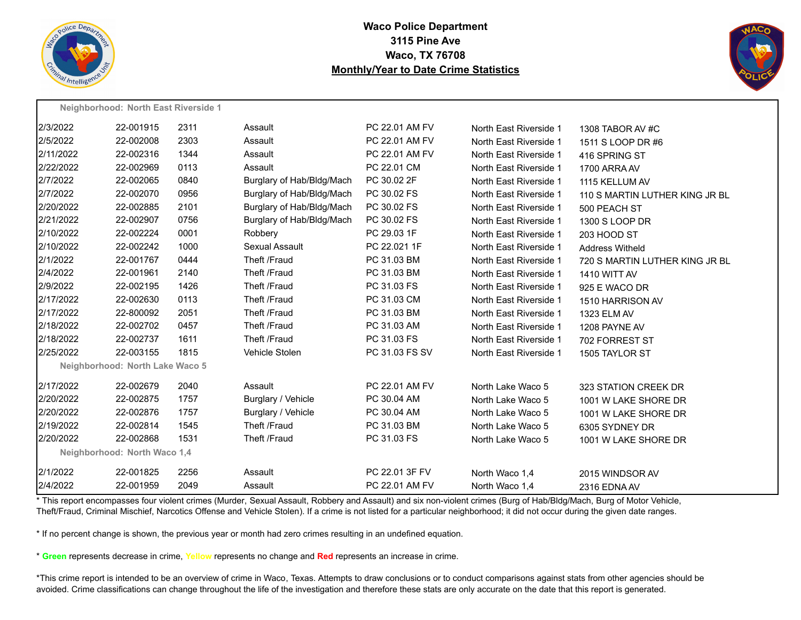

**Neighborhood: North East Riverside 1**

## **Waco Police Department 3115 Pine Ave Waco, TX 76708 Monthly/Year to Date Crime Statistics**



|           | <b>Neighbornood.</b> North East Niverside T |      |                           |                |                        |                                |
|-----------|---------------------------------------------|------|---------------------------|----------------|------------------------|--------------------------------|
| 2/3/2022  | 22-001915                                   | 2311 | Assault                   | PC 22.01 AM FV | North East Riverside 1 | 1308 TABOR AV #C               |
| 2/5/2022  | 22-002008                                   | 2303 | Assault                   | PC 22.01 AM FV | North East Riverside 1 | 1511 S LOOP DR #6              |
| 2/11/2022 | 22-002316                                   | 1344 | Assault                   | PC 22.01 AM FV | North East Riverside 1 | 416 SPRING ST                  |
| 2/22/2022 | 22-002969                                   | 0113 | Assault                   | PC 22.01 CM    | North East Riverside 1 | 1700 ARRA AV                   |
| 2/7/2022  | 22-002065                                   | 0840 | Burglary of Hab/Bldg/Mach | PC 30.02 2F    | North East Riverside 1 | 1115 KELLUM AV                 |
| 2/7/2022  | 22-002070                                   | 0956 | Burglary of Hab/Bldg/Mach | PC 30.02 FS    | North East Riverside 1 | 110 S MARTIN LUTHER KING JR BL |
| 2/20/2022 | 22-002885                                   | 2101 | Burglary of Hab/Bldg/Mach | PC 30.02 FS    | North East Riverside 1 | 500 PEACH ST                   |
| 2/21/2022 | 22-002907                                   | 0756 | Burglary of Hab/Bldg/Mach | PC 30.02 FS    | North East Riverside 1 | 1300 S LOOP DR                 |
| 2/10/2022 | 22-002224                                   | 0001 | Robbery                   | PC 29.03 1F    | North East Riverside 1 | 203 HOOD ST                    |
| 2/10/2022 | 22-002242                                   | 1000 | Sexual Assault            | PC 22.021 1F   | North East Riverside 1 | <b>Address Witheld</b>         |
| 2/1/2022  | 22-001767                                   | 0444 | Theft /Fraud              | PC 31.03 BM    | North East Riverside 1 | 720 S MARTIN LUTHER KING JR BL |
| 2/4/2022  | 22-001961                                   | 2140 | Theft /Fraud              | PC 31.03 BM    | North East Riverside 1 | <b>1410 WITT AV</b>            |
| 2/9/2022  | 22-002195                                   | 1426 | Theft /Fraud              | PC 31.03 FS    | North East Riverside 1 | 925 E WACO DR                  |
| 2/17/2022 | 22-002630                                   | 0113 | Theft /Fraud              | PC 31.03 CM    | North East Riverside 1 | 1510 HARRISON AV               |
| 2/17/2022 | 22-800092                                   | 2051 | Theft /Fraud              | PC 31.03 BM    | North East Riverside 1 | 1323 ELM AV                    |
| 2/18/2022 | 22-002702                                   | 0457 | Theft /Fraud              | PC 31.03 AM    | North East Riverside 1 | 1208 PAYNE AV                  |
| 2/18/2022 | 22-002737                                   | 1611 | Theft /Fraud              | PC 31.03 FS    | North East Riverside 1 | 702 FORREST ST                 |
| 2/25/2022 | 22-003155                                   | 1815 | Vehicle Stolen            | PC 31.03 FS SV | North East Riverside 1 | 1505 TAYLOR ST                 |
|           | Neighborhood: North Lake Waco 5             |      |                           |                |                        |                                |
| 2/17/2022 | 22-002679                                   | 2040 | Assault                   | PC 22.01 AM FV | North Lake Waco 5      | 323 STATION CREEK DR           |
| 2/20/2022 | 22-002875                                   | 1757 | Burglary / Vehicle        | PC 30.04 AM    | North Lake Waco 5      | 1001 W LAKE SHORE DR           |
| 2/20/2022 | 22-002876                                   | 1757 | Burglary / Vehicle        | PC 30.04 AM    | North Lake Waco 5      | 1001 W LAKE SHORE DR           |
| 2/19/2022 | 22-002814                                   | 1545 | Theft /Fraud              | PC 31.03 BM    | North Lake Waco 5      | 6305 SYDNEY DR                 |
| 2/20/2022 | 22-002868                                   | 1531 | Theft /Fraud              | PC 31.03 FS    | North Lake Waco 5      | 1001 W LAKE SHORE DR           |
|           | Neighborhood: North Waco 1,4                |      |                           |                |                        |                                |
| 2/1/2022  | 22-001825                                   | 2256 | Assault                   | PC 22.01 3F FV | North Waco 1,4         | 2015 WINDSOR AV                |
| 2/4/2022  | 22-001959                                   | 2049 | Assault                   | PC 22.01 AM FV | North Waco 1,4         | 2316 EDNA AV                   |
|           |                                             |      |                           |                |                        |                                |

\* This report encompasses four violent crimes (Murder, Sexual Assault, Robbery and Assault) and six non-violent crimes (Burg of Hab/Bldg/Mach, Burg of Motor Vehicle, Theft/Fraud, Criminal Mischief, Narcotics Offense and Vehicle Stolen). If a crime is not listed for a particular neighborhood; it did not occur during the given date ranges.

\* If no percent change is shown, the previous year or month had zero crimes resulting in an undefined equation.

\* **Green** represents decrease in crime, **Yellow** represents no change and **Red** represents an increase in crime.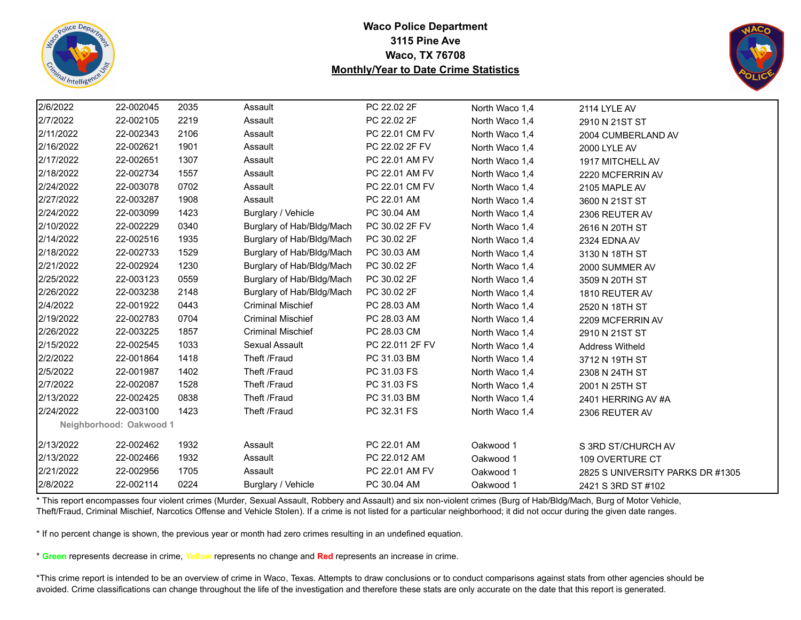



| 2/6/2022                | 22-002045 | 2035 | Assault                   | PC 22.02 2F     | North Waco 1,4 | 2114 LYLE AV                     |  |
|-------------------------|-----------|------|---------------------------|-----------------|----------------|----------------------------------|--|
| 2/7/2022                | 22-002105 | 2219 | Assault                   | PC 22.02 2F     | North Waco 1,4 | 2910 N 21ST ST                   |  |
| 2/11/2022               | 22-002343 | 2106 | Assault                   | PC 22.01 CM FV  | North Waco 1,4 | 2004 CUMBERLAND AV               |  |
| 2/16/2022               | 22-002621 | 1901 | Assault                   | PC 22.02 2F FV  | North Waco 1,4 | 2000 LYLE AV                     |  |
| 2/17/2022               | 22-002651 | 1307 | Assault                   | PC 22.01 AM FV  | North Waco 1,4 | 1917 MITCHELL AV                 |  |
| 2/18/2022               | 22-002734 | 1557 | Assault                   | PC 22.01 AM FV  | North Waco 1,4 | 2220 MCFERRIN AV                 |  |
| 2/24/2022               | 22-003078 | 0702 | Assault                   | PC 22.01 CM FV  | North Waco 1,4 | 2105 MAPLE AV                    |  |
| 2/27/2022               | 22-003287 | 1908 | Assault                   | PC 22.01 AM     | North Waco 1,4 | 3600 N 21ST ST                   |  |
| 2/24/2022               | 22-003099 | 1423 | Burglary / Vehicle        | PC 30.04 AM     | North Waco 1,4 | 2306 REUTER AV                   |  |
| 2/10/2022               | 22-002229 | 0340 | Burglary of Hab/Bldg/Mach | PC 30.02 2F FV  | North Waco 1,4 | 2616 N 20TH ST                   |  |
| 2/14/2022               | 22-002516 | 1935 | Burglary of Hab/Bldg/Mach | PC 30.02 2F     | North Waco 1,4 | 2324 EDNA AV                     |  |
| 2/18/2022               | 22-002733 | 1529 | Burglary of Hab/Bldg/Mach | PC 30.03 AM     | North Waco 1,4 | 3130 N 18TH ST                   |  |
| 2/21/2022               | 22-002924 | 1230 | Burglary of Hab/Bldg/Mach | PC 30.02 2F     | North Waco 1,4 | 2000 SUMMER AV                   |  |
| 2/25/2022               | 22-003123 | 0559 | Burglary of Hab/Bldg/Mach | PC 30.02 2F     | North Waco 1,4 | 3509 N 20TH ST                   |  |
| 2/26/2022               | 22-003238 | 2148 | Burglary of Hab/Bldg/Mach | PC 30.02 2F     | North Waco 1,4 | 1810 REUTER AV                   |  |
| 2/4/2022                | 22-001922 | 0443 | <b>Criminal Mischief</b>  | PC 28.03 AM     | North Waco 1,4 | 2520 N 18TH ST                   |  |
| 2/19/2022               | 22-002783 | 0704 | <b>Criminal Mischief</b>  | PC 28.03 AM     | North Waco 1,4 | 2209 MCFERRIN AV                 |  |
| 2/26/2022               | 22-003225 | 1857 | <b>Criminal Mischief</b>  | PC 28.03 CM     | North Waco 1,4 | 2910 N 21ST ST                   |  |
| 2/15/2022               | 22-002545 | 1033 | Sexual Assault            | PC 22.011 2F FV | North Waco 1,4 | <b>Address Witheld</b>           |  |
| 2/2/2022                | 22-001864 | 1418 | Theft /Fraud              | PC 31.03 BM     | North Waco 1,4 | 3712 N 19TH ST                   |  |
| 2/5/2022                | 22-001987 | 1402 | Theft /Fraud              | PC 31.03 FS     | North Waco 1,4 | 2308 N 24TH ST                   |  |
| 2/7/2022                | 22-002087 | 1528 | Theft /Fraud              | PC 31.03 FS     | North Waco 1,4 | 2001 N 25TH ST                   |  |
| 2/13/2022               | 22-002425 | 0838 | Theft /Fraud              | PC 31.03 BM     | North Waco 1,4 | 2401 HERRING AV #A               |  |
| 2/24/2022               | 22-003100 | 1423 | Theft /Fraud              | PC 32.31 FS     | North Waco 1,4 | 2306 REUTER AV                   |  |
| Neighborhood: Oakwood 1 |           |      |                           |                 |                |                                  |  |
| 2/13/2022               | 22-002462 | 1932 | Assault                   | PC 22.01 AM     | Oakwood 1      | S 3RD ST/CHURCH AV               |  |
| 2/13/2022               | 22-002466 | 1932 | Assault                   | PC 22.012 AM    | Oakwood 1      | 109 OVERTURE CT                  |  |
| 2/21/2022               | 22-002956 | 1705 | Assault                   | PC 22.01 AM FV  | Oakwood 1      | 2825 S UNIVERSITY PARKS DR #1305 |  |
| 2/8/2022                | 22-002114 | 0224 | Burglary / Vehicle        | PC 30.04 AM     | Oakwood 1      | 2421 S 3RD ST #102               |  |

\* This report encompasses four violent crimes (Murder, Sexual Assault, Robbery and Assault) and six non-violent crimes (Burg of Hab/Bldg/Mach, Burg of Motor Vehicle, Theft/Fraud, Criminal Mischief, Narcotics Offense and Vehicle Stolen). If a crime is not listed for a particular neighborhood; it did not occur during the given date ranges.

\* If no percent change is shown, the previous year or month had zero crimes resulting in an undefined equation.

\* **Green** represents decrease in crime, **Yellow** represents no change and **Red** represents an increase in crime.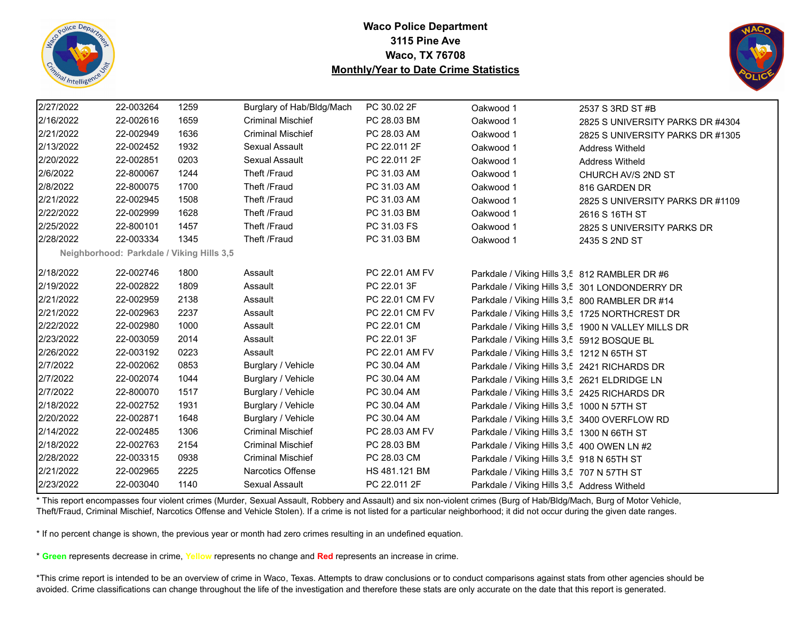



| 2/27/2022 | 22-003264                                 | 1259 | Burglary of Hab/Bldg/Mach | PC 30.02 2F    | Oakwood 1                                      | 2537 S 3RD ST #B                                   |
|-----------|-------------------------------------------|------|---------------------------|----------------|------------------------------------------------|----------------------------------------------------|
| 2/16/2022 | 22-002616                                 | 1659 | <b>Criminal Mischief</b>  | PC 28.03 BM    | Oakwood 1                                      | 2825 S UNIVERSITY PARKS DR #4304                   |
| 2/21/2022 | 22-002949                                 | 1636 | <b>Criminal Mischief</b>  | PC 28.03 AM    | Oakwood 1                                      | 2825 S UNIVERSITY PARKS DR #1305                   |
| 2/13/2022 | 22-002452                                 | 1932 | Sexual Assault            | PC 22.011 2F   | Oakwood 1                                      | <b>Address Witheld</b>                             |
| 2/20/2022 | 22-002851                                 | 0203 | Sexual Assault            | PC 22.011 2F   | Oakwood 1                                      | <b>Address Witheld</b>                             |
| 2/6/2022  | 22-800067                                 | 1244 | Theft /Fraud              | PC 31.03 AM    | Oakwood 1                                      | CHURCH AV/S 2ND ST                                 |
| 2/8/2022  | 22-800075                                 | 1700 | Theft /Fraud              | PC 31.03 AM    | Oakwood 1                                      | 816 GARDEN DR                                      |
| 2/21/2022 | 22-002945                                 | 1508 | Theft /Fraud              | PC 31.03 AM    | Oakwood 1                                      | 2825 S UNIVERSITY PARKS DR #1109                   |
| 2/22/2022 | 22-002999                                 | 1628 | Theft /Fraud              | PC 31.03 BM    | Oakwood 1                                      | 2616 S 16TH ST                                     |
| 2/25/2022 | 22-800101                                 | 1457 | Theft /Fraud              | PC 31.03 FS    | Oakwood 1                                      | 2825 S UNIVERSITY PARKS DR                         |
| 2/28/2022 | 22-003334                                 | 1345 | Theft /Fraud              | PC 31.03 BM    | Oakwood 1                                      | 2435 S 2ND ST                                      |
|           | Neighborhood: Parkdale / Viking Hills 3,5 |      |                           |                |                                                |                                                    |
| 2/18/2022 | 22-002746                                 | 1800 | Assault                   | PC 22.01 AM FV | Parkdale / Viking Hills 3,5 812 RAMBLER DR #6  |                                                    |
| 2/19/2022 | 22-002822                                 | 1809 | Assault                   | PC 22.01 3F    |                                                | Parkdale / Viking Hills 3,5 301 LONDONDERRY DR     |
| 2/21/2022 | 22-002959                                 | 2138 | Assault                   | PC 22.01 CM FV | Parkdale / Viking Hills 3,5 800 RAMBLER DR #14 |                                                    |
| 2/21/2022 | 22-002963                                 | 2237 | Assault                   | PC 22.01 CM FV |                                                | Parkdale / Viking Hills 3,5 1725 NORTHCREST DR     |
| 2/22/2022 | 22-002980                                 | 1000 | Assault                   | PC 22.01 CM    |                                                | Parkdale / Viking Hills 3,5 1900 N VALLEY MILLS DR |
| 2/23/2022 | 22-003059                                 | 2014 | Assault                   | PC 22.01 3F    | Parkdale / Viking Hills 3,5 5912 BOSQUE BL     |                                                    |
| 2/26/2022 | 22-003192                                 | 0223 | Assault                   | PC 22.01 AM FV | Parkdale / Viking Hills 3,5 1212 N 65TH ST     |                                                    |
| 2/7/2022  | 22-002062                                 | 0853 | Burglary / Vehicle        | PC 30.04 AM    | Parkdale / Viking Hills 3,5 2421 RICHARDS DR   |                                                    |
| 2/7/2022  | 22-002074                                 | 1044 | Burglary / Vehicle        | PC 30.04 AM    | Parkdale / Viking Hills 3,5 2621 ELDRIDGE LN   |                                                    |
| 2/7/2022  | 22-800070                                 | 1517 | Burglary / Vehicle        | PC 30.04 AM    | Parkdale / Viking Hills 3,5 2425 RICHARDS DR   |                                                    |
| 2/18/2022 | 22-002752                                 | 1931 | Burglary / Vehicle        | PC 30.04 AM    | Parkdale / Viking Hills 3,5 1000 N 57TH ST     |                                                    |
| 2/20/2022 | 22-002871                                 | 1648 | Burglary / Vehicle        | PC 30.04 AM    | Parkdale / Viking Hills 3,5 3400 OVERFLOW RD   |                                                    |
| 2/14/2022 | 22-002485                                 | 1306 | <b>Criminal Mischief</b>  | PC 28.03 AM FV | Parkdale / Viking Hills 3,5 1300 N 66TH ST     |                                                    |
| 2/18/2022 | 22-002763                                 | 2154 | <b>Criminal Mischief</b>  | PC 28.03 BM    | Parkdale / Viking Hills 3,5 400 OWEN LN #2     |                                                    |
| 2/28/2022 | 22-003315                                 | 0938 | <b>Criminal Mischief</b>  | PC 28.03 CM    | Parkdale / Viking Hills 3,5 918 N 65TH ST      |                                                    |
| 2/21/2022 | 22-002965                                 | 2225 | <b>Narcotics Offense</b>  | HS 481.121 BM  | Parkdale / Viking Hills 3,5 707 N 57TH ST      |                                                    |
| 2/23/2022 | 22-003040                                 | 1140 | Sexual Assault            | PC 22.011 2F   | Parkdale / Viking Hills 3,5 Address Witheld    |                                                    |

\* This report encompasses four violent crimes (Murder, Sexual Assault, Robbery and Assault) and six non-violent crimes (Burg of Hab/Bldg/Mach, Burg of Motor Vehicle, Theft/Fraud, Criminal Mischief, Narcotics Offense and Vehicle Stolen). If a crime is not listed for a particular neighborhood; it did not occur during the given date ranges.

\* If no percent change is shown, the previous year or month had zero crimes resulting in an undefined equation.

\* **Green** represents decrease in crime, **Yellow** represents no change and **Red** represents an increase in crime.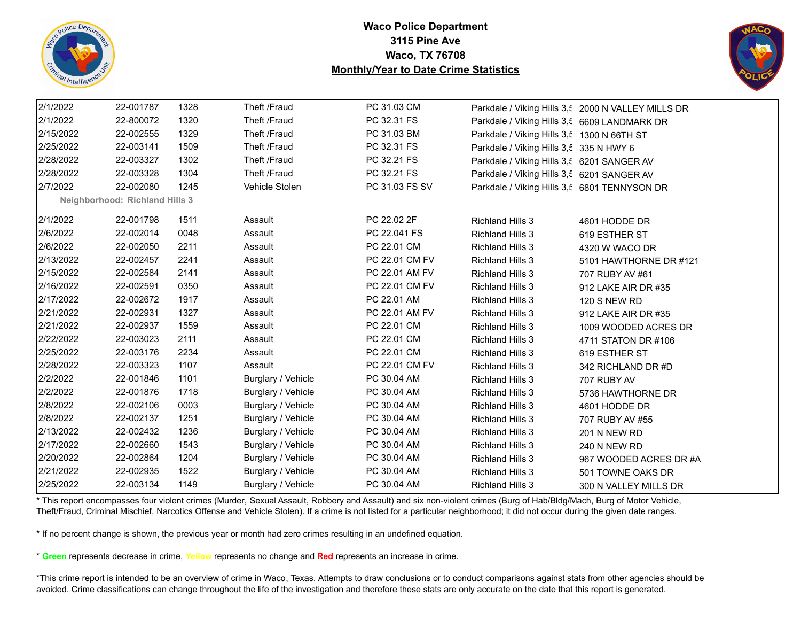



| 2/1/2022  | 22-001787                             | 1328 | Theft /Fraud       | PC 31.03 CM    |                                              | Parkdale / Viking Hills 3,5 2000 N VALLEY MILLS DR |  |
|-----------|---------------------------------------|------|--------------------|----------------|----------------------------------------------|----------------------------------------------------|--|
| 2/1/2022  | 22-800072                             | 1320 | Theft /Fraud       | PC 32.31 FS    | Parkdale / Viking Hills 3,5 6609 LANDMARK DR |                                                    |  |
| 2/15/2022 | 22-002555                             | 1329 | Theft /Fraud       | PC 31.03 BM    | Parkdale / Viking Hills 3,5 1300 N 66TH ST   |                                                    |  |
| 2/25/2022 | 22-003141                             | 1509 | Theft /Fraud       | PC 32.31 FS    | Parkdale / Viking Hills 3,5 335 N HWY 6      |                                                    |  |
| 2/28/2022 | 22-003327                             | 1302 | Theft /Fraud       | PC 32.21 FS    | Parkdale / Viking Hills 3,5 6201 SANGER AV   |                                                    |  |
| 2/28/2022 | 22-003328                             | 1304 | Theft /Fraud       | PC 32.21 FS    | Parkdale / Viking Hills 3,5 6201 SANGER AV   |                                                    |  |
| 2/7/2022  | 22-002080                             | 1245 | Vehicle Stolen     | PC 31.03 FS SV | Parkdale / Viking Hills 3,5 6801 TENNYSON DR |                                                    |  |
|           | <b>Neighborhood: Richland Hills 3</b> |      |                    |                |                                              |                                                    |  |
| 2/1/2022  | 22-001798                             | 1511 | Assault            | PC 22.02 2F    | <b>Richland Hills 3</b>                      | 4601 HODDE DR                                      |  |
| 2/6/2022  | 22-002014                             | 0048 | Assault            | PC 22.041 FS   | <b>Richland Hills 3</b>                      | 619 ESTHER ST                                      |  |
| 2/6/2022  | 22-002050                             | 2211 | Assault            | PC 22.01 CM    | <b>Richland Hills 3</b>                      | 4320 W WACO DR                                     |  |
| 2/13/2022 | 22-002457                             | 2241 | Assault            | PC 22.01 CM FV | <b>Richland Hills 3</b>                      | 5101 HAWTHORNE DR #121                             |  |
| 2/15/2022 | 22-002584                             | 2141 | Assault            | PC 22.01 AM FV | <b>Richland Hills 3</b>                      | 707 RUBY AV #61                                    |  |
| 2/16/2022 | 22-002591                             | 0350 | Assault            | PC 22.01 CM FV | <b>Richland Hills 3</b>                      | 912 LAKE AIR DR #35                                |  |
| 2/17/2022 | 22-002672                             | 1917 | Assault            | PC 22.01 AM    | <b>Richland Hills 3</b>                      | <b>120 S NEW RD</b>                                |  |
| 2/21/2022 | 22-002931                             | 1327 | Assault            | PC 22.01 AM FV | <b>Richland Hills 3</b>                      | 912 LAKE AIR DR #35                                |  |
| 2/21/2022 | 22-002937                             | 1559 | Assault            | PC 22.01 CM    | <b>Richland Hills 3</b>                      | 1009 WOODED ACRES DR                               |  |
| 2/22/2022 | 22-003023                             | 2111 | Assault            | PC 22.01 CM    | <b>Richland Hills 3</b>                      | 4711 STATON DR #106                                |  |
| 2/25/2022 | 22-003176                             | 2234 | Assault            | PC 22.01 CM    | <b>Richland Hills 3</b>                      | 619 ESTHER ST                                      |  |
| 2/28/2022 | 22-003323                             | 1107 | Assault            | PC 22.01 CM FV | <b>Richland Hills 3</b>                      | 342 RICHLAND DR #D                                 |  |
| 2/2/2022  | 22-001846                             | 1101 | Burglary / Vehicle | PC 30.04 AM    | <b>Richland Hills 3</b>                      | 707 RUBY AV                                        |  |
| 2/2/2022  | 22-001876                             | 1718 | Burglary / Vehicle | PC 30.04 AM    | <b>Richland Hills 3</b>                      | 5736 HAWTHORNE DR                                  |  |
| 2/8/2022  | 22-002106                             | 0003 | Burglary / Vehicle | PC 30.04 AM    | <b>Richland Hills 3</b>                      | 4601 HODDE DR                                      |  |
| 2/8/2022  | 22-002137                             | 1251 | Burglary / Vehicle | PC 30.04 AM    | <b>Richland Hills 3</b>                      | 707 RUBY AV #55                                    |  |
| 2/13/2022 | 22-002432                             | 1236 | Burglary / Vehicle | PC 30.04 AM    | <b>Richland Hills 3</b>                      | <b>201 N NEW RD</b>                                |  |
| 2/17/2022 | 22-002660                             | 1543 | Burglary / Vehicle | PC 30.04 AM    | <b>Richland Hills 3</b>                      | 240 N NEW RD                                       |  |
| 2/20/2022 | 22-002864                             | 1204 | Burglary / Vehicle | PC 30.04 AM    | <b>Richland Hills 3</b>                      | 967 WOODED ACRES DR #A                             |  |
| 2/21/2022 | 22-002935                             | 1522 | Burglary / Vehicle | PC 30.04 AM    | <b>Richland Hills 3</b>                      | 501 TOWNE OAKS DR                                  |  |
| 2/25/2022 | 22-003134                             | 1149 | Burglary / Vehicle | PC 30.04 AM    | <b>Richland Hills 3</b>                      | 300 N VALLEY MILLS DR                              |  |

\* This report encompasses four violent crimes (Murder, Sexual Assault, Robbery and Assault) and six non-violent crimes (Burg of Hab/Bldg/Mach, Burg of Motor Vehicle, Theft/Fraud, Criminal Mischief, Narcotics Offense and Vehicle Stolen). If a crime is not listed for a particular neighborhood; it did not occur during the given date ranges.

\* If no percent change is shown, the previous year or month had zero crimes resulting in an undefined equation.

\* **Green** represents decrease in crime, **Yellow** represents no change and **Red** represents an increase in crime.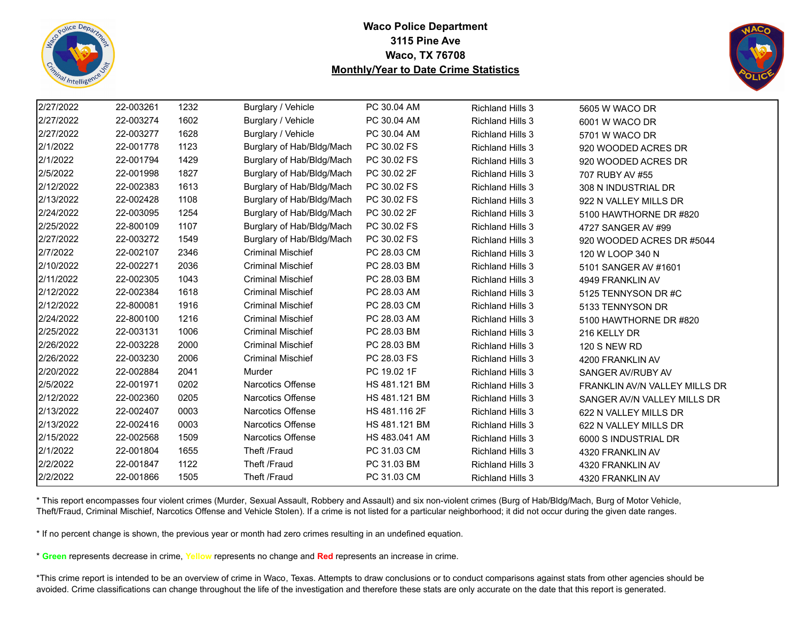



| 2/27/2022 | 22-003261 | 1232 | Burglary / Vehicle        | PC 30.04 AM   | <b>Richland Hills 3</b> | 5605 W WACO DR                |
|-----------|-----------|------|---------------------------|---------------|-------------------------|-------------------------------|
| 2/27/2022 | 22-003274 | 1602 | Burglary / Vehicle        | PC 30.04 AM   | <b>Richland Hills 3</b> | 6001 W WACO DR                |
| 2/27/2022 | 22-003277 | 1628 | Burglary / Vehicle        | PC 30.04 AM   | <b>Richland Hills 3</b> | 5701 W WACO DR                |
| 2/1/2022  | 22-001778 | 1123 | Burglary of Hab/Bldg/Mach | PC 30.02 FS   | <b>Richland Hills 3</b> | 920 WOODED ACRES DR           |
| 2/1/2022  | 22-001794 | 1429 | Burglary of Hab/Bldg/Mach | PC 30.02 FS   | <b>Richland Hills 3</b> | 920 WOODED ACRES DR           |
| 2/5/2022  | 22-001998 | 1827 | Burglary of Hab/Bldg/Mach | PC 30.02 2F   | <b>Richland Hills 3</b> | 707 RUBY AV #55               |
| 2/12/2022 | 22-002383 | 1613 | Burglary of Hab/Bldg/Mach | PC 30.02 FS   | <b>Richland Hills 3</b> | 308 N INDUSTRIAL DR           |
| 2/13/2022 | 22-002428 | 1108 | Burglary of Hab/Bldg/Mach | PC 30.02 FS   | <b>Richland Hills 3</b> | 922 N VALLEY MILLS DR         |
| 2/24/2022 | 22-003095 | 1254 | Burglary of Hab/Bldg/Mach | PC 30.02 2F   | <b>Richland Hills 3</b> | 5100 HAWTHORNE DR #820        |
| 2/25/2022 | 22-800109 | 1107 | Burglary of Hab/Bldg/Mach | PC 30.02 FS   | <b>Richland Hills 3</b> | 4727 SANGER AV #99            |
| 2/27/2022 | 22-003272 | 1549 | Burglary of Hab/Bldg/Mach | PC 30.02 FS   | <b>Richland Hills 3</b> | 920 WOODED ACRES DR #5044     |
| 2/7/2022  | 22-002107 | 2346 | <b>Criminal Mischief</b>  | PC 28.03 CM   | <b>Richland Hills 3</b> | 120 W LOOP 340 N              |
| 2/10/2022 | 22-002271 | 2036 | <b>Criminal Mischief</b>  | PC 28.03 BM   | <b>Richland Hills 3</b> | 5101 SANGER AV #1601          |
| 2/11/2022 | 22-002305 | 1043 | <b>Criminal Mischief</b>  | PC 28.03 BM   | <b>Richland Hills 3</b> | 4949 FRANKLIN AV              |
| 2/12/2022 | 22-002384 | 1618 | <b>Criminal Mischief</b>  | PC 28.03 AM   | <b>Richland Hills 3</b> | 5125 TENNYSON DR #C           |
| 2/12/2022 | 22-800081 | 1916 | <b>Criminal Mischief</b>  | PC 28.03 CM   | <b>Richland Hills 3</b> | 5133 TENNYSON DR              |
| 2/24/2022 | 22-800100 | 1216 | <b>Criminal Mischief</b>  | PC 28.03 AM   | <b>Richland Hills 3</b> | 5100 HAWTHORNE DR #820        |
| 2/25/2022 | 22-003131 | 1006 | <b>Criminal Mischief</b>  | PC 28.03 BM   | <b>Richland Hills 3</b> | 216 KELLY DR                  |
| 2/26/2022 | 22-003228 | 2000 | <b>Criminal Mischief</b>  | PC 28.03 BM   | <b>Richland Hills 3</b> | <b>120 S NEW RD</b>           |
| 2/26/2022 | 22-003230 | 2006 | <b>Criminal Mischief</b>  | PC 28.03 FS   | <b>Richland Hills 3</b> | 4200 FRANKLIN AV              |
| 2/20/2022 | 22-002884 | 2041 | Murder                    | PC 19.02 1F   | <b>Richland Hills 3</b> | SANGER AV/RUBY AV             |
| 2/5/2022  | 22-001971 | 0202 | <b>Narcotics Offense</b>  | HS 481.121 BM | <b>Richland Hills 3</b> | FRANKLIN AV/N VALLEY MILLS DR |
| 2/12/2022 | 22-002360 | 0205 | <b>Narcotics Offense</b>  | HS 481.121 BM | <b>Richland Hills 3</b> | SANGER AV/N VALLEY MILLS DR   |
| 2/13/2022 | 22-002407 | 0003 | <b>Narcotics Offense</b>  | HS 481.116 2F | <b>Richland Hills 3</b> | 622 N VALLEY MILLS DR         |
| 2/13/2022 | 22-002416 | 0003 | <b>Narcotics Offense</b>  | HS 481.121 BM | <b>Richland Hills 3</b> | 622 N VALLEY MILLS DR         |
| 2/15/2022 | 22-002568 | 1509 | Narcotics Offense         | HS 483.041 AM | <b>Richland Hills 3</b> | 6000 S INDUSTRIAL DR          |
| 2/1/2022  | 22-001804 | 1655 | Theft /Fraud              | PC 31.03 CM   | <b>Richland Hills 3</b> | 4320 FRANKLIN AV              |
| 2/2/2022  | 22-001847 | 1122 | Theft /Fraud              | PC 31.03 BM   | <b>Richland Hills 3</b> | 4320 FRANKLIN AV              |
| 2/2/2022  | 22-001866 | 1505 | Theft /Fraud              | PC 31.03 CM   | <b>Richland Hills 3</b> | 4320 FRANKLIN AV              |

\* This report encompasses four violent crimes (Murder, Sexual Assault, Robbery and Assault) and six non-violent crimes (Burg of Hab/Bldg/Mach, Burg of Motor Vehicle, Theft/Fraud, Criminal Mischief, Narcotics Offense and Vehicle Stolen). If a crime is not listed for a particular neighborhood; it did not occur during the given date ranges.

\* If no percent change is shown, the previous year or month had zero crimes resulting in an undefined equation.

\* **Green** represents decrease in crime, **Yellow** represents no change and **Red** represents an increase in crime.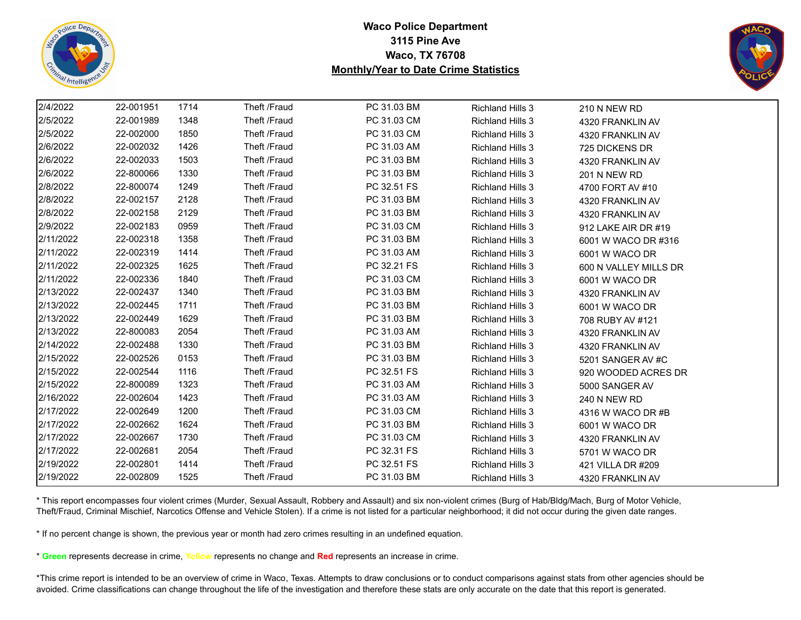



| 2/4/2022  | 22-001951 | 1714 | Theft /Fraud | PC 31.03 BM | Richland Hills 3        | 210 N NEW RD          |  |
|-----------|-----------|------|--------------|-------------|-------------------------|-----------------------|--|
| 2/5/2022  | 22-001989 | 1348 | Theft /Fraud | PC 31.03 CM | <b>Richland Hills 3</b> | 4320 FRANKLIN AV      |  |
| 2/5/2022  | 22-002000 | 1850 | Theft /Fraud | PC 31.03 CM | <b>Richland Hills 3</b> | 4320 FRANKLIN AV      |  |
| 2/6/2022  | 22-002032 | 1426 | Theft /Fraud | PC 31.03 AM | <b>Richland Hills 3</b> | 725 DICKENS DR        |  |
| 2/6/2022  | 22-002033 | 1503 | Theft /Fraud | PC 31.03 BM | <b>Richland Hills 3</b> | 4320 FRANKLIN AV      |  |
| 2/6/2022  | 22-800066 | 1330 | Theft /Fraud | PC 31.03 BM | <b>Richland Hills 3</b> | 201 N NEW RD          |  |
| 2/8/2022  | 22-800074 | 1249 | Theft /Fraud | PC 32.51 FS | <b>Richland Hills 3</b> | 4700 FORT AV #10      |  |
| 2/8/2022  | 22-002157 | 2128 | Theft /Fraud | PC 31.03 BM | <b>Richland Hills 3</b> | 4320 FRANKLIN AV      |  |
| 2/8/2022  | 22-002158 | 2129 | Theft /Fraud | PC 31.03 BM | <b>Richland Hills 3</b> | 4320 FRANKLIN AV      |  |
| 2/9/2022  | 22-002183 | 0959 | Theft /Fraud | PC 31.03 CM | <b>Richland Hills 3</b> | 912 LAKE AIR DR #19   |  |
| 2/11/2022 | 22-002318 | 1358 | Theft /Fraud | PC 31.03 BM | <b>Richland Hills 3</b> | 6001 W WACO DR #316   |  |
| 2/11/2022 | 22-002319 | 1414 | Theft /Fraud | PC 31.03 AM | <b>Richland Hills 3</b> | 6001 W WACO DR        |  |
| 2/11/2022 | 22-002325 | 1625 | Theft /Fraud | PC 32.21 FS | <b>Richland Hills 3</b> | 600 N VALLEY MILLS DR |  |
| 2/11/2022 | 22-002336 | 1840 | Theft /Fraud | PC 31.03 CM | <b>Richland Hills 3</b> | 6001 W WACO DR        |  |
| 2/13/2022 | 22-002437 | 1340 | Theft /Fraud | PC 31.03 BM | <b>Richland Hills 3</b> | 4320 FRANKLIN AV      |  |
| 2/13/2022 | 22-002445 | 1711 | Theft /Fraud | PC 31.03 BM | <b>Richland Hills 3</b> | 6001 W WACO DR        |  |
| 2/13/2022 | 22-002449 | 1629 | Theft /Fraud | PC 31.03 BM | <b>Richland Hills 3</b> | 708 RUBY AV #121      |  |
| 2/13/2022 | 22-800083 | 2054 | Theft /Fraud | PC 31.03 AM | <b>Richland Hills 3</b> | 4320 FRANKLIN AV      |  |
| 2/14/2022 | 22-002488 | 1330 | Theft /Fraud | PC 31.03 BM | <b>Richland Hills 3</b> | 4320 FRANKLIN AV      |  |
| 2/15/2022 | 22-002526 | 0153 | Theft /Fraud | PC 31.03 BM | <b>Richland Hills 3</b> | 5201 SANGER AV #C     |  |
| 2/15/2022 | 22-002544 | 1116 | Theft /Fraud | PC 32.51 FS | <b>Richland Hills 3</b> | 920 WOODED ACRES DR   |  |
| 2/15/2022 | 22-800089 | 1323 | Theft /Fraud | PC 31.03 AM | <b>Richland Hills 3</b> | 5000 SANGER AV        |  |
| 2/16/2022 | 22-002604 | 1423 | Theft /Fraud | PC 31.03 AM | <b>Richland Hills 3</b> | 240 N NEW RD          |  |
| 2/17/2022 | 22-002649 | 1200 | Theft /Fraud | PC 31.03 CM | <b>Richland Hills 3</b> | 4316 W WACO DR #B     |  |
| 2/17/2022 | 22-002662 | 1624 | Theft /Fraud | PC 31.03 BM | <b>Richland Hills 3</b> | 6001 W WACO DR        |  |
| 2/17/2022 | 22-002667 | 1730 | Theft /Fraud | PC 31.03 CM | <b>Richland Hills 3</b> | 4320 FRANKLIN AV      |  |
| 2/17/2022 | 22-002681 | 2054 | Theft /Fraud | PC 32.31 FS | <b>Richland Hills 3</b> | 5701 W WACO DR        |  |
| 2/19/2022 | 22-002801 | 1414 | Theft /Fraud | PC 32.51 FS | <b>Richland Hills 3</b> | 421 VILLA DR #209     |  |
| 2/19/2022 | 22-002809 | 1525 | Theft /Fraud | PC 31.03 BM | <b>Richland Hills 3</b> | 4320 FRANKLIN AV      |  |

\* This report encompasses four violent crimes (Murder, Sexual Assault, Robbery and Assault) and six non-violent crimes (Burg of Hab/Bldg/Mach, Burg of Motor Vehicle, Theft/Fraud, Criminal Mischief, Narcotics Offense and Vehicle Stolen). If a crime is not listed for a particular neighborhood; it did not occur during the given date ranges.

\* If no percent change is shown, the previous year or month had zero crimes resulting in an undefined equation.

\* **Green** represents decrease in crime, **Yellow** represents no change and **Red** represents an increase in crime.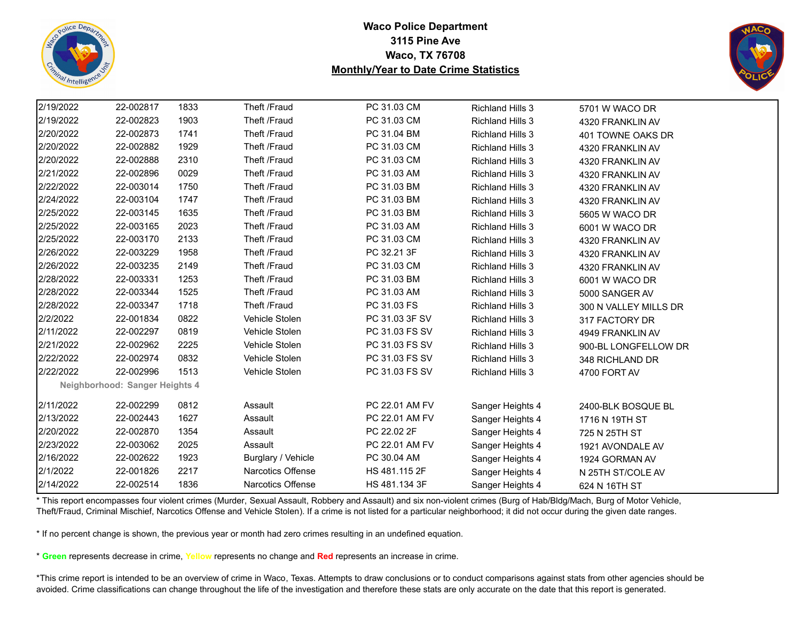



| 2/19/2022 | 22-002817                      | 1833 | Theft /Fraud       | PC 31.03 CM    | Richland Hills 3        | 5701 W WACO DR        |
|-----------|--------------------------------|------|--------------------|----------------|-------------------------|-----------------------|
| 2/19/2022 | 22-002823                      | 1903 | Theft /Fraud       | PC 31.03 CM    | <b>Richland Hills 3</b> | 4320 FRANKLIN AV      |
| 2/20/2022 | 22-002873                      | 1741 | Theft /Fraud       | PC 31.04 BM    | <b>Richland Hills 3</b> | 401 TOWNE OAKS DR     |
| 2/20/2022 | 22-002882                      | 1929 | Theft /Fraud       | PC 31.03 CM    | <b>Richland Hills 3</b> | 4320 FRANKLIN AV      |
| 2/20/2022 | 22-002888                      | 2310 | Theft /Fraud       | PC 31.03 CM    | <b>Richland Hills 3</b> | 4320 FRANKLIN AV      |
| 2/21/2022 | 22-002896                      | 0029 | Theft /Fraud       | PC 31.03 AM    | <b>Richland Hills 3</b> | 4320 FRANKLIN AV      |
| 2/22/2022 | 22-003014                      | 1750 | Theft /Fraud       | PC 31.03 BM    | <b>Richland Hills 3</b> | 4320 FRANKLIN AV      |
| 2/24/2022 | 22-003104                      | 1747 | Theft /Fraud       | PC 31.03 BM    | <b>Richland Hills 3</b> | 4320 FRANKLIN AV      |
| 2/25/2022 | 22-003145                      | 1635 | Theft /Fraud       | PC 31.03 BM    | <b>Richland Hills 3</b> | 5605 W WACO DR        |
| 2/25/2022 | 22-003165                      | 2023 | Theft /Fraud       | PC 31.03 AM    | <b>Richland Hills 3</b> | 6001 W WACO DR        |
| 2/25/2022 | 22-003170                      | 2133 | Theft /Fraud       | PC 31.03 CM    | <b>Richland Hills 3</b> | 4320 FRANKLIN AV      |
| 2/26/2022 | 22-003229                      | 1958 | Theft /Fraud       | PC 32.21 3F    | <b>Richland Hills 3</b> | 4320 FRANKLIN AV      |
| 2/26/2022 | 22-003235                      | 2149 | Theft /Fraud       | PC 31.03 CM    | <b>Richland Hills 3</b> | 4320 FRANKLIN AV      |
| 2/28/2022 | 22-003331                      | 1253 | Theft /Fraud       | PC 31.03 BM    | <b>Richland Hills 3</b> | 6001 W WACO DR        |
| 2/28/2022 | 22-003344                      | 1525 | Theft /Fraud       | PC 31.03 AM    | <b>Richland Hills 3</b> | 5000 SANGER AV        |
| 2/28/2022 | 22-003347                      | 1718 | Theft /Fraud       | PC 31.03 FS    | <b>Richland Hills 3</b> | 300 N VALLEY MILLS DR |
| 2/2/2022  | 22-001834                      | 0822 | Vehicle Stolen     | PC 31.03 3F SV | <b>Richland Hills 3</b> | 317 FACTORY DR        |
| 2/11/2022 | 22-002297                      | 0819 | Vehicle Stolen     | PC 31.03 FS SV | <b>Richland Hills 3</b> | 4949 FRANKLIN AV      |
| 2/21/2022 | 22-002962                      | 2225 | Vehicle Stolen     | PC 31.03 FS SV | <b>Richland Hills 3</b> | 900-BL LONGFELLOW DR  |
| 2/22/2022 | 22-002974                      | 0832 | Vehicle Stolen     | PC 31.03 FS SV | <b>Richland Hills 3</b> | 348 RICHLAND DR       |
| 2/22/2022 | 22-002996                      | 1513 | Vehicle Stolen     | PC 31.03 FS SV | <b>Richland Hills 3</b> | 4700 FORT AV          |
|           | Neighborhood: Sanger Heights 4 |      |                    |                |                         |                       |
| 2/11/2022 | 22-002299                      | 0812 | Assault            | PC 22.01 AM FV | Sanger Heights 4        | 2400-BLK BOSQUE BL    |
| 2/13/2022 | 22-002443                      | 1627 | Assault            | PC 22.01 AM FV | Sanger Heights 4        | 1716 N 19TH ST        |
| 2/20/2022 | 22-002870                      | 1354 | Assault            | PC 22.02 2F    | Sanger Heights 4        | 725 N 25TH ST         |
| 2/23/2022 | 22-003062                      | 2025 | Assault            | PC 22.01 AM FV | Sanger Heights 4        | 1921 AVONDALE AV      |
| 2/16/2022 | 22-002622                      | 1923 | Burglary / Vehicle | PC 30.04 AM    | Sanger Heights 4        | 1924 GORMAN AV        |
| 2/1/2022  | 22-001826                      | 2217 | Narcotics Offense  | HS 481.115 2F  | Sanger Heights 4        | N 25TH ST/COLE AV     |
| 2/14/2022 | 22-002514                      | 1836 | Narcotics Offense  | HS 481.134 3F  | Sanger Heights 4        | 624 N 16TH ST         |

\* This report encompasses four violent crimes (Murder, Sexual Assault, Robbery and Assault) and six non-violent crimes (Burg of Hab/Bldg/Mach, Burg of Motor Vehicle, Theft/Fraud, Criminal Mischief, Narcotics Offense and Vehicle Stolen). If a crime is not listed for a particular neighborhood; it did not occur during the given date ranges.

\* If no percent change is shown, the previous year or month had zero crimes resulting in an undefined equation.

\* **Green** represents decrease in crime, **Yellow** represents no change and **Red** represents an increase in crime.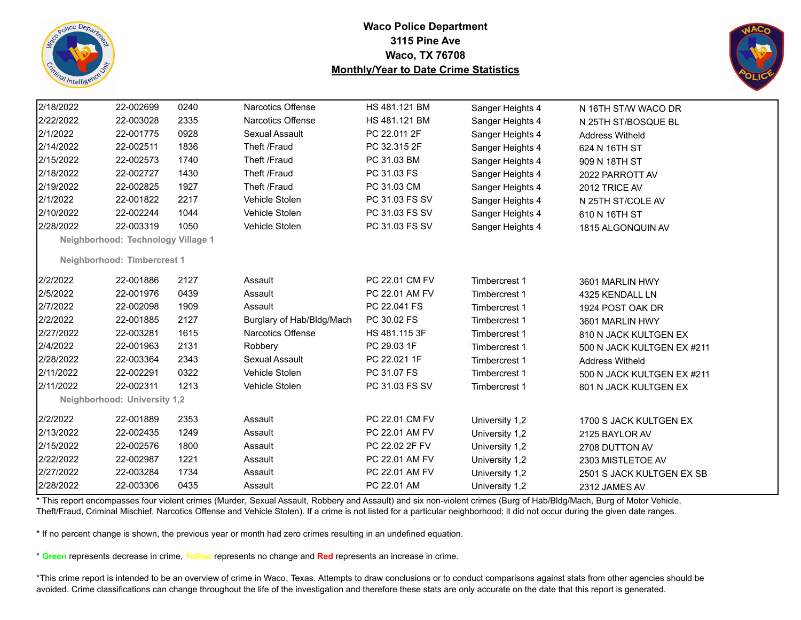



| 2/18/2022 | 22-002699                          | 0240 | <b>Narcotics Offense</b>  | HS 481.121 BM  | Sanger Heights 4 | N 16TH ST/W WACO DR        |  |
|-----------|------------------------------------|------|---------------------------|----------------|------------------|----------------------------|--|
| 2/22/2022 | 22-003028                          | 2335 | Narcotics Offense         | HS 481.121 BM  | Sanger Heights 4 | N 25TH ST/BOSQUE BL        |  |
| 2/1/2022  | 22-001775                          | 0928 | Sexual Assault            | PC 22.011 2F   | Sanger Heights 4 | <b>Address Witheld</b>     |  |
| 2/14/2022 | 22-002511                          | 1836 | Theft /Fraud              | PC 32.315 2F   | Sanger Heights 4 | 624 N 16TH ST              |  |
| 2/15/2022 | 22-002573                          | 1740 | Theft /Fraud              | PC 31.03 BM    | Sanger Heights 4 | 909 N 18TH ST              |  |
| 2/18/2022 | 22-002727                          | 1430 | Theft /Fraud              | PC 31.03 FS    | Sanger Heights 4 | 2022 PARROTT AV            |  |
| 2/19/2022 | 22-002825                          | 1927 | Theft /Fraud              | PC 31.03 CM    | Sanger Heights 4 | 2012 TRICE AV              |  |
| 2/1/2022  | 22-001822                          | 2217 | Vehicle Stolen            | PC 31.03 FS SV | Sanger Heights 4 | N 25TH ST/COLE AV          |  |
| 2/10/2022 | 22-002244                          | 1044 | Vehicle Stolen            | PC 31.03 FS SV | Sanger Heights 4 | 610 N 16TH ST              |  |
| 2/28/2022 | 22-003319                          | 1050 | Vehicle Stolen            | PC 31.03 FS SV | Sanger Heights 4 | 1815 ALGONQUIN AV          |  |
|           | Neighborhood: Technology Village 1 |      |                           |                |                  |                            |  |
|           | Neighborhood: Timbercrest 1        |      |                           |                |                  |                            |  |
| 2/2/2022  | 22-001886                          | 2127 | Assault                   | PC 22.01 CM FV | Timbercrest 1    | 3601 MARLIN HWY            |  |
| 2/5/2022  | 22-001976                          | 0439 | Assault                   | PC 22.01 AM FV | Timbercrest 1    | 4325 KENDALL LN            |  |
| 2/7/2022  | 22-002098                          | 1909 | Assault                   | PC 22.041 FS   | Timbercrest 1    | 1924 POST OAK DR           |  |
| 2/2/2022  | 22-001885                          | 2127 | Burglary of Hab/Bldg/Mach | PC 30.02 FS    | Timbercrest 1    | 3601 MARLIN HWY            |  |
| 2/27/2022 | 22-003281                          | 1615 | Narcotics Offense         | HS 481.115 3F  | Timbercrest 1    | 810 N JACK KULTGEN EX      |  |
| 2/4/2022  | 22-001963                          | 2131 | Robbery                   | PC 29.03 1F    | Timbercrest 1    | 500 N JACK KULTGEN EX #211 |  |
| 2/28/2022 | 22-003364                          | 2343 | Sexual Assault            | PC 22.021 1F   | Timbercrest 1    | <b>Address Witheld</b>     |  |
| 2/11/2022 | 22-002291                          | 0322 | Vehicle Stolen            | PC 31.07 FS    | Timbercrest 1    | 500 N JACK KULTGEN EX #211 |  |
| 2/11/2022 | 22-002311                          | 1213 | Vehicle Stolen            | PC 31.03 FS SV | Timbercrest 1    | 801 N JACK KULTGEN EX      |  |
|           | Neighborhood: University 1,2       |      |                           |                |                  |                            |  |
| 2/2/2022  | 22-001889                          | 2353 | Assault                   | PC 22.01 CM FV | University 1,2   | 1700 S JACK KULTGEN EX     |  |
| 2/13/2022 | 22-002435                          | 1249 | Assault                   | PC 22.01 AM FV | University 1,2   | 2125 BAYLOR AV             |  |
| 2/15/2022 | 22-002576                          | 1800 | Assault                   | PC 22.02 2F FV | University 1,2   | 2708 DUTTON AV             |  |
| 2/22/2022 | 22-002987                          | 1221 | Assault                   | PC 22.01 AM FV | University 1,2   | 2303 MISTLETOE AV          |  |
| 2/27/2022 | 22-003284                          | 1734 | Assault                   | PC 22.01 AM FV | University 1,2   | 2501 S JACK KULTGEN EX SB  |  |
| 2/28/2022 | 22-003306                          | 0435 | Assault                   | PC 22.01 AM    | University 1,2   | 2312 JAMES AV              |  |

\* This report encompasses four violent crimes (Murder, Sexual Assault, Robbery and Assault) and six non-violent crimes (Burg of Hab/Bldg/Mach, Burg of Motor Vehicle, Theft/Fraud, Criminal Mischief, Narcotics Offense and Vehicle Stolen). If a crime is not listed for a particular neighborhood; it did not occur during the given date ranges.

\* If no percent change is shown, the previous year or month had zero crimes resulting in an undefined equation.

\* **Green** represents decrease in crime, **Yellow** represents no change and **Red** represents an increase in crime.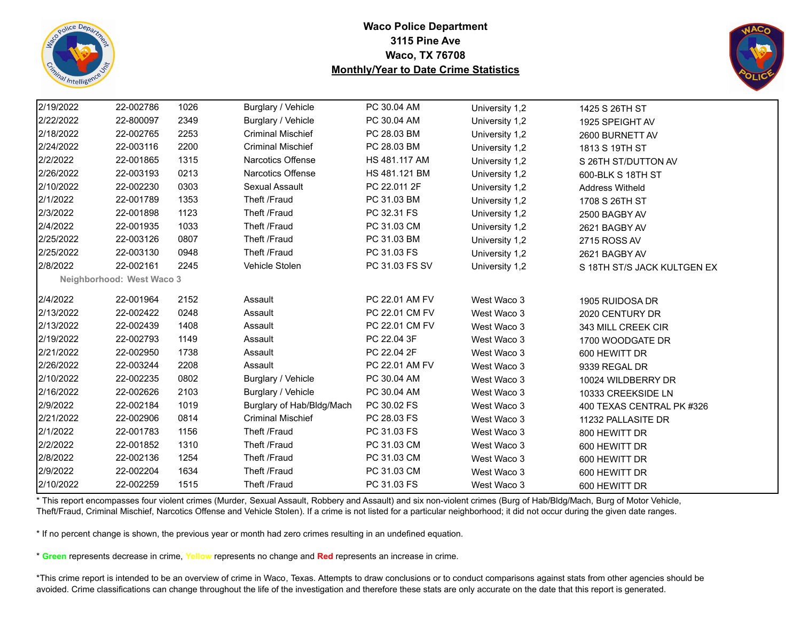



| 2/19/2022 | 22-002786                 | 1026 | Burglary / Vehicle        | PC 30.04 AM    | University 1,2 | 1425 S 26TH ST              |
|-----------|---------------------------|------|---------------------------|----------------|----------------|-----------------------------|
| 2/22/2022 | 22-800097                 | 2349 | Burglary / Vehicle        | PC 30.04 AM    | University 1,2 | 1925 SPEIGHT AV             |
| 2/18/2022 | 22-002765                 | 2253 | <b>Criminal Mischief</b>  | PC 28.03 BM    | University 1,2 | 2600 BURNETT AV             |
| 2/24/2022 | 22-003116                 | 2200 | <b>Criminal Mischief</b>  | PC 28.03 BM    | University 1,2 | 1813 S 19TH ST              |
| 2/2/2022  | 22-001865                 | 1315 | Narcotics Offense         | HS 481.117 AM  | University 1,2 | S 26TH ST/DUTTON AV         |
| 2/26/2022 | 22-003193                 | 0213 | <b>Narcotics Offense</b>  | HS 481.121 BM  | University 1,2 | 600-BLK S 18TH ST           |
| 2/10/2022 | 22-002230                 | 0303 | Sexual Assault            | PC 22.011 2F   | University 1,2 | <b>Address Witheld</b>      |
| 2/1/2022  | 22-001789                 | 1353 | Theft /Fraud              | PC 31.03 BM    | University 1,2 | 1708 S 26TH ST              |
| 2/3/2022  | 22-001898                 | 1123 | Theft /Fraud              | PC 32.31 FS    | University 1,2 | 2500 BAGBY AV               |
| 2/4/2022  | 22-001935                 | 1033 | Theft /Fraud              | PC 31.03 CM    | University 1,2 | 2621 BAGBY AV               |
| 2/25/2022 | 22-003126                 | 0807 | Theft /Fraud              | PC 31.03 BM    | University 1,2 | 2715 ROSS AV                |
| 2/25/2022 | 22-003130                 | 0948 | Theft /Fraud              | PC 31.03 FS    | University 1,2 | 2621 BAGBY AV               |
| 2/8/2022  | 22-002161                 | 2245 | Vehicle Stolen            | PC 31.03 FS SV | University 1,2 | S 18TH ST/S JACK KULTGEN EX |
|           | Neighborhood: West Waco 3 |      |                           |                |                |                             |
| 2/4/2022  | 22-001964                 | 2152 | Assault                   | PC 22.01 AM FV | West Waco 3    | 1905 RUIDOSA DR             |
| 2/13/2022 | 22-002422                 | 0248 | Assault                   | PC 22.01 CM FV | West Waco 3    | 2020 CENTURY DR             |
| 2/13/2022 | 22-002439                 | 1408 | Assault                   | PC 22.01 CM FV | West Waco 3    | 343 MILL CREEK CIR          |
| 2/19/2022 | 22-002793                 | 1149 | Assault                   | PC 22.04 3F    | West Waco 3    | 1700 WOODGATE DR            |
| 2/21/2022 | 22-002950                 | 1738 | Assault                   | PC 22.04 2F    | West Waco 3    | 600 HEWITT DR               |
| 2/26/2022 | 22-003244                 | 2208 | Assault                   | PC 22.01 AM FV | West Waco 3    | 9339 REGAL DR               |
| 2/10/2022 | 22-002235                 | 0802 | Burglary / Vehicle        | PC 30.04 AM    | West Waco 3    | 10024 WILDBERRY DR          |
| 2/16/2022 | 22-002626                 | 2103 | Burglary / Vehicle        | PC 30.04 AM    | West Waco 3    | 10333 CREEKSIDE LN          |
| 2/9/2022  | 22-002184                 | 1019 | Burglary of Hab/Bldg/Mach | PC 30.02 FS    | West Waco 3    | 400 TEXAS CENTRAL PK #326   |
| 2/21/2022 | 22-002906                 | 0814 | <b>Criminal Mischief</b>  | PC 28.03 FS    | West Waco 3    | 11232 PALLASITE DR          |
| 2/1/2022  | 22-001783                 | 1156 | Theft /Fraud              | PC 31.03 FS    | West Waco 3    | 800 HEWITT DR               |
| 2/2/2022  | 22-001852                 | 1310 | Theft /Fraud              | PC 31.03 CM    | West Waco 3    | 600 HEWITT DR               |
| 2/8/2022  | 22-002136                 | 1254 | Theft /Fraud              | PC 31.03 CM    | West Waco 3    | 600 HEWITT DR               |
| 2/9/2022  | 22-002204                 | 1634 | Theft /Fraud              | PC 31.03 CM    | West Waco 3    | 600 HEWITT DR               |
| 2/10/2022 | 22-002259                 | 1515 | Theft /Fraud              | PC 31.03 FS    | West Waco 3    | 600 HEWITT DR               |

\* This report encompasses four violent crimes (Murder, Sexual Assault, Robbery and Assault) and six non-violent crimes (Burg of Hab/Bldg/Mach, Burg of Motor Vehicle, Theft/Fraud, Criminal Mischief, Narcotics Offense and Vehicle Stolen). If a crime is not listed for a particular neighborhood; it did not occur during the given date ranges.

\* If no percent change is shown, the previous year or month had zero crimes resulting in an undefined equation.

\* **Green** represents decrease in crime, **Yellow** represents no change and **Red** represents an increase in crime.